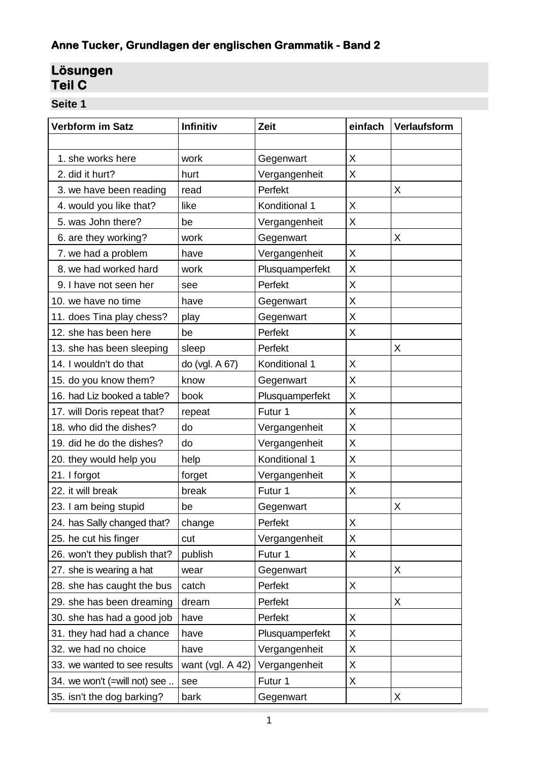# **Anne Tucker, Grundlagen der englischen Grammatik - Band 2**

# **Lösungen Teil C**

**Seite 1**

 $\sim 100$ 

| <b>Verbform im Satz</b>      | Infinitiv          | Zeit            | einfach | <b>Verlaufsform</b> |
|------------------------------|--------------------|-----------------|---------|---------------------|
|                              |                    |                 |         |                     |
| 1. she works here            | work               | Gegenwart       | X       |                     |
| 2. did it hurt?              | hurt               | Vergangenheit   | X       |                     |
| 3. we have been reading      | read               | Perfekt         |         | X                   |
| 4. would you like that?      | like               | Konditional 1   | X       |                     |
| 5. was John there?           | be                 | Vergangenheit   | X       |                     |
| 6. are they working?         | work               | Gegenwart       |         | X                   |
| 7. we had a problem          | have               | Vergangenheit   | X.      |                     |
| 8. we had worked hard        | work               | Plusquamperfekt | X       |                     |
| 9. I have not seen her       | see                | Perfekt         | Χ       |                     |
| 10. we have no time          | have               | Gegenwart       | Χ       |                     |
| 11. does Tina play chess?    | play               | Gegenwart       | X       |                     |
| 12. she has been here        | be                 | Perfekt         | X       |                     |
| 13. she has been sleeping    | sleep              | Perfekt         |         | X                   |
| 14. I wouldn't do that       | do (vgl. A 67)     | Konditional 1   | X       |                     |
| 15. do you know them?        | know               | Gegenwart       | X       |                     |
| 16. had Liz booked a table?  | book               | Plusquamperfekt | X       |                     |
| 17. will Doris repeat that?  | repeat             | Futur 1         | X       |                     |
| 18. who did the dishes?      | do                 | Vergangenheit   | X       |                     |
| 19. did he do the dishes?    | do                 | Vergangenheit   | X       |                     |
| 20. they would help you      | help               | Konditional 1   | Χ       |                     |
| 21. I forgot                 | forget             | Vergangenheit   | X       |                     |
| 22. it will break            | break              | Futur 1         | X       |                     |
| 23. I am being stupid        | be                 | Gegenwart       |         | X                   |
| 24. has Sally changed that?  | change             | Perfekt         | Χ       |                     |
| 25. he cut his finger        | cut                | Vergangenheit   | X       |                     |
| 26. won't they publish that? | publish            | Futur 1         | X       |                     |
| 27. she is wearing a hat     | wear               | Gegenwart       |         | X                   |
| 28. she has caught the bus   | catch              | Perfekt         | X       |                     |
| 29. she has been dreaming    | dream              | Perfekt         |         | X                   |
| 30. she has had a good job   | have               | Perfekt         | X       |                     |
| 31. they had had a chance    | have               | Plusquamperfekt | X       |                     |
| 32. we had no choice         | have               | Vergangenheit   | Χ       |                     |
| 33. we wanted to see results | want (vgl. $A$ 42) | Vergangenheit   | X       |                     |
| 34. we won't (=will not) see | see                | Futur 1         | X       |                     |
| 35. isn't the dog barking?   | bark               | Gegenwart       |         | X                   |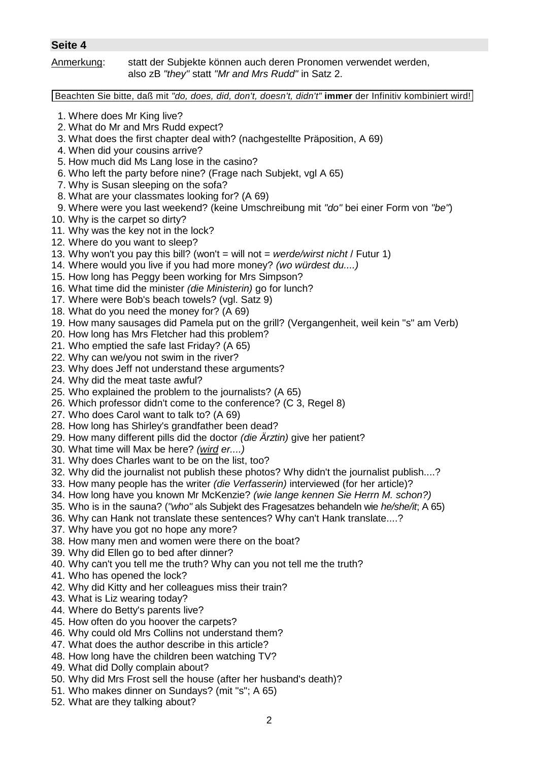| Jelle 4                                                        |                                                                                                                                                                                                                                                                                                                                                                                                                                                                                                                                                                                                                                                                                                                                                                                                                                                                                                                                                                                                                                                                                                                                                                                                                                                                                                                                                                                                                                                                                                                                                                                                                                                                                                                                                                                                                                                                                                                                                                                                                                                                                                                                                                                   |
|----------------------------------------------------------------|-----------------------------------------------------------------------------------------------------------------------------------------------------------------------------------------------------------------------------------------------------------------------------------------------------------------------------------------------------------------------------------------------------------------------------------------------------------------------------------------------------------------------------------------------------------------------------------------------------------------------------------------------------------------------------------------------------------------------------------------------------------------------------------------------------------------------------------------------------------------------------------------------------------------------------------------------------------------------------------------------------------------------------------------------------------------------------------------------------------------------------------------------------------------------------------------------------------------------------------------------------------------------------------------------------------------------------------------------------------------------------------------------------------------------------------------------------------------------------------------------------------------------------------------------------------------------------------------------------------------------------------------------------------------------------------------------------------------------------------------------------------------------------------------------------------------------------------------------------------------------------------------------------------------------------------------------------------------------------------------------------------------------------------------------------------------------------------------------------------------------------------------------------------------------------------|
| Anmerkung:                                                     | statt der Subjekte können auch deren Pronomen verwendet werden,<br>also zB "they" statt "Mr and Mrs Rudd" in Satz 2.                                                                                                                                                                                                                                                                                                                                                                                                                                                                                                                                                                                                                                                                                                                                                                                                                                                                                                                                                                                                                                                                                                                                                                                                                                                                                                                                                                                                                                                                                                                                                                                                                                                                                                                                                                                                                                                                                                                                                                                                                                                              |
|                                                                | Beachten Sie bitte, daß mit "do, does, did, don't, doesn't, didn't" immer der Infinitiv kombiniert wird!                                                                                                                                                                                                                                                                                                                                                                                                                                                                                                                                                                                                                                                                                                                                                                                                                                                                                                                                                                                                                                                                                                                                                                                                                                                                                                                                                                                                                                                                                                                                                                                                                                                                                                                                                                                                                                                                                                                                                                                                                                                                          |
| 1. Where does Mr King live?<br>10. Why is the carpet so dirty? | 2. What do Mr and Mrs Rudd expect?<br>3. What does the first chapter deal with? (nachgestellte Präposition, A 69)<br>4. When did your cousins arrive?<br>5. How much did Ms Lang lose in the casino?<br>6. Who left the party before nine? (Frage nach Subjekt, vgl A 65)<br>7. Why is Susan sleeping on the sofa?<br>8. What are your classmates looking for? (A 69)<br>9. Where were you last weekend? (keine Umschreibung mit "do" bei einer Form von "be")<br>11. Why was the key not in the lock?<br>12. Where do you want to sleep?<br>13. Why won't you pay this bill? (won't = will not = werde/wirst nicht / Futur 1)<br>14. Where would you live if you had more money? (wo würdest du)<br>15. How long has Peggy been working for Mrs Simpson?<br>16. What time did the minister (die Ministerin) go for lunch?<br>17. Where were Bob's beach towels? (vgl. Satz 9)<br>18. What do you need the money for? (A 69)<br>19. How many sausages did Pamela put on the grill? (Vergangenheit, weil kein "s" am Verb)<br>20. How long has Mrs Fletcher had this problem?<br>21. Who emptied the safe last Friday? (A 65)<br>22. Why can we/you not swim in the river?<br>23. Why does Jeff not understand these arguments?<br>24. Why did the meat taste awful?<br>25. Who explained the problem to the journalists? (A 65)<br>26. Which professor didn't come to the conference? (C 3, Regel 8)<br>27. Who does Carol want to talk to? (A 69)<br>28. How long has Shirley's grandfather been dead?<br>29. How many different pills did the doctor (die Ärztin) give her patient?<br>30. What time will Max be here? (wird er)<br>31. Why does Charles want to be on the list, too?<br>32. Why did the journalist not publish these photos? Why didn't the journalist publish?<br>33. How many people has the writer (die Verfasserin) interviewed (for her article)?<br>34. How long have you known Mr McKenzie? (wie lange kennen Sie Herrn M. schon?)<br>35. Who is in the sauna? ("who" als Subjekt des Fragesatzes behandeln wie he/she/it, A 65)<br>36. Why can Hank not translate these sentences? Why can't Hank translate?<br>37. Why have you got no hope any more? |

- 38. How many men and women were there on the boat?
- 39. Why did Ellen go to bed after dinner?
- 40. Why can't you tell me the truth? Why can you not tell me the truth?
- 41. Who has opened the lock?
- 42. Why did Kitty and her colleagues miss their train?
- 43. What is Liz wearing today?
- 44. Where do Betty's parents live?
- 45. How often do you hoover the carpets?
- 46. Why could old Mrs Collins not understand them?
- 47. What does the author describe in this article?
- 48. How long have the children been watching TV?
- 49. What did Dolly complain about?
- 50. Why did Mrs Frost sell the house (after her husband's death)?
- 51. Who makes dinner on Sundays? (mit "s"; A 65)
- 52. What are they talking about?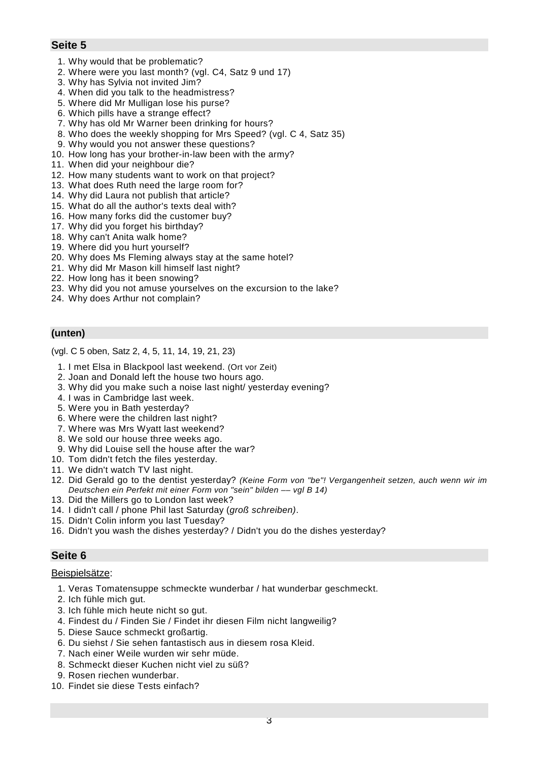- 1. Why would that be problematic?
- 2. Where were you last month? (vgl. C4, Satz 9 und 17)
- 3. Why has Sylvia not invited Jim?
- 4. When did you talk to the headmistress?
- 5. Where did Mr Mulligan lose his purse?
- 6. Which pills have a strange effect?
- 7. Why has old Mr Warner been drinking for hours?
- 8. Who does the weekly shopping for Mrs Speed? (vgl. C 4, Satz 35)
- 9. Why would you not answer these questions?
- 10. How long has your brother-in-law been with the army?
- 11. When did your neighbour die?
- 12. How many students want to work on that project?
- 13. What does Ruth need the large room for?
- 14. Why did Laura not publish that article?
- 15. What do all the author's texts deal with?
- 16. How many forks did the customer buy?
- 17. Why did you forget his birthday?
- 18. Why can't Anita walk home?
- 19. Where did you hurt yourself?
- 20. Why does Ms Fleming always stay at the same hotel?
- 21. Why did Mr Mason kill himself last night?
- 22. How long has it been snowing?
- 23. Why did you not amuse yourselves on the excursion to the lake?
- 24. Why does Arthur not complain?

### **(unten)**

(vgl. C 5 oben, Satz 2, 4, 5, 11, 14, 19, 21, 23)

- 1. I met Elsa in Blackpool last weekend. (Ort vor Zeit)
- 2. Joan and Donald left the house two hours ago.
- 3. Why did you make such a noise last night/ yesterday evening?
- 4. I was in Cambridge last week.
- 5. Were you in Bath yesterday?
- 6. Where were the children last night?
- 7. Where was Mrs Wyatt last weekend?
- 8. We sold our house three weeks ago.
- 9. Why did Louise sell the house after the war?
- 10. Tom didn't fetch the files yesterday.
- 11. We didn't watch TV last night.
- 12. Did Gerald go to the dentist yesterday? *(Keine Form von "be"! Vergangenheit setzen, auch wenn wir im Deutschen ein Perfekt mit einer Form von "sein" bilden –– vgl B 14)*
- 13. Did the Millers go to London last week?
- 14. I didn't call / phone Phil last Saturday (*groß schreiben)*.
- 15. Didn't Colin inform you last Tuesday?
- 16. Didn't you wash the dishes yesterday? / Didn't you do the dishes yesterday?

# **Seite 6**

#### Beispielsätze:

- 1. Veras Tomatensuppe schmeckte wunderbar / hat wunderbar geschmeckt.
- 2. Ich fühle mich gut.
- 3. Ich fühle mich heute nicht so gut.
- 4. Findest du / Finden Sie / Findet ihr diesen Film nicht langweilig?
- 5. Diese Sauce schmeckt großartig.
- 6. Du siehst / Sie sehen fantastisch aus in diesem rosa Kleid.
- 7. Nach einer Weile wurden wir sehr müde.
- 8. Schmeckt dieser Kuchen nicht viel zu süß?
- 9. Rosen riechen wunderbar.
- 10. Findet sie diese Tests einfach?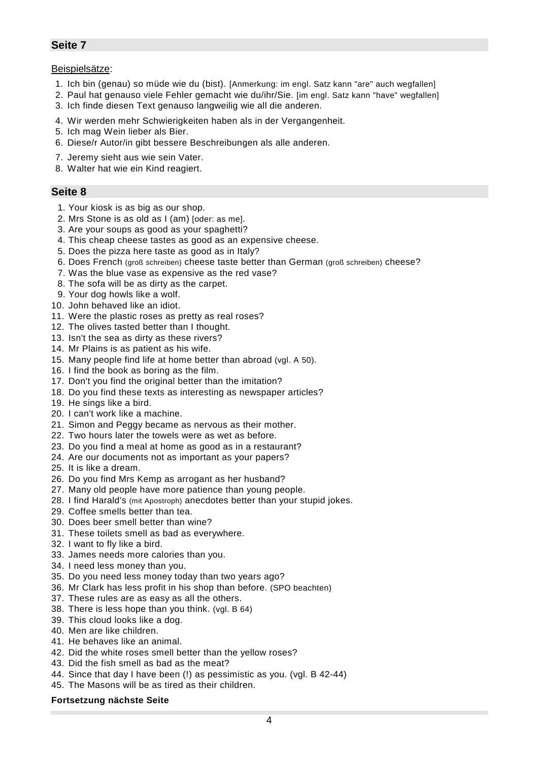#### Beispielsätze:

- 1. Ich bin (genau) so müde wie du (bist). [Anmerkung: im engl. Satz kann "are" auch wegfallen]
- 2. Paul hat genauso viele Fehler gemacht wie du/ihr/Sie. [im engl. Satz kann "have" wegfallen]
- 3. Ich finde diesen Text genauso langweilig wie all die anderen.
- 4. Wir werden mehr Schwierigkeiten haben als in der Vergangenheit.
- 5. Ich mag Wein lieber als Bier.
- 6. Diese/r Autor/in gibt bessere Beschreibungen als alle anderen.
- 7. Jeremy sieht aus wie sein Vater.
- 8. Walter hat wie ein Kind reagiert.

#### **Seite 8**

- 1. Your kiosk is as big as our shop.
- 2. Mrs Stone is as old as I (am) [oder: as me].
- 3. Are your soups as good as your spaghetti?
- 4. This cheap cheese tastes as good as an expensive cheese.
- 5. Does the pizza here taste as good as in Italy?
- 6. Does French (groß schreiben) cheese taste better than German (groß schreiben) cheese?
- 7. Was the blue vase as expensive as the red vase?
- 8. The sofa will be as dirty as the carpet.
- 9. Your dog howls like a wolf.
- 10. John behaved like an idiot.
- 11. Were the plastic roses as pretty as real roses?
- 12. The olives tasted better than I thought.
- 13. Isn't the sea as dirty as these rivers?
- 14. Mr Plains is as patient as his wife.
- 15. Many people find life at home better than abroad (vgl. A 50).
- 16. I find the book as boring as the film.
- 17. Don't you find the original better than the imitation?
- 18. Do you find these texts as interesting as newspaper articles?
- 19. He sings like a bird.
- 20. I can't work like a machine.
- 21. Simon and Peggy became as nervous as their mother.
- 22. Two hours later the towels were as wet as before.
- 23. Do you find a meal at home as good as in a restaurant?
- 24. Are our documents not as important as your papers?
- 25. It is like a dream.
- 26. Do you find Mrs Kemp as arrogant as her husband?
- 27. Many old people have more patience than young people.
- 28. I find Harald's (mit Apostroph) anecdotes better than your stupid jokes.
- 29. Coffee smells better than tea.
- 30. Does beer smell better than wine?
- 31. These toilets smell as bad as everywhere.
- 32. I want to fly like a bird.
- 33. James needs more calories than you.
- 34. I need less money than you.
- 35. Do you need less money today than two years ago?
- 36. Mr Clark has less profit in his shop than before. (SPO beachten)
- 37. These rules are as easy as all the others.
- 38. There is less hope than you think. (vgl. B 64)
- 39. This cloud looks like a dog.
- 40. Men are like children.
- 41. He behaves like an animal.
- 42. Did the white roses smell better than the yellow roses?
- 43. Did the fish smell as bad as the meat?
- 44. Since that day I have been (!) as pessimistic as you. (vgl. B 42-44)
- 45. The Masons will be as tired as their children.

#### **Fortsetzung nächste Seite**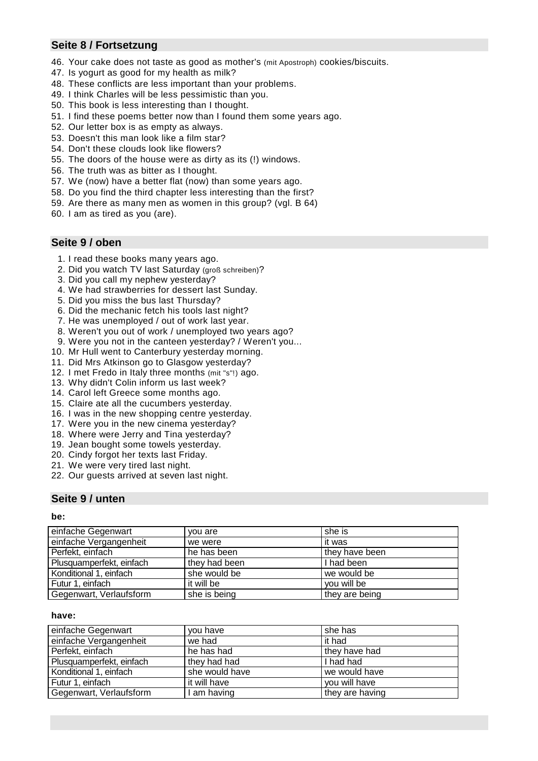# **Seite 8 / Fortsetzung**

- 46. Your cake does not taste as good as mother's (mit Apostroph) cookies/biscuits.
- 47. Is yogurt as good for my health as milk?
- 48. These conflicts are less important than your problems.
- 49. I think Charles will be less pessimistic than you.
- 50. This book is less interesting than I thought.
- 51. I find these poems better now than I found them some years ago.
- 52. Our letter box is as empty as always.
- 53. Doesn't this man look like a film star?
- 54. Don't these clouds look like flowers?
- 55. The doors of the house were as dirty as its (!) windows.
- 56. The truth was as bitter as I thought.
- 57. We (now) have a better flat (now) than some years ago.
- 58. Do you find the third chapter less interesting than the first?
- 59. Are there as many men as women in this group? (vgl. B 64)
- 60. I am as tired as you (are).

#### **Seite 9 / oben**

- 1. I read these books many years ago.
- 2. Did you watch TV last Saturday (groß schreiben)?
- 3. Did you call my nephew yesterday?
- 4. We had strawberries for dessert last Sunday.
- 5. Did you miss the bus last Thursday?
- 6. Did the mechanic fetch his tools last night?
- 7. He was unemployed / out of work last year.
- 8. Weren't you out of work / unemployed two years ago?
- 9. Were you not in the canteen yesterday? / Weren't you...
- 10. Mr Hull went to Canterbury yesterday morning.
- 11. Did Mrs Atkinson go to Glasgow yesterday?
- 12. I met Fredo in Italy three months (mit "s"!) ago.
- 13. Why didn't Colin inform us last week?
- 14. Carol left Greece some months ago.
- 15. Claire ate all the cucumbers yesterday.
- 16. I was in the new shopping centre yesterday.
- 17. Were you in the new cinema yesterday?
- 18. Where were Jerry and Tina yesterday?
- 19. Jean bought some towels yesterday.
- 20. Cindy forgot her texts last Friday.
- 21. We were very tired last night.
- 22. Our guests arrived at seven last night.

### **Seite 9 / unten**

#### **be:**

| einfache Gegenwart       | you are       | she is         |
|--------------------------|---------------|----------------|
| einfache Vergangenheit   | we were       | it was         |
| Perfekt, einfach         | he has been   | they have been |
| Plusquamperfekt, einfach | they had been | I had been     |
| Konditional 1, einfach   | she would be  | we would be    |
| Futur 1, einfach         | it will be    | vou will be    |
| Gegenwart, Verlaufsform  | she is being  | they are being |

#### **have:**

| einfache Gegenwart       | vou have       | she has         |
|--------------------------|----------------|-----------------|
| einfache Vergangenheit   | we had         | it had          |
| Perfekt, einfach         | he has had     | they have had   |
| Plusquamperfekt, einfach | they had had   | I had had       |
| Konditional 1, einfach   | she would have | we would have   |
| Futur 1, einfach         | it will have   | vou will have   |
| Gegenwart, Verlaufsform  | am having      | they are having |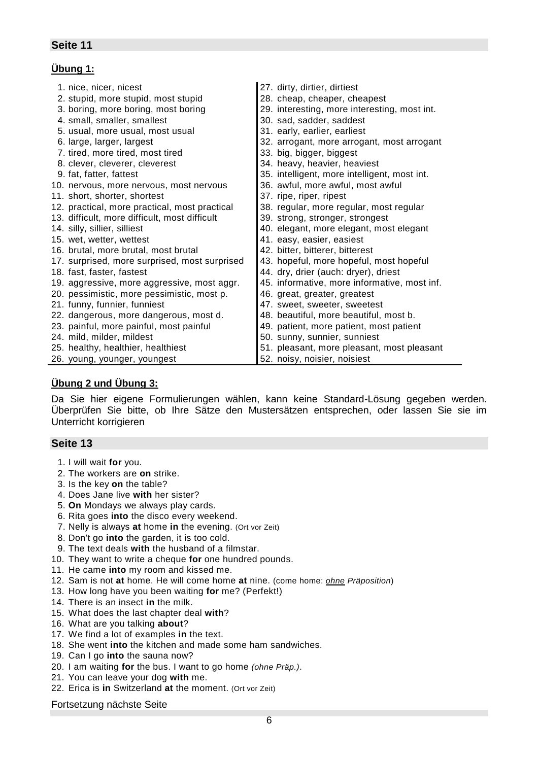# **Übung 1:**

| 1. nice, nicer, nicest                        | 27. dirty, dirtier, dirtiest                 |
|-----------------------------------------------|----------------------------------------------|
| 2. stupid, more stupid, most stupid           | 28. cheap, cheaper, cheapest                 |
| 3. boring, more boring, most boring           | 29. interesting, more interesting, most int. |
| 4. small, smaller, smallest                   | 30. sad, sadder, saddest                     |
| 5. usual, more usual, most usual              | 31. early, earlier, earliest                 |
| 6. large, larger, largest                     | 32. arrogant, more arrogant, most arrogant   |
| 7. tired, more tired, most tired              | 33. big, bigger, biggest                     |
| 8. clever, cleverer, cleverest                | 34. heavy, heavier, heaviest                 |
| 9. fat, fatter, fattest                       | 35. intelligent, more intelligent, most int. |
| 10. nervous, more nervous, most nervous       | 36. awful, more awful, most awful            |
| 11. short, shorter, shortest                  | 37. ripe, riper, ripest                      |
| 12. practical, more practical, most practical | 38. regular, more regular, most regular      |
| 13. difficult, more difficult, most difficult | 39. strong, stronger, strongest              |
| 14. silly, sillier, silliest                  | 40. elegant, more elegant, most elegant      |
| 15. wet, wetter, wettest                      | 41. easy, easier, easiest                    |
| 16. brutal, more brutal, most brutal          | 42. bitter, bitterer, bitterest              |
| 17. surprised, more surprised, most surprised | 43. hopeful, more hopeful, most hopeful      |
| 18. fast, faster, fastest                     | 44. dry, drier (auch: dryer), driest         |
| 19. aggressive, more aggressive, most aggr.   | 45. informative, more informative, most inf. |
| 20. pessimistic, more pessimistic, most p.    | 46. great, greater, greatest                 |
| 21. funny, funnier, funniest                  | 47. sweet, sweeter, sweetest                 |
| 22. dangerous, more dangerous, most d.        | 48. beautiful, more beautiful, most b.       |
| 23. painful, more painful, most painful       | 49. patient, more patient, most patient      |
| 24. mild, milder, mildest                     | 50. sunny, sunnier, sunniest                 |
| 25. healthy, healthier, healthiest            | 51. pleasant, more pleasant, most pleasant   |
| 26. young, younger, youngest                  | 52. noisy, noisier, noisiest                 |

### **Übung 2 und Übung 3:**

Da Sie hier eigene Formulierungen wählen, kann keine Standard-Lösung gegeben werden. Überprüfen Sie bitte, ob Ihre Sätze den Mustersätzen entsprechen, oder lassen Sie sie im Unterricht korrigieren

### **Seite 13**

- 1. I will wait **for** you.
- 2. The workers are **on** strike.
- 3. Is the key **on** the table?
- 4. Does Jane live **with** her sister?
- 5. **On** Mondays we always play cards.
- 6. Rita goes **into** the disco every weekend.
- 7. Nelly is always **at** home **in** the evening. (Ort vor Zeit)
- 8. Don't go **into** the garden, it is too cold.
- 9. The text deals **with** the husband of a filmstar.
- 10. They want to write a cheque **for** one hundred pounds.
- 11. He came **into** my room and kissed me.
- 12. Sam is not **at** home. He will come home **at** nine. (come home: *ohne Präposition*)
- 13. How long have you been waiting **for** me? (Perfekt!)
- 14. There is an insect **in** the milk.
- 15. What does the last chapter deal **with**?
- 16. What are you talking **about**?
- 17. We find a lot of examples **in** the text.
- 18. She went **into** the kitchen and made some ham sandwiches.
- 19. Can I go **into** the sauna now?
- 20. I am waiting **for** the bus. I want to go home *(ohne Präp.)*.
- 21. You can leave your dog **with** me.
- 22. Erica is **in** Switzerland **at** the moment. (Ort vor Zeit)

#### Fortsetzung nächste Seite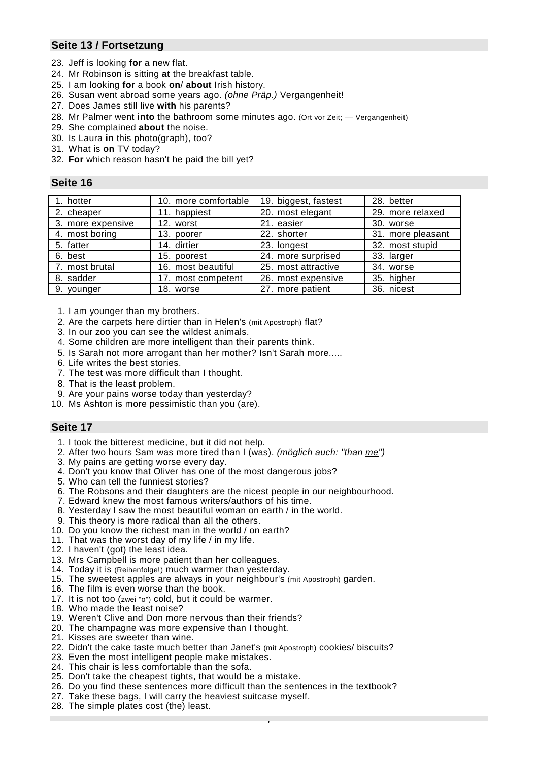# **Seite 13 / Fortsetzung**

- 23. Jeff is looking **for** a new flat.
- 24. Mr Robinson is sitting **at** the breakfast table.
- 25. I am looking **for** a book **on**/ **about** Irish history.
- 26. Susan went abroad some years ago. *(ohne Präp.)* Vergangenheit!
- 27. Does James still live **with** his parents?
- 28. Mr Palmer went **into** the bathroom some minutes ago. (Ort vor Zeit; –– Vergangenheit)
- 29. She complained **about** the noise.
- 30. Is Laura **in** this photo(graph), too?
- 31. What is **on** TV today?
- 32. **For** which reason hasn't he paid the bill yet?

#### **Seite 16**

| 1. hotter         | 10. more comfortable | 19. biggest, fastest | 28. better        |
|-------------------|----------------------|----------------------|-------------------|
| 2. cheaper        | 11. happiest         | 20. most elegant     | 29. more relaxed  |
| 3. more expensive | 12. worst            | 21. easier           | 30. worse         |
| 4. most boring    | 13. poorer           | 22. shorter          | 31. more pleasant |
| 5. fatter         | 14. dirtier          | 23. longest          | 32. most stupid   |
| 6. best           | 15. poorest          | 24. more surprised   | 33. larger        |
| 7. most brutal    | 16. most beautiful   | 25. most attractive  | 34. worse         |
| 8. sadder         | 17. most competent   | 26. most expensive   | 35. higher        |
| 9. younger        | 18. worse            | 27. more patient     | 36. nicest        |

- 1. I am younger than my brothers.
- 2. Are the carpets here dirtier than in Helen's (mit Apostroph) flat?
- 3. In our zoo you can see the wildest animals.
- 4. Some children are more intelligent than their parents think.
- 5. Is Sarah not more arrogant than her mother? Isn't Sarah more.....
- 6. Life writes the best stories.
- 7. The test was more difficult than I thought.
- 8. That is the least problem.
- 9. Are your pains worse today than yesterday?
- 10. Ms Ashton is more pessimistic than you (are).

- 1. I took the bitterest medicine, but it did not help.
- 2. After two hours Sam was more tired than I (was). *(möglich auch: "than me")*
- 3. My pains are getting worse every day.
- 4. Don't you know that Oliver has one of the most dangerous jobs?
- 5. Who can tell the funniest stories?
- 6. The Robsons and their daughters are the nicest people in our neighbourhood.
- 7. Edward knew the most famous writers/authors of his time.
- 8. Yesterday I saw the most beautiful woman on earth / in the world.
- 9. This theory is more radical than all the others.
- 10. Do you know the richest man in the world / on earth?
- 11. That was the worst day of my life / in my life.
- 12. I haven't (got) the least idea.
- 13. Mrs Campbell is more patient than her colleagues.
- 14. Today it is (Reihenfolge!) much warmer than yesterday.
- 15. The sweetest apples are always in your neighbour's (mit Apostroph) garden.
- 16. The film is even worse than the book.
- 17. It is not too (zwei "o") cold, but it could be warmer.
- 18. Who made the least noise?
- 19. Weren't Clive and Don more nervous than their friends?
- 20. The champagne was more expensive than I thought.
- 21. Kisses are sweeter than wine.
- 22. Didn't the cake taste much better than Janet's (mit Apostroph) cookies/ biscuits?
- 23. Even the most intelligent people make mistakes.
- 24. This chair is less comfortable than the sofa.
- 25. Don't take the cheapest tights, that would be a mistake.
- 26. Do you find these sentences more difficult than the sentences in the textbook?
- 27. Take these bags, I will carry the heaviest suitcase myself.
- 28. The simple plates cost (the) least.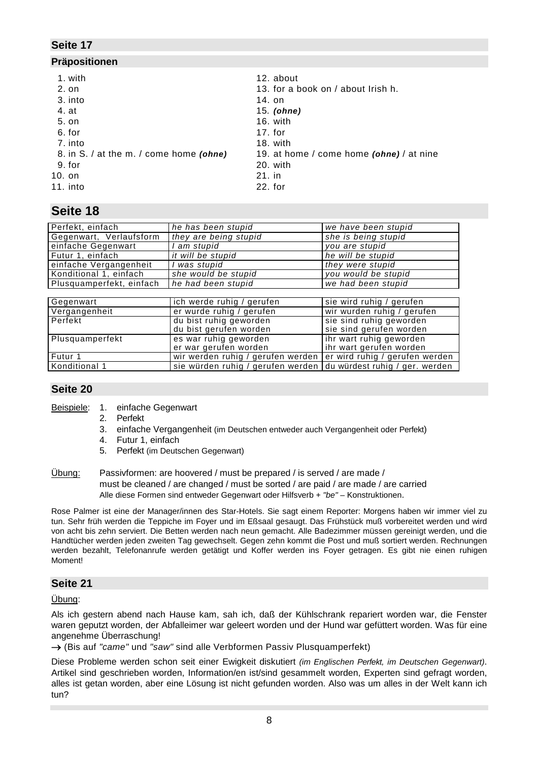#### **Präpositionen**

- 
- 
- 
- 
- 
- 
- 7. into 18. with
- 9. for 20. with
- 
- 10. on 21. in
- 11. into 22. for
- 1. with 12. about
- 2. on 13. for a book on / about Irish h.
- 3. into 14. on
- 4. at 15*. (ohne)*
- 5. on 16. with
- 6. for 17. for
	-
- 8. in S. / at the m. / come home *(ohne)* 19. at home / come home *(ohne)* / at nine
	-
	-

# **Seite 18**

| Perfekt, einfach         | he has been stupid                                               | we have been stupid            |
|--------------------------|------------------------------------------------------------------|--------------------------------|
| Gegenwart, Verlaufsform  | they are being stupid                                            | she is being stupid            |
| einfache Gegenwart       | am stupid                                                        | you are stupid                 |
| Futur $1$ , einfach      | it will be stupid                                                | he will be stupid              |
| einfache Vergangenheit   | was stupid                                                       | they were stupid               |
| Konditional 1, einfach   | she would be stupid                                              | you would be stupid            |
| Plusquamperfekt, einfach | he had been stupid                                               | we had been stupid             |
|                          |                                                                  |                                |
| Gegenwart                | ich werde ruhig / gerufen                                        | sie wird ruhig / gerufen       |
| Vergangenheit            | er wurde ruhig / gerufen                                         | wir wurden ruhig / gerufen     |
| Perfekt                  | du bist ruhig geworden                                           | sie sind ruhig geworden        |
|                          | du bist gerufen worden                                           | sie sind gerufen worden        |
| Plusquamperfekt          | es war ruhig geworden                                            | ihr wart ruhig geworden        |
|                          | er war gerufen worden                                            | ihr wart gerufen worden        |
| Futur 1                  | wir werden ruhig / gerufen werden                                | er wird ruhig / gerufen werden |
| l Konditional 1          | sie würden ruhig / gerufen werden du würdest ruhig / ger. werden |                                |

# **Seite 20**

- Beispiele: 1. einfache Gegenwart
	- 2. Perfekt
	- 3. einfache Vergangenheit (im Deutschen entweder auch Vergangenheit oder Perfekt)
	- 4. Futur 1, einfach
	- 5. Perfekt (im Deutschen Gegenwart)
- Übung: Passivformen: are hoovered / must be prepared / is served / are made / must be cleaned / are changed / must be sorted / are paid / are made / are carried Alle diese Formen sind entweder Gegenwart oder Hilfsverb + *"be"* – Konstruktionen.

Rose Palmer ist eine der Manager/innen des Star-Hotels. Sie sagt einem Reporter: Morgens haben wir immer viel zu tun. Sehr früh werden die Teppiche im Foyer und im Eßsaal gesaugt. Das Frühstück muß vorbereitet werden und wird von acht bis zehn serviert. Die Betten werden nach neun gemacht. Alle Badezimmer müssen gereinigt werden, und die Handtücher werden jeden zweiten Tag gewechselt. Gegen zehn kommt die Post und muß sortiert werden. Rechnungen werden bezahlt, Telefonanrufe werden getätigt und Koffer werden ins Foyer getragen. Es gibt nie einen ruhigen Moment!

# **Seite 21**

Übung:

Als ich gestern abend nach Hause kam, sah ich, daß der Kühlschrank repariert worden war, die Fenster waren geputzt worden, der Abfalleimer war geleert worden und der Hund war gefüttert worden. Was für eine angenehme Überraschung!

→ (Bis auf "came" und "saw" sind alle Verbformen Passiv Plusquamperfekt)

Diese Probleme werden schon seit einer Ewigkeit diskutiert *(im Englischen Perfekt, im Deutschen Gegenwart)*. Artikel sind geschrieben worden, Information/en ist/sind gesammelt worden, Experten sind gefragt worden, alles ist getan worden, aber eine Lösung ist nicht gefunden worden. Also was um alles in der Welt kann ich tun?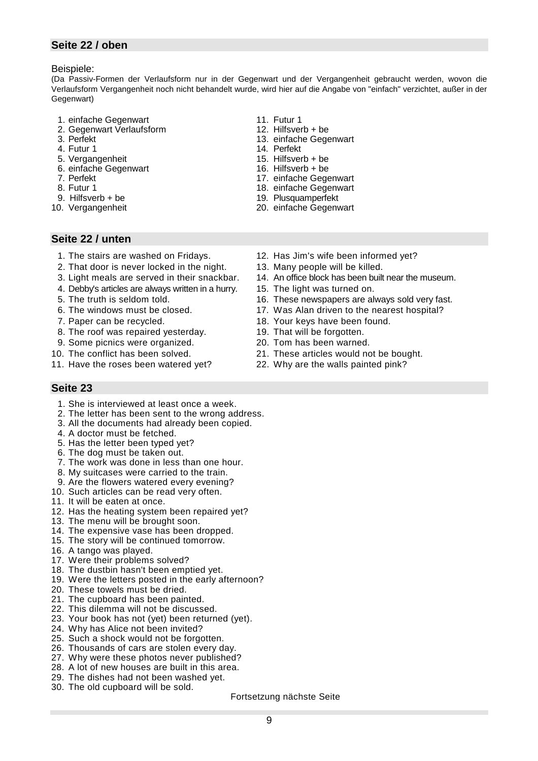# **Seite 22 / oben**

Beispiele:

(Da Passiv-Formen der Verlaufsform nur in der Gegenwart und der Vergangenheit gebraucht werden, wovon die Verlaufsform Vergangenheit noch nicht behandelt wurde, wird hier auf die Angabe von "einfach" verzichtet, außer in der Gegenwart)

> 11. Futur 1 12. Hilfsverb + be 13. einfache Gegenwart

14. Perfekt 15. Hilfsverb + be

- 1. einfache Gegenwart
- 2. Gegenwart Verlaufsform
- 3. Perfekt
- 4. Futur 1
- 5. Vergangenheit
- 6. einfache Gegenwart
- 7. Perfekt
- 8. Futur 1
- 9. Hilfsverb + be 10. Vergangenheit
- - 16. Hilfsverb + be
		- 17. einfache Gegenwart
		- 18. einfache Gegenwart
		- 19. Plusquamperfekt
		- 20. einfache Gegenwart

- **Seite 22 / unten**
	- 1. The stairs are washed on Fridays.
	- 2. That door is never locked in the night.
	- 3. Light meals are served in their snackbar.
	- 4. Debby's articles are always written in a hurry.
	- 5. The truth is seldom told.
	- 6. The windows must be closed.
	- 7. Paper can be recycled.
	- 8. The roof was repaired yesterday.
	- 9. Some picnics were organized.
- 10. The conflict has been solved.
- 11. Have the roses been watered yet?

### **Seite 23**

- 1. She is interviewed at least once a week.
- 2. The letter has been sent to the wrong address.
- 3. All the documents had already been copied.
- 4. A doctor must be fetched.
- 5. Has the letter been typed yet?
- 6. The dog must be taken out.
- 7. The work was done in less than one hour.
- 8. My suitcases were carried to the train.
- 9. Are the flowers watered every evening?
- 10. Such articles can be read very often.
- 11. It will be eaten at once.
- 12. Has the heating system been repaired yet?
- 13. The menu will be brought soon.
- 14. The expensive vase has been dropped.
- 15. The story will be continued tomorrow.
- 16. A tango was played.
- 17. Were their problems solved?
- 18. The dustbin hasn't been emptied yet.
- 19. Were the letters posted in the early afternoon?
- 20. These towels must be dried.
- 21. The cupboard has been painted.
- 22. This dilemma will not be discussed.
- 23. Your book has not (yet) been returned (yet).
- 24. Why has Alice not been invited?
- 25. Such a shock would not be forgotten.
- 26. Thousands of cars are stolen every day.
- 27. Why were these photos never published?
- 28. A lot of new houses are built in this area.
- 29. The dishes had not been washed yet.
- 30. The old cupboard will be sold.

#### Fortsetzung nächste Seite

- 12. Has Jim's wife been informed yet?
- 13. Many people will be killed.
- 14. An office block has been built near the museum.
- 15. The light was turned on.
- 16. These newspapers are always sold very fast.
- 17. Was Alan driven to the nearest hospital?
- 18. Your keys have been found.
- 19. That will be forgotten.
- 20. Tom has been warned.
- 21. These articles would not be bought.
- 22. Why are the walls painted pink?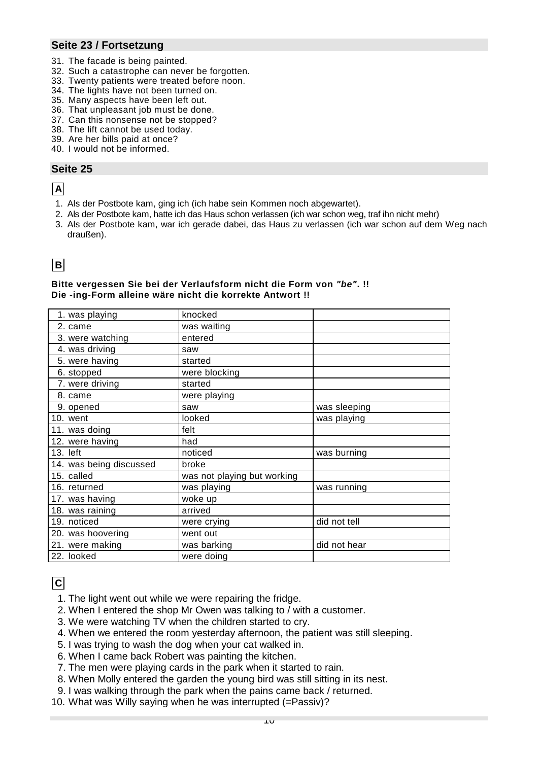# **Seite 23 / Fortsetzung**

- 31. The facade is being painted.
- 32. Such a catastrophe can never be forgotten.
- 33. Twenty patients were treated before noon.
- 34. The lights have not been turned on.
- 35. Many aspects have been left out.
- 36. That unpleasant job must be done.
- 37. Can this nonsense not be stopped?
- 38. The lift cannot be used today.
- 39. Are her bills paid at once?
- 40. I would not be informed.

# **Seite 25**

# **A**

- 1. Als der Postbote kam, ging ich (ich habe sein Kommen noch abgewartet).
- 2. Als der Postbote kam, hatte ich das Haus schon verlassen (ich war schon weg, traf ihn nicht mehr)
- 3. Als der Postbote kam, war ich gerade dabei, das Haus zu verlassen (ich war schon auf dem Weg nach draußen).

# **B**

#### **Bitte vergessen Sie bei der Verlaufsform nicht die Form von** *"be"***. !! Die -ing-Form alleine wäre nicht die korrekte Antwort !!**

| 1. was playing          | knocked                     |              |
|-------------------------|-----------------------------|--------------|
| 2. came                 | was waiting                 |              |
| 3. were watching        | entered                     |              |
| 4. was driving          | saw                         |              |
| 5. were having          | started                     |              |
| 6. stopped              | were blocking               |              |
| 7. were driving         | started                     |              |
| 8. came                 | were playing                |              |
| 9. opened               | saw                         | was sleeping |
| 10. went                | looked                      | was playing  |
| 11. was doing           | felt                        |              |
| 12. were having         | had                         |              |
| $13.$ left              | noticed                     | was burning  |
| 14. was being discussed | broke                       |              |
| 15. called              | was not playing but working |              |
| 16. returned            | was playing                 | was running  |
| 17. was having          | woke up                     |              |
| 18. was raining         | arrived                     |              |
| 19. noticed             | were crying                 | did not tell |
| 20. was hoovering       | went out                    |              |
| 21. were making         | was barking                 | did not hear |
| 22. looked              | were doing                  |              |

# **C**

- 1. The light went out while we were repairing the fridge.
- 2. When I entered the shop Mr Owen was talking to / with a customer.
- 3. We were watching TV when the children started to cry.
- 4. When we entered the room yesterday afternoon, the patient was still sleeping.
- 5. I was trying to wash the dog when your cat walked in.
- 6. When I came back Robert was painting the kitchen.
- 7. The men were playing cards in the park when it started to rain.
- 8. When Molly entered the garden the young bird was still sitting in its nest.
- 9. I was walking through the park when the pains came back / returned.
- 10. What was Willy saying when he was interrupted (=Passiv)?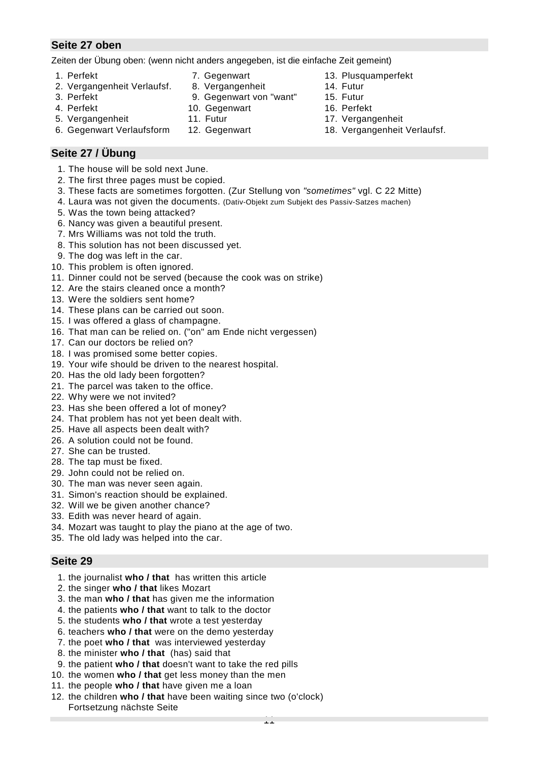# **Seite 27 oben**

Zeiten der Übung oben: (wenn nicht anders angegeben, ist die einfache Zeit gemeint)

- 
- 2. Vergangenheit Verlaufsf. 8. Vergangenheit 14. Futur
- 
- 4. Perfekt 10. Gegenwart 16. Perfekt
- 
- 
- 1. Perfekt 7. Gegenwart 13. Plusquamperfekt
	-
- 3. Perfekt 9. Gegenwart von "want" 15. Futur
	-
- 5. Vergangenheit 11. Futur 17. Vergangenheit
- 6. Gegenwart Verlaufsform 12. Gegenwart 18. Vergangenheit Verlaufsf.
- 

# **Seite 27 / Übung**

- 1. The house will be sold next June.
- 2. The first three pages must be copied.
- 3. These facts are sometimes forgotten. (Zur Stellung von *"sometimes"* vgl. C 22 Mitte)
- 4. Laura was not given the documents. (Dativ-Objekt zum Subjekt des Passiv-Satzes machen)
- 5. Was the town being attacked?
- 6. Nancy was given a beautiful present.
- 7. Mrs Williams was not told the truth.
- 8. This solution has not been discussed yet.
- 9. The dog was left in the car.
- 10. This problem is often ignored.
- 11. Dinner could not be served (because the cook was on strike)
- 12. Are the stairs cleaned once a month?
- 13. Were the soldiers sent home?
- 14. These plans can be carried out soon.
- 15. I was offered a glass of champagne.
- 16. That man can be relied on. ("on" am Ende nicht vergessen)
- 17. Can our doctors be relied on?
- 18. I was promised some better copies.
- 19. Your wife should be driven to the nearest hospital.
- 20. Has the old lady been forgotten?
- 21. The parcel was taken to the office.
- 22. Why were we not invited?
- 23. Has she been offered a lot of money?
- 24. That problem has not yet been dealt with.
- 25. Have all aspects been dealt with?
- 26. A solution could not be found.
- 27. She can be trusted.
- 28. The tap must be fixed.
- 29. John could not be relied on.
- 30. The man was never seen again.
- 31. Simon's reaction should be explained.
- 32. Will we be given another chance?
- 33. Edith was never heard of again.
- 34. Mozart was taught to play the piano at the age of two.
- 35. The old lady was helped into the car.

- 1. the journalist **who / that** has written this article
- 2. the singer **who / that** likes Mozart
- 3. the man **who / that** has given me the information
- 4. the patients **who / that** want to talk to the doctor
- 5. the students **who / that** wrote a test yesterday
- 6. teachers **who / that** were on the demo yesterday
- 7. the poet **who / that** was interviewed yesterday
- 8. the minister **who / that** (has) said that
- 9. the patient **who / that** doesn't want to take the red pills
- 10. the women **who / that** get less money than the men
- 11. the people **who / that** have given me a loan
- 12. the children **who / that** have been waiting since two (o'clock) Fortsetzung nächste Seite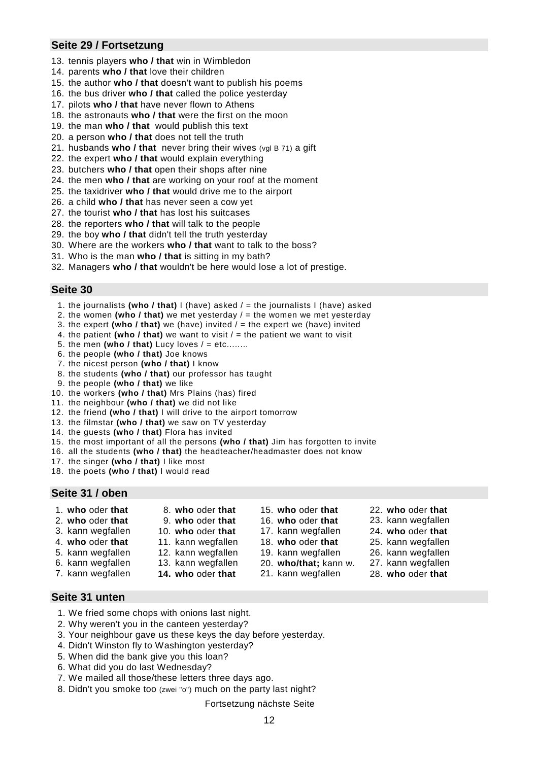# **Seite 29 / Fortsetzung**

- 13. tennis players **who / that** win in Wimbledon
- 14. parents **who / that** love their children
- 15. the author **who / that** doesn't want to publish his poems
- 16. the bus driver **who / that** called the police yesterday
- 17. pilots **who / that** have never flown to Athens
- 18. the astronauts **who / that** were the first on the moon
- 19. the man **who / that** would publish this text
- 20. a person **who / that** does not tell the truth
- 21. husbands **who / that** never bring their wives (vgl B 71) a gift
- 22. the expert **who / that** would explain everything
- 23. butchers **who / that** open their shops after nine
- 24. the men **who / that** are working on your roof at the moment
- 25. the taxidriver **who / that** would drive me to the airport
- 26. a child **who / that** has never seen a cow yet
- 27. the tourist **who / that** has lost his suitcases
- 28. the reporters **who / that** will talk to the people
- 29. the boy **who / that** didn't tell the truth yesterday
- 30. Where are the workers **who / that** want to talk to the boss?
- 31. Who is the man **who / that** is sitting in my bath?
- 32. Managers **who / that** wouldn't be here would lose a lot of prestige.

#### **Seite 30**

- 1. the journalists **(who / that)** I (have) asked / = the journalists I (have) asked
- 2. the women **(who / that)** we met yesterday / = the women we met yesterday
- 3. the expert **(who / that)** we (have) invited / = the expert we (have) invited
- 4. the patient (who  $\ell$  that) we want to visit  $\ell$  = the patient we want to visit
- 5. the men (who / that) Lucy loves  $/ = etc$ ........
- 6. the people **(who / that)** Joe knows
- 7. the nicest person **(who / that)** I know
- 8. the students **(who / that)** our professor has taught
- 9. the people **(who / that)** we like
- 10. the workers **(who / that)** Mrs Plains (has) fired
- 11. the neighbour **(who / that)** we did not like
- 12. the friend **(who / that)** I will drive to the airport tomorrow
- 13. the filmstar **(who / that)** we saw on TV yesterday
- 14. the guests **(who / that)** Flora has invited
- 15. the most important of all the persons **(who / that)** Jim has forgotten to invite
- 16. all the students **(who / that)** the headteacher/headmaster does not know
- 17. the singer **(who / that)** I like most
- 18. the poets **(who / that)** I would read

#### **Seite 31 / oben**

- -
	-
- 4. **who** oder **that** 11. kann wegfallen 18. **who** oder **that** 25. kann wegfallen
- 5. kann wegfallen 12. kann wegfallen 19. kann wegfallen 26. kann wegfallen
- 6. kann wegfallen 13. kann wegfallen 20. **who/that;** kann w. 27. kann wegfallen
	-
- - -
	-
- 1. **who** oder **that** 8. **who** oder **that** 15. **who** oder **that** 22. **who** oder **that**
- 2. **who** oder **that** 9. **who** oder **that** 16. **who** oder **that** 23. kann wegfallen
- 3. kann wegfallen 10. **who** oder **that** 17. kann wegfallen 24. **who** oder **that**
	-
	-
	-
- 7. kann wegfallen **14. who** oder **that** 21. kann wegfallen 28. **who** oder **that**
- 

### **Seite 31 unten**

- 1. We fried some chops with onions last night.
- 2. Why weren't you in the canteen yesterday?
- 3. Your neighbour gave us these keys the day before yesterday.
- 4. Didn't Winston fly to Washington yesterday?
- 5. When did the bank give you this loan?
- 6. What did you do last Wednesday?
- 7. We mailed all those/these letters three days ago.
- 8. Didn't you smoke too (zwei "o") much on the party last night?

Fortsetzung nächste Seite

- 
-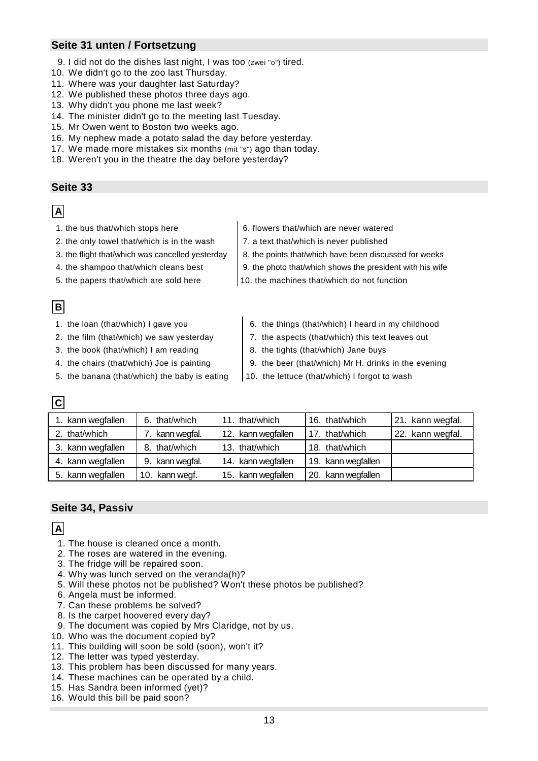# **Seite 31 unten / Fortsetzung**

- 9. I did not do the dishes last night, I was too (zwei "o") tired.
- 10. We didn't go to the zoo last Thursday.
- 11. Where was your daughter last Saturday?
- 12. We published these photos three days ago.
- 13. Why didn't you phone me last week?
- 14. The minister didn't go to the meeting last Tuesday.
- 15. Mr Owen went to Boston two weeks ago.
- 16. My nephew made a potato salad the day before yesterday.
- 17. We made more mistakes six months (mit "s") ago than today.
- 18. Weren't you in the theatre the day before yesterday?

#### **Seite 33**

# **A**

- 
- 2. the only towel that/which is in the wash  $\vert$  7. a text that/which is never published
- 
- 
- 
- 1. the bus that/which stops here  $\begin{vmatrix} 6. \text{ flowers that/which are never watered} \end{vmatrix}$ 
	-
- 3. the flight that/which was cancelled yesterday  $\|8$ . the points that/which have been discussed for weeks
- 4. the shampoo that/which cleans best 9. the photo that/which shows the president with his wife
- 5. the papers that/which are sold here  $\vert$  10. the machines that/which do not function
- **B**

**C**

- 
- 
- 3. the book (that/which) I am reading  $\begin{vmatrix} 8. & \text{the tights (that/which) Jane buys} \end{vmatrix}$
- 
- 5. the banana (that/which) the baby is eating  $\vert$  10. the lettuce (that/which) I forgot to wash
- 1. the loan (that/which) I gave you 6. the things (that/which) I heard in my childhood
- 2. the film (that/which) we saw yesterday  $\begin{array}{|l|l|} \hline \end{array}$  7. the aspects (that/which) this text leaves out
	-
- 4. the chairs (that/which) Joe is painting  $\begin{vmatrix} 9 \\ 10 \end{vmatrix}$  9. the beer (that/which) Mr H. drinks in the evening
	-

| ▏❤▏               |                 |                    |                       |                  |
|-------------------|-----------------|--------------------|-----------------------|------------------|
| 1. kann wegfallen | 6. that/which   | 11. that/which     | 16. that/which        | 21. kann wegfal. |
| 2. that/which     | 7. kann wegfal. | 12. kann wegfallen | 17. that/which        | 22. kann wegfal. |
| 3. kann wegfallen | 8. that/which   | 13. that/which     | 18. that/which        |                  |
| 4. kann wegfallen | 9. kann wegfal. | 14. kann wegfallen | 19. kann wegfallen    |                  |
| 5. kann wegfallen | 10. kann wegf.  | 15. kann wegfallen | kann wegfallen<br>20. |                  |

# **Seite 34, Passiv**

# **A**

- 1. The house is cleaned once a month.
- 2. The roses are watered in the evening.
- 3. The fridge will be repaired soon.
- 4. Why was lunch served on the veranda(h)?
- 5. Will these photos not be published? Won't these photos be published?
- 6. Angela must be informed.
- 7. Can these problems be solved?
- 8. Is the carpet hoovered every day?
- 9. The document was copied by Mrs Claridge, not by us.
- 10. Who was the document copied by?
- 11. This building will soon be sold (soon), won't it?
- 12. The letter was typed yesterday.
- 13. This problem has been discussed for many years.
- 14. These machines can be operated by a child.
- 15. Has Sandra been informed (yet)?
- 16. Would this bill be paid soon?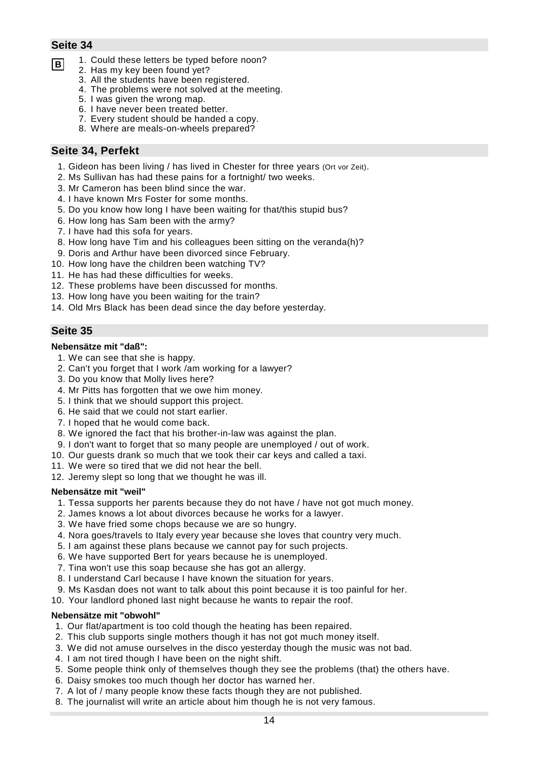- **B** 1. Could these letters be typed before noon?
	- 2. Has my key been found yet?
		- 3. All the students have been registered.
		- 4. The problems were not solved at the meeting.
		- 5. I was given the wrong map.
		- 6. I have never been treated better.
		- 7. Every student should be handed a copy.
		- 8. Where are meals-on-wheels prepared?

# **Seite 34, Perfekt**

- 1. Gideon has been living / has lived in Chester for three years (Ort vor Zeit).
- 2. Ms Sullivan has had these pains for a fortnight/ two weeks.
- 3. Mr Cameron has been blind since the war.
- 4. I have known Mrs Foster for some months.
- 5. Do you know how long I have been waiting for that/this stupid bus?
- 6. How long has Sam been with the army?
- 7. I have had this sofa for years.
- 8. How long have Tim and his colleagues been sitting on the veranda(h)?
- 9. Doris and Arthur have been divorced since February.
- 10. How long have the children been watching TV?
- 11. He has had these difficulties for weeks.
- 12. These problems have been discussed for months.
- 13. How long have you been waiting for the train?
- 14. Old Mrs Black has been dead since the day before yesterday.

# **Seite 35**

#### **Nebensätze mit "daß":**

- 1. We can see that she is happy.
- 2. Can't you forget that I work /am working for a lawyer?
- 3. Do you know that Molly lives here?
- 4. Mr Pitts has forgotten that we owe him money.
- 5. I think that we should support this project.
- 6. He said that we could not start earlier.
- 7. I hoped that he would come back.
- 8. We ignored the fact that his brother-in-law was against the plan.
- 9. I don't want to forget that so many people are unemployed / out of work.
- 10. Our guests drank so much that we took their car keys and called a taxi.
- 11. We were so tired that we did not hear the bell.
- 12. Jeremy slept so long that we thought he was ill.

#### **Nebensätze mit "weil"**

- 1. Tessa supports her parents because they do not have / have not got much money.
- 2. James knows a lot about divorces because he works for a lawyer.
- 3. We have fried some chops because we are so hungry.
- 4. Nora goes/travels to Italy every year because she loves that country very much.
- 5. I am against these plans because we cannot pay for such projects.
- 6. We have supported Bert for years because he is unemployed.
- 7. Tina won't use this soap because she has got an allergy.
- 8. I understand Carl because I have known the situation for years.
- 9. Ms Kasdan does not want to talk about this point because it is too painful for her.
- 10. Your landlord phoned last night because he wants to repair the roof.

#### **Nebensätze mit "obwohl"**

- 1. Our flat/apartment is too cold though the heating has been repaired.
- 2. This club supports single mothers though it has not got much money itself.
- 3. We did not amuse ourselves in the disco yesterday though the music was not bad.
- 4. I am not tired though I have been on the night shift.
- 5. Some people think only of themselves though they see the problems (that) the others have.
- 6. Daisy smokes too much though her doctor has warned her.
- 7. A lot of / many people know these facts though they are not published.
- 8. The journalist will write an article about him though he is not very famous.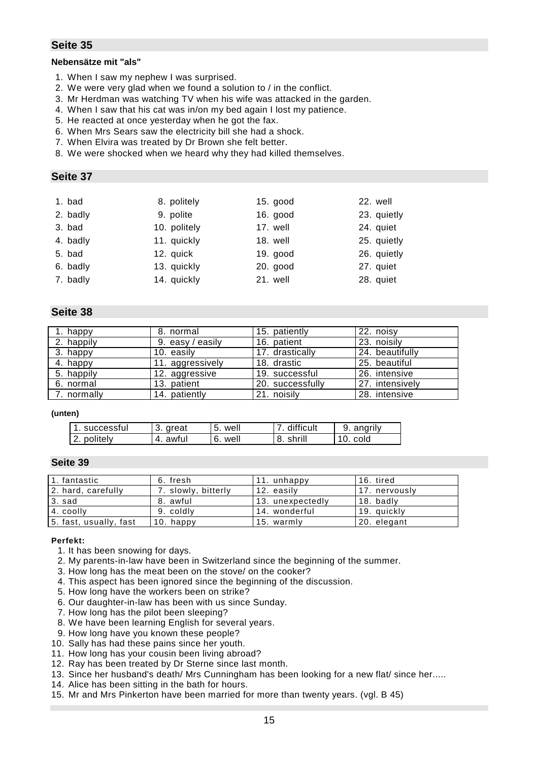#### **Nebensätze mit "als"**

- 1. When I saw my nephew I was surprised.
- 2. We were very glad when we found a solution to / in the conflict.
- 3. Mr Herdman was watching TV when his wife was attacked in the garden.
- 4. When I saw that his cat was in/on my bed again I lost my patience.
- 5. He reacted at once yesterday when he got the fax.
- 6. When Mrs Sears saw the electricity bill she had a shock.
- 7. When Elvira was treated by Dr Brown she felt better.
- 8. We were shocked when we heard why they had killed themselves.

#### **Seite 37**

| 1. bad   | 8. politely  | 15. good   | 22. well    |
|----------|--------------|------------|-------------|
| 2. badly | 9. polite    | 16. good   | 23. quietly |
| 3. bad   | 10. politely | 17. well   | 24. quiet   |
| 4. badly | 11. quickly  | 18. well   | 25. quietly |
| 5. bad   | 12. quick    | $19.$ good | 26. quietly |
| 6. badly | 13. quickly  | $20.$ good | 27. quiet   |
| 7. badly | 14. quickly  | 21. well   | 28. quiet   |
|          |              |            |             |

# **Seite 38**

| 1. happy    | 8. normal        | 15. patiently    | 22. noisy       |
|-------------|------------------|------------------|-----------------|
| 2. happily  | 9. easy / easily | 16. patient      | 23. noisily     |
| 3. happy    | 10. easily       | 17. drastically  | 24. beautifully |
| 4. happy    | 11. aggressively | 18. drastic      | 25. beautiful   |
| 5. happily  | 12. aggressive   | 19. successful   | 26. intensive   |
| 6. normal   | 13. patient      | 20. successfully | 27. intensively |
| 7. normally | 14. patiently    | 21. noisily      | 28. intensive   |

#### **(unten)**

| . successful | 3. great | 5. well | difficult | 9. angrily |
|--------------|----------|---------|-----------|------------|
| 2. politely  | 4. awful | 6. well | 8. shrill | 10. cold   |

#### **Seite 39**

| 1. fantastic           | 6. fresh            | 11. unhappy      | 16. tired     |
|------------------------|---------------------|------------------|---------------|
| 2. hard, carefully     | 7. slowly, bitterly | 12. easily       | 17. nervously |
| 3. sad                 | 8. awful            | 13. unexpectedly | 18. badly     |
| 4. coolly              | 9. coldly           | 14. wonderful    | 19. quickly   |
| 5. fast, usually, fast | 10. happy           | 15. warmly       | 20. elegant   |

#### **Perfekt:**

- 1. It has been snowing for days.
- 2. My parents-in-law have been in Switzerland since the beginning of the summer.
- 3. How long has the meat been on the stove/ on the cooker?
- 4. This aspect has been ignored since the beginning of the discussion.
- 5. How long have the workers been on strike?
- 6. Our daughter-in-law has been with us since Sunday.
- 7. How long has the pilot been sleeping?
- 8. We have been learning English for several years.
- 9. How long have you known these people?
- 10. Sally has had these pains since her youth.
- 11. How long has your cousin been living abroad?
- 12. Ray has been treated by Dr Sterne since last month.
- 13. Since her husband's death/ Mrs Cunningham has been looking for a new flat/ since her.....
- 14. Alice has been sitting in the bath for hours.
- 15. Mr and Mrs Pinkerton have been married for more than twenty years. (vgl. B 45)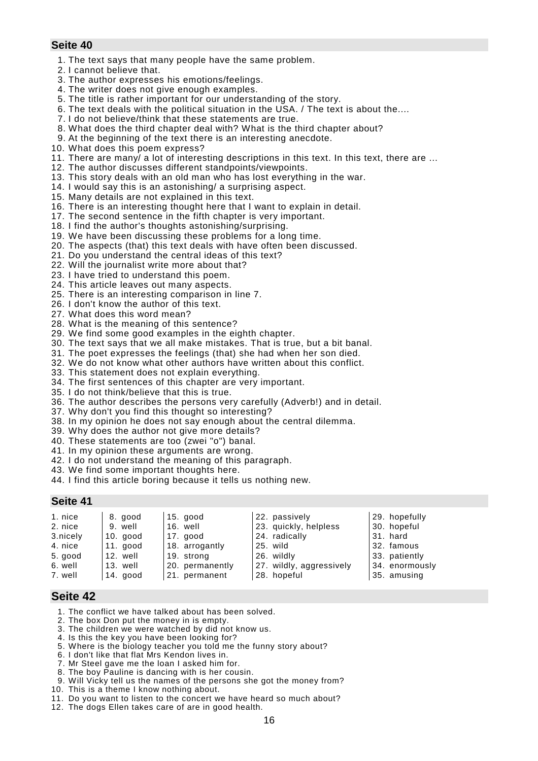- 1. The text says that many people have the same problem.
- 2. I cannot believe that.
- 3. The author expresses his emotions/feelings.
- 4. The writer does not give enough examples.
- 5. The title is rather important for our understanding of the story.
- 6. The text deals with the political situation in the USA. / The text is about the....
- 7. I do not believe/think that these statements are true.
- 8. What does the third chapter deal with? What is the third chapter about?
- 9. At the beginning of the text there is an interesting anecdote.
- 10. What does this poem express?
- 11. There are many/ a lot of interesting descriptions in this text. In this text, there are ...
- 12. The author discusses different standpoints/viewpoints.
- 13. This story deals with an old man who has lost everything in the war.
- 14. I would say this is an astonishing/ a surprising aspect.
- 15. Many details are not explained in this text.
- 16. There is an interesting thought here that I want to explain in detail.
- 17. The second sentence in the fifth chapter is very important.
- 18. I find the author's thoughts astonishing/surprising.
- 19. We have been discussing these problems for a long time.
- 20. The aspects (that) this text deals with have often been discussed.
- 21. Do you understand the central ideas of this text?
- 22. Will the journalist write more about that?
- 23. I have tried to understand this poem.
- 24. This article leaves out many aspects.
- 25. There is an interesting comparison in line 7.
- 26. I don't know the author of this text.
- 27. What does this word mean?
- 28. What is the meaning of this sentence?
- 29. We find some good examples in the eighth chapter.
- 30. The text says that we all make mistakes. That is true, but a bit banal.
- 31. The poet expresses the feelings (that) she had when her son died.
- 32. We do not know what other authors have written about this conflict.
- 33. This statement does not explain everything.
- 34. The first sentences of this chapter are very important.
- 35. I do not think/believe that this is true.
- 36. The author describes the persons very carefully (Adverb!) and in detail.
- 37. Why don't you find this thought so interesting?
- 38. In my opinion he does not say enough about the central dilemma.
- 39. Why does the author not give more details?
- 40. These statements are too (zwei "o") banal.
- 41. In my opinion these arguments are wrong.
- 42. I do not understand the meaning of this paragraph.
- 43. We find some important thoughts here.
- 44. I find this article boring because it tells us nothing new.

#### **Seite 41**

| 1. nice  | 8. good  | $15.$ good      | 22. passively            | 29. hopefully  |
|----------|----------|-----------------|--------------------------|----------------|
| 2. nice  | 9. well  | 16. well        | 23. quickly, helpless    | 30. hopeful    |
| 3.nicely | 10. good | 17. good        | 24. radically            | 31. hard       |
| 4. nice  | 11. good | 18. arrogantly  | 25. wild                 | 32. famous     |
| 5. good  | 12. well | 19. strong      | 26. wildly               | 33. patiently  |
| 6. well  | 13. well | 20. permanently | 27. wildly, aggressively | 34. enormously |
| 7. well  | 14. good | 21. permanent   | 28. hopeful              | 35. amusing    |

- 1. The conflict we have talked about has been solved.
- 2. The box Don put the money in is empty.
- 3. The children we were watched by did not know us.
- 4. Is this the key you have been looking for?
- 5. Where is the biology teacher you told me the funny story about?
- 6. I don't like that flat Mrs Kendon lives in.
- 7. Mr Steel gave me the loan I asked him for.
- 8. The boy Pauline is dancing with is her cousin.
- 9. Will Vicky tell us the names of the persons she got the money from?
- 10. This is a theme I know nothing about.
- 11. Do you want to listen to the concert we have heard so much about?
- 12. The dogs Ellen takes care of are in good health.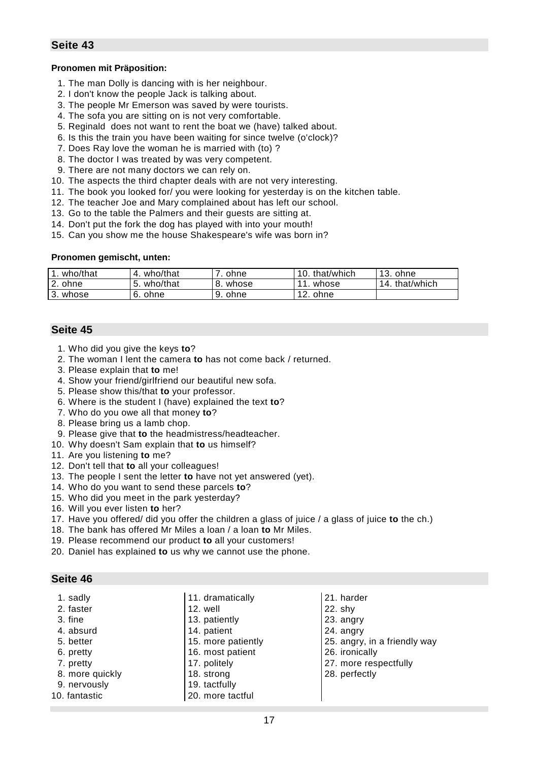#### **Pronomen mit Präposition:**

- 1. The man Dolly is dancing with is her neighbour.
- 2. I don't know the people Jack is talking about.
- 3. The people Mr Emerson was saved by were tourists.
- 4. The sofa you are sitting on is not very comfortable.
- 5. Reginald does not want to rent the boat we (have) talked about.
- 6. Is this the train you have been waiting for since twelve (o'clock)?
- 7. Does Ray love the woman he is married with (to) ?
- 8. The doctor I was treated by was very competent.
- 9. There are not many doctors we can rely on.
- 10. The aspects the third chapter deals with are not very interesting.
- 11. The book you looked for/ you were looking for yesterday is on the kitchen table.
- 12. The teacher Joe and Mary complained about has left our school.
- 13. Go to the table the Palmers and their guests are sitting at.
- 14. Don't put the fork the dog has played with into your mouth!
- 15. Can you show me the house Shakespeare's wife was born in?

#### **Pronomen gemischt, unten:**

| who/that | who/that   | ohne       | that/which<br>10. | $13.$ ohne     |
|----------|------------|------------|-------------------|----------------|
| 2. ohne  | who/that   | whose      | whose             | 14. that/which |
| ა. whose | ohne<br>b. | 9.<br>ohne | 12.<br>ohne       |                |

#### **Seite 45**

- 1. Who did you give the keys **to**?
- 2. The woman I lent the camera **to** has not come back / returned.
- 3. Please explain that **to** me!
- 4. Show your friend/girlfriend our beautiful new sofa.
- 5. Please show this/that **to** your professor.
- 6. Where is the student I (have) explained the text **to**?
- 7. Who do you owe all that money **to**?
- 8. Please bring us a lamb chop.
- 9. Please give that **to** the headmistress/headteacher.
- 10. Why doesn't Sam explain that **to** us himself?
- 11. Are you listening **to** me?
- 12. Don't tell that **to** all your colleagues!
- 13. The people I sent the letter **to** have not yet answered (yet).
- 14. Who do you want to send these parcels **to**?
- 15. Who did you meet in the park yesterday?
- 16. Will you ever listen **to** her?
- 17. Have you offered/ did you offer the children a glass of juice / a glass of juice **to** the ch.)
- 18. The bank has offered Mr Miles a loan / a loan **to** Mr Miles.
- 19. Please recommend our product **to** all your customers!
- 20. Daniel has explained **to** us why we cannot use the phone.

| 1. sadly        | 11. dramatically   | 21. harder                   |
|-----------------|--------------------|------------------------------|
| 2. faster       | 12. well           | $22.$ shy                    |
| 3. fine         | 13. patiently      | 23. angry                    |
| 4. absurd       | 14. patient        | 24. angry                    |
| 5. better       | 15. more patiently | 25. angry, in a friendly way |
| 6. pretty       | 16. most patient   | 26. ironically               |
| 7. pretty       | 17. politely       | 27. more respectfully        |
| 8. more quickly | 18. strong         | 28. perfectly                |
| 9. nervously    | 19. tactfully      |                              |
| 10. fantastic   | 20. more tactful   |                              |
|                 |                    |                              |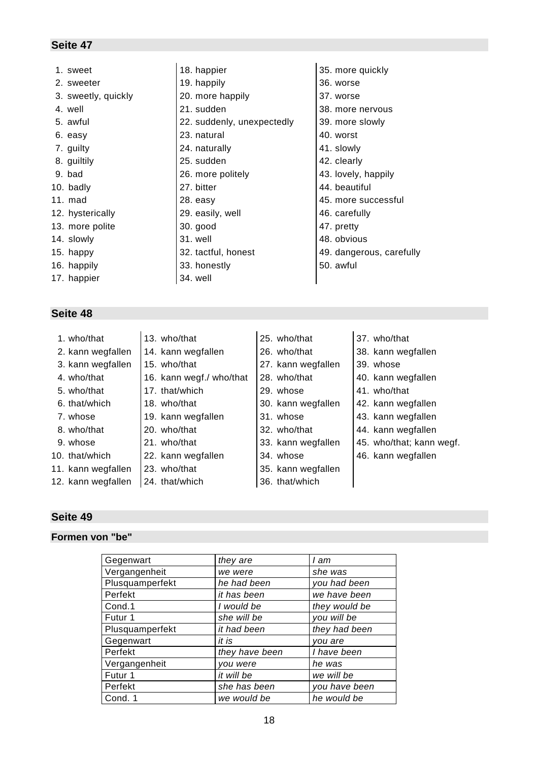| 1. sweet            | 18. happier                | 35. more quickly         |
|---------------------|----------------------------|--------------------------|
| 2. sweeter          | 19. happily                | 36. worse                |
| 3. sweetly, quickly | 20. more happily           | 37. worse                |
| 4. well             | 21. sudden                 | 38. more nervous         |
| 5. awful            | 22. suddenly, unexpectedly | 39. more slowly          |
| 6. easy             | 23. natural                | 40. worst                |
| 7. guilty           | 24. naturally              | 41. slowly               |
| 8. guiltily         | 25. sudden                 | 42. clearly              |
| 9. bad              | 26. more politely          | 43. lovely, happily      |
| 10. badly           | 27. bitter                 | 44. beautiful            |
| $11. \text{ mad}$   | 28. easy                   | 45. more successful      |
| 12. hysterically    | 29. easily, well           | 46. carefully            |
| 13. more polite     | $30.$ good                 | 47. pretty               |
| 14. slowly          | 31. well                   | 48. obvious              |
| 15. happy           | 32. tactful, honest        | 49. dangerous, carefully |
| 16. happily         | 33. honestly               | 50. awful                |
| 17. happier         | 34. well                   |                          |

# **Seite 48**

- 
- 2. kann wegfallen  $|14|$ . kann wegfallen  $|26|$ . who/that  $|38|$ . kann wegfallen
- 3. kann wegfallen  $|15.$  who/that  $|27.$  kann wegfallen  $|39.$  whose
- 
- 
- 
- 
- 
- 
- 
- 
- 12. kann wegfallen  $\vert$  24. that/which  $\vert$  36. that/which
- 1. who/that  $\vert$  13. who/that  $\vert$  25. who/that  $\vert$  37. who/that
	-
	-
	-
	-
	-
	-
	-
	-
	-
	-
- 
- 
- 
- 
- 
- 
- 
- 
- 
- 11. kann wegfallen  $\vert$  23. who/that  $\vert$  35. kann wegfallen
	-
- 
- 
- 
- 4. who/that 16. kann wegf./ who/that  $\vert$  28. who/that  $\vert$  40. kann wegfallen
	-
- 6. that/which  $\vert$  18. who/that  $\vert$  30. kann wegfallen  $\vert$  42. kann wegfallen
- 7. whose  $\vert$  19. kann wegfallen  $\vert$  31. whose  $\vert$  43. kann wegfallen
- 8. who/that  $\vert$  20. who/that  $\vert$  32. who/that  $\vert$  44. kann wegfallen
- 9. whose  $\vert$  21. who/that  $\vert$  33. kann wegfallen  $\vert$  45. who/that; kann wegf.
- 10. that/which  $\vert$  22. kann wegfallen  $\vert$  34. whose  $\vert$  46. kann wegfallen

# **Seite 49**

### **Formen von "be"**

| Gegenwart       | they are       | I am          |
|-----------------|----------------|---------------|
| Vergangenheit   | we were        | she was       |
| Plusquamperfekt | he had been    | you had been  |
| Perfekt         | it has been    | we have been  |
| Cond.1          | I would be     | they would be |
| Futur 1         | she will be    | you will be   |
| Plusquamperfekt | it had been    | they had been |
| Gegenwart       | it is          | you are       |
| Perfekt         | they have been | I have been   |
| Vergangenheit   | you were       | he was        |
| Futur 1         | it will be     | we will be    |
| Perfekt         | she has been   | you have been |
| Cond. 1         | we would be    | he would be   |

- 
- 5. who/that 17. that/which 29. whose 41. who/that
	-
	-
	-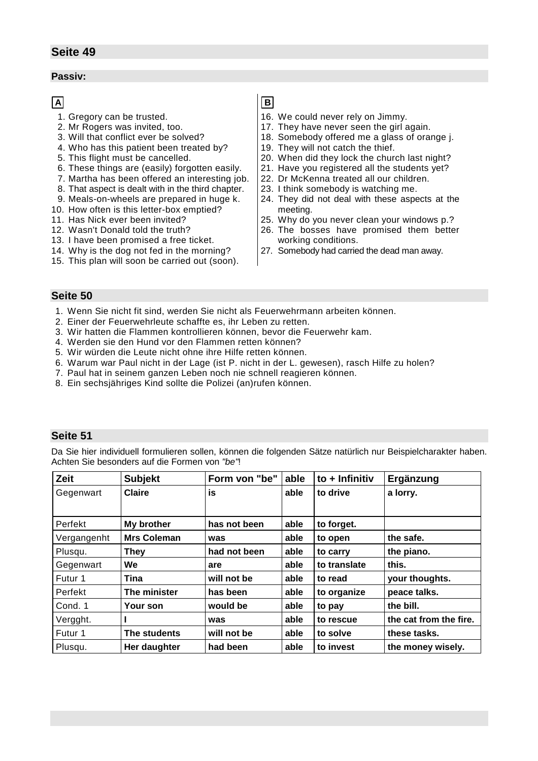#### **Passiv:**

# **A**

- 1. Gregory can be trusted.
- 2. Mr Rogers was invited, too.
- 3. Will that conflict ever be solved?
- 4. Who has this patient been treated by?
- 5. This flight must be cancelled.
- 6. These things are (easily) forgotten easily.
- 7. Martha has been offered an interesting job.
- 8. That aspect is dealt with in the third chapter.
- 9. Meals-on-wheels are prepared in huge k.
- 10. How often is this letter-box emptied?
- 11. Has Nick ever been invited?
- 12. Wasn't Donald told the truth?
- 13. I have been promised a free ticket.
- 14. Why is the dog not fed in the morning?
- 15. This plan will soon be carried out (soon).

**B**

- 16. We could never rely on Jimmy.
- 17. They have never seen the girl again.
- 18. Somebody offered me a glass of orange j.
- 19. They will not catch the thief.
- 20. When did they lock the church last night?
- 21. Have you registered all the students yet?
- 22. Dr McKenna treated all our children.
- 23. I think somebody is watching me.
- 24. They did not deal with these aspects at the meeting.
- 25. Why do you never clean your windows p.?
- 26. The bosses have promised them better working conditions.
- 27. Somebody had carried the dead man away.

#### **Seite 50**

- 1. Wenn Sie nicht fit sind, werden Sie nicht als Feuerwehrmann arbeiten können.
- 2. Einer der Feuerwehrleute schaffte es, ihr Leben zu retten.
- 3. Wir hatten die Flammen kontrollieren können, bevor die Feuerwehr kam.
- 4. Werden sie den Hund vor den Flammen retten können?
- 5. Wir würden die Leute nicht ohne ihre Hilfe retten können.
- 6. Warum war Paul nicht in der Lage (ist P. nicht in der L. gewesen), rasch Hilfe zu holen?
- 7. Paul hat in seinem ganzen Leben noch nie schnell reagieren können.
- 8. Ein sechsjähriges Kind sollte die Polizei (an)rufen können.

#### **Seite 51**

Da Sie hier individuell formulieren sollen, können die folgenden Sätze natürlich nur Beispielcharakter haben. Achten Sie besonders auf die Formen von *"be"*!

| <b>Zeit</b> | <b>Subjekt</b>     | Form von "be" | able | to $+$ Infinitiv | Ergänzung              |
|-------------|--------------------|---------------|------|------------------|------------------------|
| Gegenwart   | <b>Claire</b>      | is            | able | to drive         | a lorry.               |
|             |                    |               |      |                  |                        |
| Perfekt     | My brother         | has not been  | able | to forget.       |                        |
| Vergangenht | <b>Mrs Coleman</b> | was           | able | to open          | the safe.              |
| Plusqu.     | <b>They</b>        | had not been  | able | to carry         | the piano.             |
| Gegenwart   | <b>We</b>          | are           | able | to translate     | this.                  |
| Futur 1     | Tina               | will not be   | able | to read          | your thoughts.         |
| Perfekt     | The minister       | has been      | able | to organize      | peace talks.           |
| Cond. 1     | Your son           | would be      | able | to pay           | the bill.              |
| Vergght.    |                    | was           | able | to rescue        | the cat from the fire. |
| Futur 1     | The students       | will not be   | able | to solve         | these tasks.           |
| Plusqu.     | Her daughter       | had been      | able | to invest        | the money wisely.      |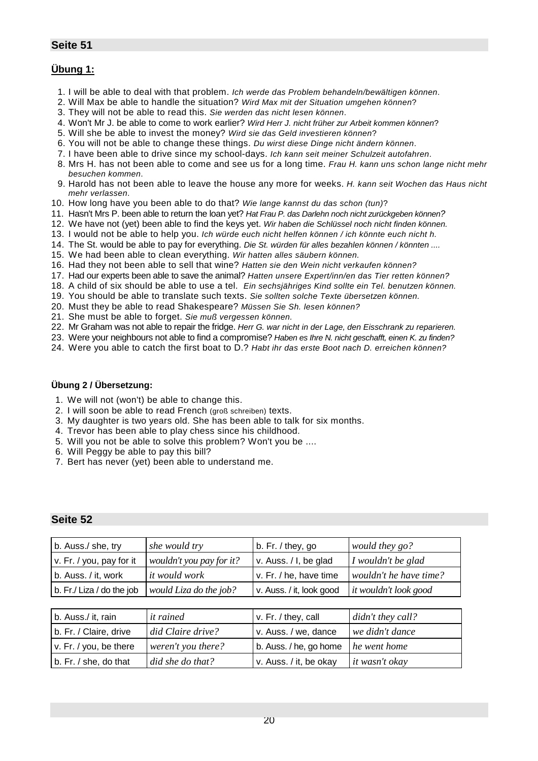# **Übung 1:**

- 1. I will be able to deal with that problem. *Ich werde das Problem behandeln/bewältigen können*.
- 2. Will Max be able to handle the situation? *Wird Max mit der Situation umgehen können*?
- 3. They will not be able to read this. *Sie werden das nicht lesen können*.
- 4. Won't Mr J. be able to come to work earlier? *Wird Herr J. nicht früher zur Arbeit kommen können*?
- 5. Will she be able to invest the money? *Wird sie das Geld investieren können*?
- 6. You will not be able to change these things. *Du wirst diese Dinge nicht ändern können*.
- 7. I have been able to drive since my school-days. *Ich kann seit meiner Schulzeit autofahren*.
- 8. Mrs H. has not been able to come and see us for a long time. *Frau H. kann uns schon lange nicht mehr besuchen kommen*.
- 9. Harold has not been able to leave the house any more for weeks. *H. kann seit Wochen das Haus nicht mehr verlassen*.
- 10. How long have you been able to do that? *Wie lange kannst du das schon (tun)*?
- 11. Hasn't Mrs P. been able to return the loan yet? *Hat Frau P. das Darlehn noch nicht zurückgeben können?*
- 12. We have not (yet) been able to find the keys yet. *Wir haben die Schlüssel noch nicht finden können.*
- 13. I would not be able to help you. *Ich würde euch nicht helfen können / ich könnte euch nicht h.*
- 14. The St. would be able to pay for everything. *Die St. würden für alles bezahlen können / könnten ....*
- 15. We had been able to clean everything. *Wir hatten alles säubern können.*
- 16. Had they not been able to sell that wine? *Hatten sie den Wein nicht verkaufen können?*
- 17. Had our experts been able to save the animal? *Hatten unsere Expert/inn/en das Tier retten können?*
- 18. A child of six should be able to use a tel. *Ein sechsjähriges Kind sollte ein Tel. benutzen können.*
- 19. You should be able to translate such texts. *Sie sollten solche Texte übersetzen können.*
- 20. Must they be able to read Shakespeare? *Müssen Sie Sh. lesen können?*
- 21. She must be able to forget. *Sie muß vergessen können.*
- 22. Mr Graham was not able to repair the fridge. *Herr G. war nicht in der Lage, den Eisschrank zu reparieren.*
- 23. Were your neighbours not able to find a compromise? *Haben es Ihre N. nicht geschafft, einen K. zu finden?*
- 24. Were you able to catch the first boat to D.? *Habt ihr das erste Boot nach D. erreichen können?*

#### **Übung 2 / Übersetzung:**

- 1. We will not (won't) be able to change this.
- 2. I will soon be able to read French (groß schreiben) texts.
- 3. My daughter is two years old. She has been able to talk for six months.
- 4. Trevor has been able to play chess since his childhood.
- 5. Will you not be able to solve this problem? Won't you be ....
- 6. Will Peggy be able to pay this bill?
- 7. Bert has never (yet) been able to understand me.

| b. Auss./ she, try        | she would try            | b. Fr. / they, go        | would they go?         |
|---------------------------|--------------------------|--------------------------|------------------------|
| v. Fr. / you, pay for it  | wouldn't you pay for it? | v. Auss. / I, be glad    | I wouldn't be glad     |
| b. Auss. / it, work       | <i>it would work</i>     | v. Fr. / he, have time   | wouldn't he have time? |
| b. Fr./ Liza / do the job | would Liza do the job?   | v. Auss. / it, look good | it wouldn't look good  |
|                           |                          |                          |                        |
| b. Auss./ it, rain        | <i>it rained</i>         | v. Fr. / they, call      | didn't they call?      |
| b. Fr. / Claire, drive    | did Claire drive?        | v. Auss. / we, dance     | we didn't dance        |
| v. Fr. / you, be there    | weren't you there?       | b. Auss. / he, go home   | he went home           |
| b. Fr. / she, do that     | did she do that?         | v. Auss. / it, be okay   | it wasn't okay         |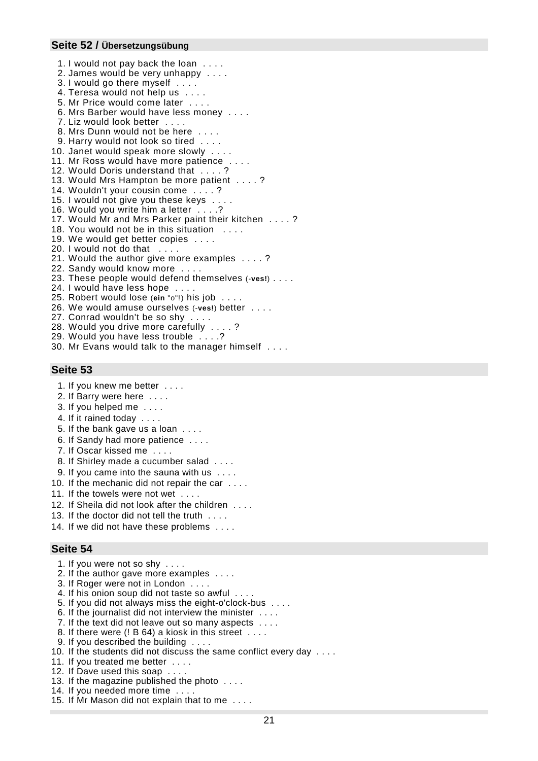#### **Seite 52 / Übersetzungsübung**

- 1. I would not pay back the loan . . . . 2. James would be very unhappy . . . .
- 3. I would go there myself . . . .
- 4. Teresa would not help us . . . .
- 5. Mr Price would come later . . . .
- 6. Mrs Barber would have less money . . . .
- 7. Liz would look better . . . .
- 8. Mrs Dunn would not be here ....
- 9. Harry would not look so tired . . . .
- 10. Janet would speak more slowly . . . .
- 11. Mr Ross would have more patience.
- 12. Would Doris understand that . . . . ?
- 13. Would Mrs Hampton be more patient . . . . ?
- 14. Wouldn't your cousin come . . . . ?
- 15. I would not give you these keys . . . .
- 16. Would you write him a letter . . . .?
- 17. Would Mr and Mrs Parker paint their kitchen . . . . ?
- 18. You would not be in this situation
- 19. We would get better copies . . . .
- 20. I would not do that . . . .
- 21. Would the author give more examples . . . . ?
- 22. Sandy would know more . . . .
- 23. These people would defend themselves (-**ves!**) . . . .
- 24. I would have less hope . . . .
- 25. Robert would lose (**ein** "o"!) his job . . . .
- 26. We would amuse ourselves (-**ves!**) better . . . .
- 27. Conrad wouldn't be so shy . . . .
- 28. Would you drive more carefully . . . . ?
- 29. Would you have less trouble . . . .?
- 30. Mr Evans would talk to the manager himself . . . .

# **Seite 53**

- 1. If you knew me better . . . .
- 2. If Barry were here . . . .
- 3. If you helped me . . . .
- 4. If it rained today . . . .
- 5. If the bank gave us a loan . . . .
- 6. If Sandy had more patience . . . .
- 7. If Oscar kissed me . . . .
- 8. If Shirley made a cucumber salad . . . .
- 9. If you came into the sauna with us . . . .
- 10. If the mechanic did not repair the car . . . .
- 11. If the towels were not wet . . . .
- 12. If Sheila did not look after the children . . . .
- 13. If the doctor did not tell the truth . . . .
- 14. If we did not have these problems . . . .

- 1. If you were not so shy . . . .
- 2. If the author gave more examples . . . .
- 3. If Roger were not in London . . . .
- 4. If his onion soup did not taste so awful . . . .
- 5. If you did not always miss the eight-o'clock-bus . . . .
- 6. If the journalist did not interview the minister . . . .
- 7. If the text did not leave out so many aspects . . . .
- 8. If there were (! B 64) a kiosk in this street . . . .
- 9. If you described the building . . . .
- 10. If the students did not discuss the same conflict every day . . . .
- 11. If you treated me better . . . .
- 12. If Dave used this soap . . . .
- 13. If the magazine published the photo . . . .
- 14. If you needed more time . . . .
- 15. If Mr Mason did not explain that to me . . . .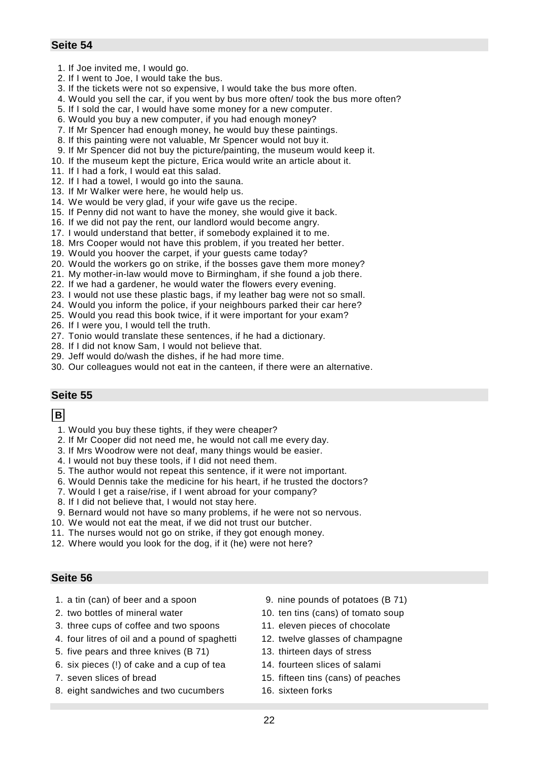- 1. If Joe invited me, I would go.
- 2. If I went to Joe, I would take the bus.
- 3. If the tickets were not so expensive, I would take the bus more often.
- 4. Would you sell the car, if you went by bus more often/ took the bus more often?
- 5. If I sold the car, I would have some money for a new computer.
- 6. Would you buy a new computer, if you had enough money?
- 7. If Mr Spencer had enough money, he would buy these paintings.
- 8. If this painting were not valuable, Mr Spencer would not buy it.
- 9. If Mr Spencer did not buy the picture/painting, the museum would keep it.
- 10. If the museum kept the picture, Erica would write an article about it.
- 11. If I had a fork, I would eat this salad.
- 12. If I had a towel, I would go into the sauna.
- 13. If Mr Walker were here, he would help us.
- 14. We would be very glad, if your wife gave us the recipe.
- 15. If Penny did not want to have the money, she would give it back.
- 16. If we did not pay the rent, our landlord would become angry.
- 17. I would understand that better, if somebody explained it to me.
- 18. Mrs Cooper would not have this problem, if you treated her better.
- 19. Would you hoover the carpet, if your guests came today?
- 20. Would the workers go on strike, if the bosses gave them more money?
- 21. My mother-in-law would move to Birmingham, if she found a job there.
- 22. If we had a gardener, he would water the flowers every evening.
- 23. I would not use these plastic bags, if my leather bag were not so small.
- 24. Would you inform the police, if your neighbours parked their car here?
- 25. Would you read this book twice, if it were important for your exam?
- 26. If I were you, I would tell the truth.
- 27. Tonio would translate these sentences, if he had a dictionary.
- 28. If I did not know Sam, I would not believe that.
- 29. Jeff would do/wash the dishes, if he had more time.
- 30. Our colleagues would not eat in the canteen, if there were an alternative.

# **Seite 55**

### **B**

- 1. Would you buy these tights, if they were cheaper?
- 2. If Mr Cooper did not need me, he would not call me every day.
- 3. If Mrs Woodrow were not deaf, many things would be easier.
- 4. I would not buy these tools, if I did not need them.
- 5. The author would not repeat this sentence, if it were not important.
- 6. Would Dennis take the medicine for his heart, if he trusted the doctors?
- 7. Would I get a raise/rise, if I went abroad for your company?
- 8. If I did not believe that, I would not stay here.
- 9. Bernard would not have so many problems, if he were not so nervous.
- 10. We would not eat the meat, if we did not trust our butcher.
- 11. The nurses would not go on strike, if they got enough money.
- 12. Where would you look for the dog, if it (he) were not here?

- 
- 
- 3. three cups of coffee and two spoons 11. eleven pieces of chocolate
- 4. four litres of oil and a pound of spaghetti 12. twelve glasses of champagne
- 5. five pears and three knives (B 71) 13. thirteen days of stress
- 6. six pieces (!) of cake and a cup of tea 14. fourteen slices of salami
- 
- 8. eight sandwiches and two cucumbers 16. sixteen forks
- 1. a tin (can) of beer and a spoon 9. nine pounds of potatoes (B 71)
- 2. two bottles of mineral water 10. ten tins (cans) of tomato soup
	-
	-
	-
	-
- 7. seven slices of bread 15. fifteen tins (cans) of peaches
	-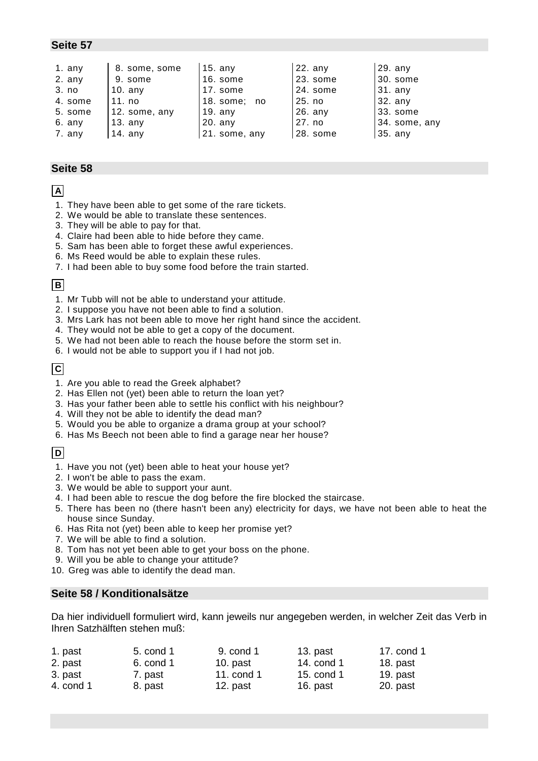| 1. any   | 8. some, some | $15.$ any     | $22.$ any | 29. any       |
|----------|---------------|---------------|-----------|---------------|
| $2.$ any | 9. some       | 16. some      | 23. some  | $ 30.$ some   |
| 3. no    | 10. any       | 17. some      | 24. some  | $31.$ any     |
| 4. some  | 11. no        | 18. some; no  | 25. no    | 132. any      |
| 5. some  | 12. some, any | $19.$ any     | 26. any   | 133. some     |
| 6. any   | $13.$ any     | $20.$ any     | 27. no    | 34. some, any |
| 7. any   | 14. $any$     | 21. some, any | 28. some  | 35. any       |

#### **Seite 58**

# **A**

- 1. They have been able to get some of the rare tickets.
- 2. We would be able to translate these sentences.
- 3. They will be able to pay for that.
- 4. Claire had been able to hide before they came.
- 5. Sam has been able to forget these awful experiences.
- 6. Ms Reed would be able to explain these rules.
- 7. I had been able to buy some food before the train started.

### **B**

- 1. Mr Tubb will not be able to understand your attitude.
- 2. I suppose you have not been able to find a solution.
- 3. Mrs Lark has not been able to move her right hand since the accident.
- 4. They would not be able to get a copy of the document.
- 5. We had not been able to reach the house before the storm set in.
- 6. I would not be able to support you if I had not job.

# **C**

- 1. Are you able to read the Greek alphabet?
- 2. Has Ellen not (yet) been able to return the loan yet?
- 3. Has your father been able to settle his conflict with his neighbour?
- 4. Will they not be able to identify the dead man?
- 5. Would you be able to organize a drama group at your school?
- 6. Has Ms Beech not been able to find a garage near her house?

# **D**

- 1. Have you not (yet) been able to heat your house yet?
- 2. I won't be able to pass the exam.
- 3. We would be able to support your aunt.
- 4. I had been able to rescue the dog before the fire blocked the staircase.
- 5. There has been no (there hasn't been any) electricity for days, we have not been able to heat the house since Sunday.
- 6. Has Rita not (yet) been able to keep her promise yet?
- 7. We will be able to find a solution.
- 8. Tom has not yet been able to get your boss on the phone.
- 9. Will you be able to change your attitude?
- 10. Greg was able to identify the dead man.

# **Seite 58 / Konditionalsätze**

Da hier individuell formuliert wird, kann jeweils nur angegeben werden, in welcher Zeit das Verb in Ihren Satzhälften stehen muß:

| 1. past   | 5. cond 1 | 9. cond 1  | $13.$ past | 17. cond 1 |
|-----------|-----------|------------|------------|------------|
| 2. past   | 6. cond 1 | 10. $past$ | 14. cond 1 | 18. past   |
| 3. past   | 7. past   | 11. cond 1 | 15. cond 1 | 19. $past$ |
| 4. cond 1 | 8. past   | 12. past   | 16. past   | 20. past   |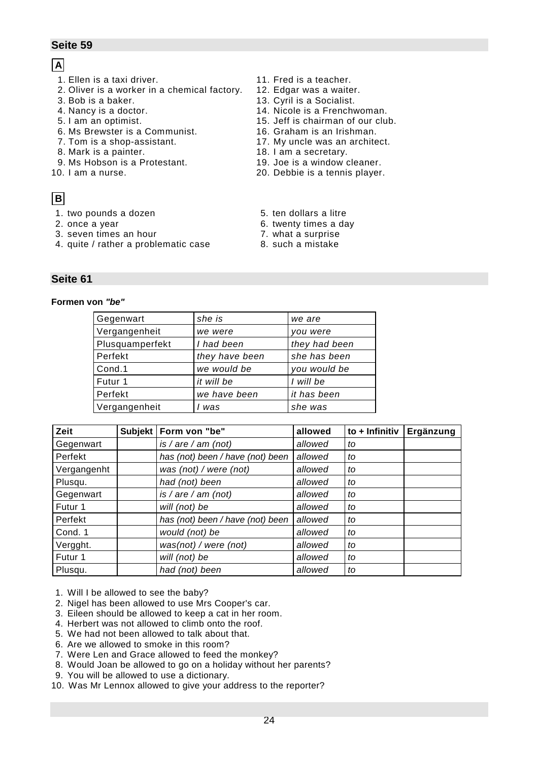# **A**

- 1. Ellen is a taxi driver. 11. Fred is a teacher.
- 2. Oliver is a worker in a chemical factory. 12. Edgar was a waiter.
- 
- 
- 
- 6. Ms Brewster is a Communist. 16. Graham is an Irishman.
- 
- 8. Mark is a painter. The same secretary.
- 9. Ms Hobson is a Protestant. 19. Joe is a window cleaner.
- 

# **B**

- 1. two pounds a dozen 5. ten dollars a litre
- 
- 3. seven times an hour 7. what a surprise
- 4. quite / rather a problematic case 8. such a mistake
- 
- 
- 3. Bob is a baker. 13. Cyril is a Socialist.
- 4. Nancy is a doctor. 14. Nicole is a Frenchwoman.
- 5. I am an optimist. 15. Jeff is chairman of our club.
	-
- 7. Tom is a shop-assistant. 17. My uncle was an architect.
	-
	-
- 10. I am a nurse. 20. Debbie is a tennis player.
	-
- 2. once a year **6. twenty times a day** 
	-
	-

# **Seite 61**

#### **Formen von** *"be"*

| Gegenwart       | she is         | we are        |
|-----------------|----------------|---------------|
| Vergangenheit   | we were        | you were      |
| Plusquamperfekt | I had been     | they had been |
| Perfekt         | they have been | she has been  |
| Cond.1          | we would be    | you would be  |
| Futur 1         | it will be     | I will be     |
| Perfekt         | we have been   | it has been   |
| Vergangenheit   | was            | she was       |
|                 |                |               |

| Zeit        | Subjekt   Form von "be"          | allowed | to $+$ Infinitiv | Ergänzung |
|-------------|----------------------------------|---------|------------------|-----------|
| Gegenwart   | is / are / am (not)              | allowed | to               |           |
| Perfekt     | has (not) been / have (not) been | allowed | to               |           |
| Vergangenht | was (not) / were (not)           | allowed | to               |           |
| Plusqu.     | had (not) been                   | allowed | to               |           |
| Gegenwart   | is / are / am (not)              | allowed | to               |           |
| Futur 1     | will (not) be                    | allowed | to               |           |
| Perfekt     | has (not) been / have (not) been | allowed | to               |           |
| Cond. 1     | would (not) be                   | allowed | to               |           |
| Vergght.    | was(not) / were (not)            | allowed | to               |           |
| Futur 1     | will (not) be                    | allowed | to               |           |
| Plusqu.     | had (not) been                   | allowed | to               |           |

- 1. Will I be allowed to see the baby?
- 2. Nigel has been allowed to use Mrs Cooper's car.
- 3. Eileen should be allowed to keep a cat in her room.
- 4. Herbert was not allowed to climb onto the roof.
- 5. We had not been allowed to talk about that.
- 6. Are we allowed to smoke in this room?
- 7. Were Len and Grace allowed to feed the monkey?
- 8. Would Joan be allowed to go on a holiday without her parents?
- 9. You will be allowed to use a dictionary.
- 10. Was Mr Lennox allowed to give your address to the reporter?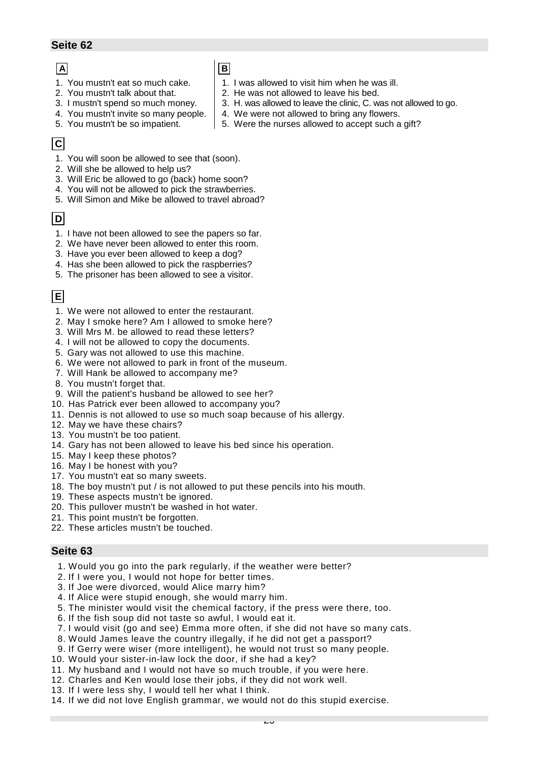# **A**

- 1. You mustn't eat so much cake.
- 2. You mustn't talk about that.
- **B**
	- 1. I was allowed to visit him when he was ill.
- 2. He was not allowed to leave his bed.
	- 3. H. was allowed to leave the clinic, C. was not allowed to go.
	- 4. We were not allowed to bring any flowers.
- 4. You mustn't invite so many people. 5. You mustn't be so impatient.

3. I mustn't spend so much money.

5. Were the nurses allowed to accept such a gift?

# **C**

- 1. You will soon be allowed to see that (soon).
- 2. Will she be allowed to help us?
- 3. Will Eric be allowed to go (back) home soon?
- 4. You will not be allowed to pick the strawberries.
- 5. Will Simon and Mike be allowed to travel abroad?

# **D**

- 1. I have not been allowed to see the papers so far.
- 2. We have never been allowed to enter this room.
- 3. Have you ever been allowed to keep a dog?
- 4. Has she been allowed to pick the raspberries?
- 5. The prisoner has been allowed to see a visitor.

# **E**

- 1. We were not allowed to enter the restaurant.
- 2. May I smoke here? Am I allowed to smoke here?
- 3. Will Mrs M. be allowed to read these letters?
- 4. I will not be allowed to copy the documents.
- 5. Gary was not allowed to use this machine.
- 6. We were not allowed to park in front of the museum.
- 7. Will Hank be allowed to accompany me?
- 8. You mustn't forget that.
- 9. Will the patient's husband be allowed to see her?
- 10. Has Patrick ever been allowed to accompany you?
- 11. Dennis is not allowed to use so much soap because of his allergy.
- 12. May we have these chairs?
- 13. You mustn't be too patient.
- 14. Gary has not been allowed to leave his bed since his operation.
- 15. May I keep these photos?
- 16. May I be honest with you?
- 17. You mustn't eat so many sweets.
- 18. The boy mustn't put / is not allowed to put these pencils into his mouth.
- 19. These aspects mustn't be ignored.
- 20. This pullover mustn't be washed in hot water.
- 21. This point mustn't be forgotten.
- 22. These articles mustn't be touched.

- 1. Would you go into the park regularly, if the weather were better?
- 2. If I were you, I would not hope for better times.
- 3. If Joe were divorced, would Alice marry him?
- 4. If Alice were stupid enough, she would marry him.
- 5. The minister would visit the chemical factory, if the press were there, too.
- 6. If the fish soup did not taste so awful, I would eat it.
- 7. I would visit (go and see) Emma more often, if she did not have so many cats.
- 8. Would James leave the country illegally, if he did not get a passport?
- 9. If Gerry were wiser (more intelligent), he would not trust so many people.
- 10. Would your sister-in-law lock the door, if she had a key?
- 11. My husband and I would not have so much trouble, if you were here.
- 12. Charles and Ken would lose their jobs, if they did not work well.
- 13. If I were less shy, I would tell her what I think.
- 14. If we did not love English grammar, we would not do this stupid exercise.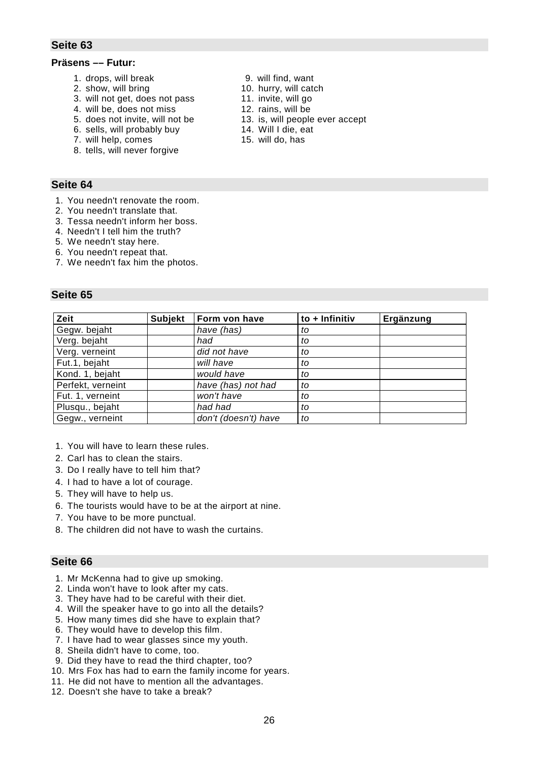#### **Präsens –– Futur:**

- 1. drops, will break 9. will find, want
- 2. show, will bring 2. show, will catch
- 3. will not get, does not pass 11. invite, will go
- 4. will be, does not miss 12. rains, will be
- 
- 6. sells, will probably buy 14. Will I die, eat
- 7. will help, comes 15. will do, has
- 8. tells, will never forgive

#### **Seite 64**

- 1. You needn't renovate the room.
- 2. You needn't translate that.
- 3. Tessa needn't inform her boss.
- 4. Needn't I tell him the truth?
- 5. We needn't stay here.
- 6. You needn't repeat that.
- 7. We needn't fax him the photos.

#### **Seite 65**

| Zeit              | <b>Subjekt</b> | Form von have        | to + Infinitiv | Ergänzung |
|-------------------|----------------|----------------------|----------------|-----------|
| Gegw. bejaht      |                | have (has)           | to             |           |
| Verg. bejaht      |                | had                  | to             |           |
| Verg. verneint    |                | did not have         | to             |           |
| Fut.1, bejaht     |                | will have            | to             |           |
| Kond. 1, bejaht   |                | would have           | to             |           |
| Perfekt, verneint |                | have (has) not had   | to             |           |
| Fut. 1, verneint  |                | won't have           | to             |           |
| Plusqu., bejaht   |                | had had              | to             |           |
| Gegw., verneint   |                | don't (doesn't) have | to             |           |

- 1. You will have to learn these rules.
- 2. Carl has to clean the stairs.
- 3. Do I really have to tell him that?
- 4. I had to have a lot of courage.
- 5. They will have to help us.
- 6. The tourists would have to be at the airport at nine.
- 7. You have to be more punctual.
- 8. The children did not have to wash the curtains.

- 1. Mr McKenna had to give up smoking.
- 2. Linda won't have to look after my cats.
- 3. They have had to be careful with their diet.
- 4. Will the speaker have to go into all the details?
- 5. How many times did she have to explain that?
- 6. They would have to develop this film.
- 7. I have had to wear glasses since my youth.
- 8. Sheila didn't have to come, too.
- 9. Did they have to read the third chapter, too?
- 10. Mrs Fox has had to earn the family income for years.
- 11. He did not have to mention all the advantages.
- 12. Doesn't she have to take a break?
- 
- 
- 
- 
- 5. does not invite, will not be 13. is, will people ever accept
	-
	-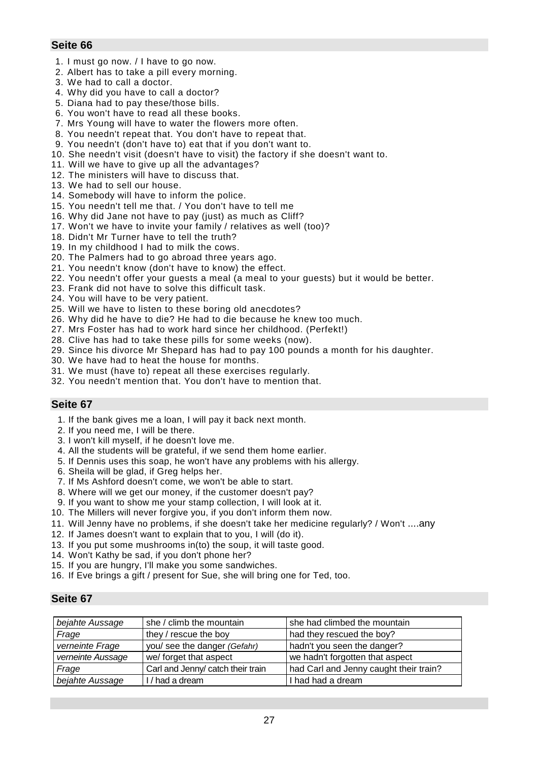- 1. I must go now. / I have to go now.
- 2. Albert has to take a pill every morning.
- 3. We had to call a doctor.
- 4. Why did you have to call a doctor?
- 5. Diana had to pay these/those bills.
- 6. You won't have to read all these books.
- 7. Mrs Young will have to water the flowers more often.
- 8. You needn't repeat that. You don't have to repeat that.
- 9. You needn't (don't have to) eat that if you don't want to.
- 10. She needn't visit (doesn't have to visit) the factory if she doesn't want to.
- 11. Will we have to give up all the advantages?
- 12. The ministers will have to discuss that.
- 13. We had to sell our house.
- 14. Somebody will have to inform the police.
- 15. You needn't tell me that. / You don't have to tell me
- 16. Why did Jane not have to pay (just) as much as Cliff?
- 17. Won't we have to invite your family / relatives as well (too)?
- 18. Didn't Mr Turner have to tell the truth?
- 19. In my childhood I had to milk the cows.
- 20. The Palmers had to go abroad three years ago.
- 21. You needn't know (don't have to know) the effect.
- 22. You needn't offer your guests a meal (a meal to your guests) but it would be better.
- 23. Frank did not have to solve this difficult task.
- 24. You will have to be very patient.
- 25. Will we have to listen to these boring old anecdotes?
- 26. Why did he have to die? He had to die because he knew too much.
- 27. Mrs Foster has had to work hard since her childhood. (Perfekt!)
- 28. Clive has had to take these pills for some weeks (now).
- 29. Since his divorce Mr Shepard has had to pay 100 pounds a month for his daughter.
- 30. We have had to heat the house for months.
- 31. We must (have to) repeat all these exercises regularly.
- 32. You needn't mention that. You don't have to mention that.

# **Seite 67**

- 1. If the bank gives me a loan, I will pay it back next month.
- 2. If you need me, I will be there.
- 3. I won't kill myself, if he doesn't love me.
- 4. All the students will be grateful, if we send them home earlier.
- 5. If Dennis uses this soap, he won't have any problems with his allergy.
- 6. Sheila will be glad, if Greg helps her.
- 7. If Ms Ashford doesn't come, we won't be able to start.
- 8. Where will we get our money, if the customer doesn't pay?
- 9. If you want to show me your stamp collection, I will look at it.
- 10. The Millers will never forgive you, if you don't inform them now.
- 11. Will Jenny have no problems, if she doesn't take her medicine regularly? / Won't ....any
- 12. If James doesn't want to explain that to you, I will (do it).
- 13. If you put some mushrooms in(to) the soup, it will taste good.
- 14. Won't Kathy be sad, if you don't phone her?
- 15. If you are hungry, I'll make you some sandwiches.
- 16. If Eve brings a gift / present for Sue, she will bring one for Ted, too.

| bejahte Aussage   | she / climb the mountain          | she had climbed the mountain           |
|-------------------|-----------------------------------|----------------------------------------|
| Frage             | they / rescue the boy             | had they rescued the boy?              |
| verneinte Frage   | you/ see the danger (Gefahr)      | hadn't you seen the danger?            |
| verneinte Aussage | we/ forget that aspect            | we hadn't forgotten that aspect        |
| Frage             | Carl and Jenny/ catch their train | had Carl and Jenny caught their train? |
| bejahte Aussage   | I / had a dream                   | I had had a dream                      |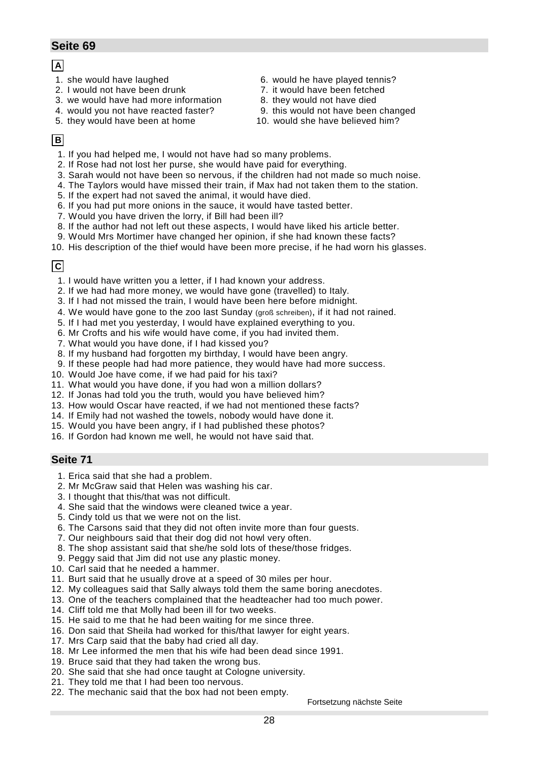# **A**

- 
- 
- 3. we would have had more information 8. they would not have died
- 
- 5. they would have been at home 10. would she have believed him?
- 1. she would have laughed 6. would he have played tennis?
- 2. I would not have been drunk 7. it would have been fetched
	-
- 4. would you not have reacted faster? 9. this would not have been changed
	-

# **B**

- 1. If you had helped me, I would not have had so many problems.
- 2. If Rose had not lost her purse, she would have paid for everything.
- 3. Sarah would not have been so nervous, if the children had not made so much noise.
- 4. The Taylors would have missed their train, if Max had not taken them to the station.
- 5. If the expert had not saved the animal, it would have died.
- 6. If you had put more onions in the sauce, it would have tasted better.
- 7. Would you have driven the lorry, if Bill had been ill?
- 8. If the author had not left out these aspects, I would have liked his article better.
- 9. Would Mrs Mortimer have changed her opinion, if she had known these facts?
- 10. His description of the thief would have been more precise, if he had worn his glasses.

# **C**

- 1. I would have written you a letter, if I had known your address.
- 2. If we had had more money, we would have gone (travelled) to Italy.
- 3. If I had not missed the train, I would have been here before midnight.
- 4. We would have gone to the zoo last Sunday (groß schreiben), if it had not rained.
- 5. If I had met you yesterday, I would have explained everything to you.
- 6. Mr Crofts and his wife would have come, if you had invited them.
- 7. What would you have done, if I had kissed you?
- 8. If my husband had forgotten my birthday, I would have been angry.
- 9. If these people had had more patience, they would have had more success.
- 10. Would Joe have come, if we had paid for his taxi?
- 11. What would you have done, if you had won a million dollars?
- 12. If Jonas had told you the truth, would you have believed him?
- 13. How would Oscar have reacted, if we had not mentioned these facts?
- 14. If Emily had not washed the towels, nobody would have done it.
- 15. Would you have been angry, if I had published these photos?
- 16. If Gordon had known me well, he would not have said that.

# **Seite 71**

- 1. Erica said that she had a problem.
- 2. Mr McGraw said that Helen was washing his car.
- 3. I thought that this/that was not difficult.
- 4. She said that the windows were cleaned twice a year.
- 5. Cindy told us that we were not on the list.
- 6. The Carsons said that they did not often invite more than four guests.
- 7. Our neighbours said that their dog did not howl very often.
- 8. The shop assistant said that she/he sold lots of these/those fridges.
- 9. Peggy said that Jim did not use any plastic money.
- 10. Carl said that he needed a hammer.
- 11. Burt said that he usually drove at a speed of 30 miles per hour.
- 12. My colleagues said that Sally always told them the same boring anecdotes.
- 13. One of the teachers complained that the headteacher had too much power.
- 14. Cliff told me that Molly had been ill for two weeks.
- 15. He said to me that he had been waiting for me since three.
- 16. Don said that Sheila had worked for this/that lawyer for eight years.
- 17. Mrs Carp said that the baby had cried all day.
- 18. Mr Lee informed the men that his wife had been dead since 1991.
- 19. Bruce said that they had taken the wrong bus.
- 20. She said that she had once taught at Cologne university.
- 21. They told me that I had been too nervous.
- 22. The mechanic said that the box had not been empty.

Fortsetzung nächste Seite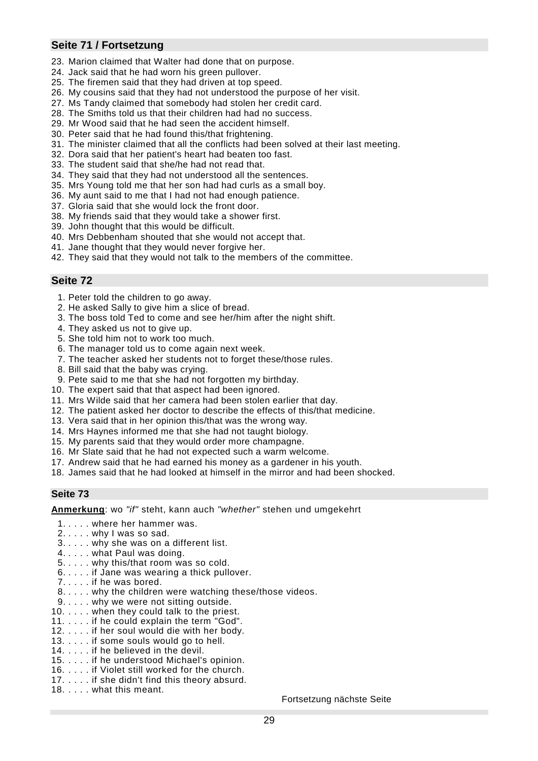# **Seite 71 / Fortsetzung**

- 23. Marion claimed that Walter had done that on purpose.
- 24. Jack said that he had worn his green pullover.
- 25. The firemen said that they had driven at top speed.
- 26. My cousins said that they had not understood the purpose of her visit.
- 27. Ms Tandy claimed that somebody had stolen her credit card.
- 28. The Smiths told us that their children had had no success.
- 29. Mr Wood said that he had seen the accident himself.
- 30. Peter said that he had found this/that frightening.
- 31. The minister claimed that all the conflicts had been solved at their last meeting.
- 32. Dora said that her patient's heart had beaten too fast.
- 33. The student said that she/he had not read that.
- 34. They said that they had not understood all the sentences.
- 35. Mrs Young told me that her son had had curls as a small boy.
- 36. My aunt said to me that I had not had enough patience.
- 37. Gloria said that she would lock the front door.
- 38. My friends said that they would take a shower first.
- 39. John thought that this would be difficult.
- 40. Mrs Debbenham shouted that she would not accept that.
- 41. Jane thought that they would never forgive her.
- 42. They said that they would not talk to the members of the committee.

### **Seite 72**

- 1. Peter told the children to go away.
- 2. He asked Sally to give him a slice of bread.
- 3. The boss told Ted to come and see her/him after the night shift.
- 4. They asked us not to give up.
- 5. She told him not to work too much.
- 6. The manager told us to come again next week.
- 7. The teacher asked her students not to forget these/those rules.
- 8. Bill said that the baby was crying.
- 9. Pete said to me that she had not forgotten my birthday.
- 10. The expert said that that aspect had been ignored.
- 11. Mrs Wilde said that her camera had been stolen earlier that day.
- 12. The patient asked her doctor to describe the effects of this/that medicine.
- 13. Vera said that in her opinion this/that was the wrong way.
- 14. Mrs Haynes informed me that she had not taught biology.
- 15. My parents said that they would order more champagne.
- 16. Mr Slate said that he had not expected such a warm welcome.
- 17. Andrew said that he had earned his money as a gardener in his youth.
- 18. James said that he had looked at himself in the mirror and had been shocked.

#### **Seite 73**

**Anmerkung**: wo *"if"* steht, kann auch *"whether"* stehen und umgekehrt

- 1. . . . . where her hammer was.
- 2. . . . . why I was so sad.
- 3. . . . . why she was on a different list.
- 4. . . . . what Paul was doing.
- 5. . . . . why this/that room was so cold.
- 6. . . . . if Jane was wearing a thick pullover.
- 7. . . . . if he was bored.
- 8. . . . . why the children were watching these/those videos.
- 9. . . . . why we were not sitting outside.
- 10. . . . . when they could talk to the priest.
- 11. . . . . if he could explain the term "God".
- 12. . . . . if her soul would die with her body.
- 13. . . . . if some souls would go to hell.
- 14. . . . . if he believed in the devil.
- 15. . . . . if he understood Michael's opinion.
- 16. . . . . if Violet still worked for the church.
- 17. . . . . if she didn't find this theory absurd.
- 18. . . . . what this meant.

Fortsetzung nächste Seite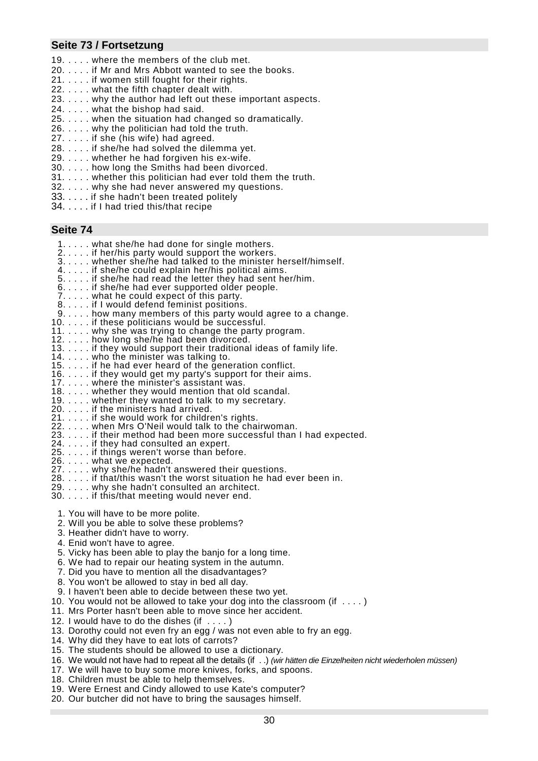# **Seite 73 / Fortsetzung**

- 19. . . . . where the members of the club met.
- 20. . . . . if Mr and Mrs Abbott wanted to see the books.
- 21. . . . . if women still fought for their rights.
- 22. . . . . what the fifth chapter dealt with.
- 23. . . . . why the author had left out these important aspects.
- 24. . . . . what the bishop had said.
- 25. . . . . when the situation had changed so dramatically.
- 26. . . . . why the politician had told the truth.
- 27. . . . . if she (his wife) had agreed.
- 28. . . . . if she/he had solved the dilemma yet.
- 29. . . . . whether he had forgiven his ex-wife.
- 30. . . . . how long the Smiths had been divorced.
- 31. . . . . whether this politician had ever told them the truth.
- 32. . . . . why she had never answered my questions.
- 33. . . . . if she hadn't been treated politely
- 34. . . . . if I had tried this/that recipe

- 1. . . . . what she/he had done for single mothers.
- 2. . . . . if her/his party would support the workers.
- 3. . . . . whether she/he had talked to the minister herself/himself.
- 4. . . . . if she/he could explain her/his political aims.
- 5. . . . . if she/he had read the letter they had sent her/him.
- 6. . . . . if she/he had ever supported older people.
- 7. . . . . what he could expect of this party.
- 8. . . . . if I would defend feminist positions.
- 9. . . . . how many members of this party would agree to a change.
- 10. . . . . if these politicians would be successful.
- 11. . . . . why she was trying to change the party program.
- 12. . . . . how long she/he had been divorced.
- 13. . . . . if they would support their traditional ideas of family life.
- 14. . . . . who the minister was talking to.
- 15. . . . . if he had ever heard of the generation conflict.
- 16. . . . . if they would get my party's support for their aims.
- 17. . . . . where the minister's assistant was.
- 18. . . . . whether they would mention that old scandal.
- 19. . . . . whether they wanted to talk to my secretary.
- 20. . . . . if the ministers had arrived.
- 21. . . . . if she would work for children's rights.
- 22. . . . . when Mrs O'Neil would talk to the chairwoman.
- 23. . . . . if their method had been more successful than I had expected.
- 24. . . . . if they had consulted an expert.
- 25. . . . . if things weren't worse than before.
- 26. . . . . what we expected.
- 27. . . . . why she/he hadn't answered their questions.
- 28. . . . . if that/this wasn't the worst situation he had ever been in.
- 29. . . . . why she hadn't consulted an architect.
- 30. . . . . if this/that meeting would never end.
	- 1. You will have to be more polite.
	- 2. Will you be able to solve these problems?
	- 3. Heather didn't have to worry.
	- 4. Enid won't have to agree.
- 5. Vicky has been able to play the banjo for a long time.
- 6. We had to repair our heating system in the autumn.
- 7. Did you have to mention all the disadvantages?
- 8. You won't be allowed to stay in bed all day.
- 9. I haven't been able to decide between these two yet.
- 10. You would not be allowed to take your dog into the classroom (if . . . . )
- 11. Mrs Porter hasn't been able to move since her accident.
- 12. I would have to do the dishes  $(ii ... )$
- 13. Dorothy could not even fry an egg / was not even able to fry an egg.
- 14. Why did they have to eat lots of carrots?
- 15. The students should be allowed to use a dictionary.
- 16. We would not have had to repeat all the details (if . .) *(wir hätten die Einzelheiten nicht wiederholen müssen)*
- 17. We will have to buy some more knives, forks, and spoons.
- 18. Children must be able to help themselves.
- 19. Were Ernest and Cindy allowed to use Kate's computer?
- 20. Our butcher did not have to bring the sausages himself.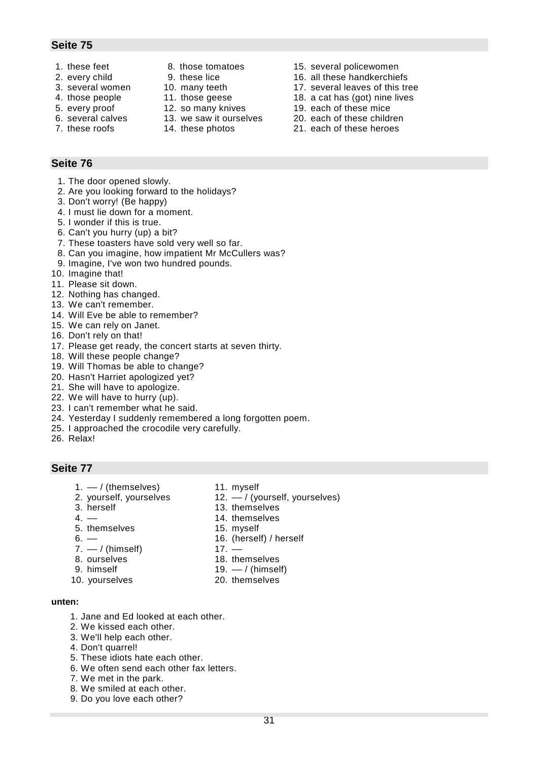- 
- 
- 
- 
- 
- 
- 
- 
- 
- 
- 
- 
- 
- 1. these feet 8. those tomatoes 15. several policewomen
- 2. every child 9. these lice 16. all these handkerchiefs
- 3. several women 10. many teeth 17. several leaves of this tree
- 4. those people 11. those geese 18. a cat has (got) nine lives
- 5. every proof 12. so many knives 19. each of these mice
- 6. several calves 13. we saw it ourselves 20. each of these children
- 7. these roofs 14. these photos 21. each of these heroes

# **Seite 76**

- 1. The door opened slowly.
- 2. Are you looking forward to the holidays?
- 3. Don't worry! (Be happy)
- 4. I must lie down for a moment.
- 5. I wonder if this is true.
- 6. Can't you hurry (up) a bit?
- 7. These toasters have sold very well so far.
- 8. Can you imagine, how impatient Mr McCullers was?
- 9. Imagine, I've won two hundred pounds.
- 10. Imagine that!
- 11. Please sit down.
- 12. Nothing has changed.
- 13. We can't remember.
- 14. Will Eve be able to remember?
- 15. We can rely on Janet.
- 16. Don't rely on that!
- 17. Please get ready, the concert starts at seven thirty.
- 18. Will these people change?
- 19. Will Thomas be able to change?
- 20. Hasn't Harriet apologized yet?
- 21. She will have to apologize.
- 22. We will have to hurry (up).
- 23. I can't remember what he said.
- 24. Yesterday I suddenly remembered a long forgotten poem.
- 25. I approached the crocodile very carefully.
- 26. Relax!

- 1. –– / (themselves) 11. myself
- 
- 
- 
- 5. themselves 15. myself
- 
- $7. -1$  (himself) 17. –
- 
- 
- 10. vourselves 20. themselves
- 
- 2. yourself, yourselves 12. –– / (yourself, yourselves)
- 3. herself 13. themselves
- 4. –– 14. themselves
	-
- 6. –– 16. (herself) / herself
	-
- 8. ourselves 18. themselves
	- 19.  $-$  / (himself)
	-
- 

- **unten:**
	- 1. Jane and Ed looked at each other.
	- 2. We kissed each other.
	- 3. We'll help each other.
	- 4. Don't quarrel!
	- 5. These idiots hate each other.
	- 6. We often send each other fax letters.
	- 7. We met in the park.
	- 8. We smiled at each other.
	- 9. Do you love each other?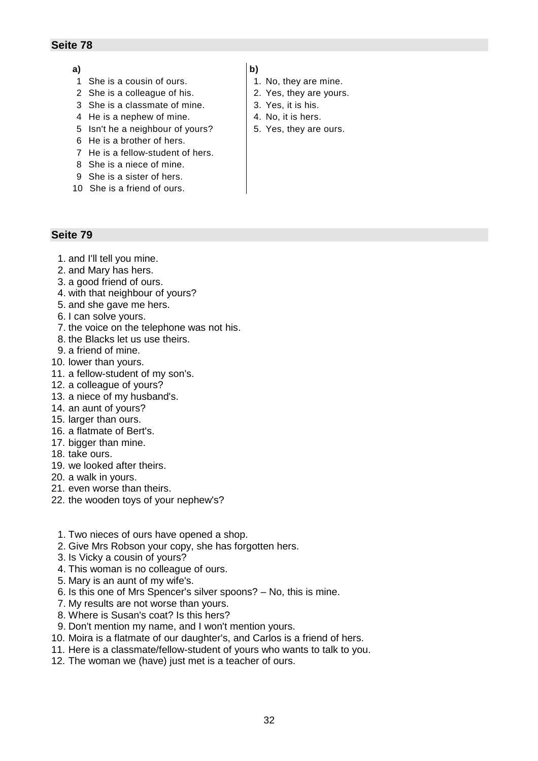#### **a)**

- 1 She is a cousin of ours.
- 2 She is a colleague of his.
- 3 She is a classmate of mine.
- 4 He is a nephew of mine.
- 5 Isn't he a neighbour of yours?
- 6 He is a brother of hers.
- 7 He is a fellow-student of hers.
- 8 She is a niece of mine.
- 9 She is a sister of hers.
- 10 She is a friend of ours.

- 1. and I'll tell you mine.
- 2. and Mary has hers.
- 3. a good friend of ours.
- 4. with that neighbour of yours?
- 5. and she gave me hers.
- 6. I can solve yours.
- 7. the voice on the telephone was not his.
- 8. the Blacks let us use theirs.
- 9. a friend of mine.
- 10. lower than yours.
- 11. a fellow-student of my son's.
- 12. a colleague of yours?
- 13. a niece of my husband's.
- 14. an aunt of yours?
- 15. larger than ours.
- 16. a flatmate of Bert's.
- 17. bigger than mine.
- 18. take ours.
- 19. we looked after theirs.
- 20. a walk in yours.
- 21. even worse than theirs.
- 22. the wooden toys of your nephew's?
	- 1. Two nieces of ours have opened a shop.
	- 2. Give Mrs Robson your copy, she has forgotten hers.
	- 3. Is Vicky a cousin of yours?
	- 4. This woman is no colleague of ours.
	- 5. Mary is an aunt of my wife's.
	- 6. Is this one of Mrs Spencer's silver spoons? No, this is mine.
	- 7. My results are not worse than yours.
	- 8. Where is Susan's coat? Is this hers?
- 9. Don't mention my name, and I won't mention yours.
- 10. Moira is a flatmate of our daughter's, and Carlos is a friend of hers.
- 11. Here is a classmate/fellow-student of yours who wants to talk to you.
- 12. The woman we (have) just met is a teacher of ours.
- 1. No, they are mine.
- 2. Yes, they are yours.
- 3. Yes, it is his.
- 4. No, it is hers.
- 5. Yes, they are ours.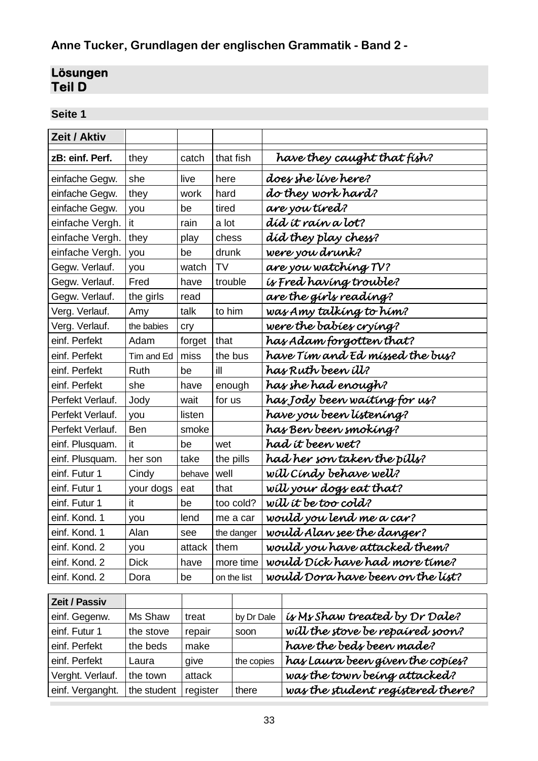# **Anne Tucker, Grundlagen der englischen Grammatik - Band 2 -**

# **Lösungen Teil D**

| Zeit / Aktiv     |             |        |             |                                   |
|------------------|-------------|--------|-------------|-----------------------------------|
| zB: einf. Perf.  | they        | catch  | that fish   | have they caught that fish?       |
| einfache Gegw.   | she         | live   | here        | does she live here?               |
| einfache Gegw.   | they        | work   | hard        | do they work hard?                |
| einfache Gegw.   | you         | be     | tired       | are you tired?                    |
| einfache Vergh.  | it          | rain   | a lot       | díd ít raín a lot?                |
| einfache Vergh.  | they        | play   | chess       | did they play chess?              |
| einfache Vergh.  | you         | be     | drunk       | were you drunk?                   |
| Gegw. Verlauf.   | you         | watch  | <b>TV</b>   | are you watching TV?              |
| Gegw. Verlauf.   | Fred        | have   | trouble     | is Fred having trouble?           |
| Gegw. Verlauf.   | the girls   | read   |             | are the girls reading?            |
| Verg. Verlauf.   | Amy         | talk   | to him      | was Amy talking to him?           |
| Verg. Verlauf.   | the babies  | cry    |             | were the babies crying?           |
| einf. Perfekt    | Adam        | forget | that        | has Adam forgotten that?          |
| einf. Perfekt    | Tim and Ed  | miss   | the bus     | have Tim and Ed missed the bus?   |
| einf. Perfekt    | Ruth        | be     | ill         | has Ruth been <i>ill?</i>         |
| einf. Perfekt    | she         | have   | enough      | has she had enough?               |
| Perfekt Verlauf. | Jody        | wait   | for us      | has Jody been waiting for us?     |
| Perfekt Verlauf. | you         | listen |             | have you been listening?          |
| Perfekt Verlauf. | Ben         | smoke  |             | has Ben been smoking?             |
| einf. Plusquam.  | it          | be     | wet         | had it been wet?                  |
| einf. Plusquam.  | her son     | take   | the pills   | had her son taken the pills?      |
| einf. Futur 1    | Cindy       | behave | well        | will Cindy behave well?           |
| einf. Futur 1    | your dogs   | eat    | that        | will your dogs eat that?          |
| einf. Futur 1    | it          | be     | too cold?   | will it be too cold?              |
| einf. Kond. 1    | you         | lend   | me a car    | would you lend me a car?          |
| einf. Kond. 1    | Alan        | see    | the danger  | would Alan see the danger?        |
| einf. Kond. 2    | you         | attack | them        | would you have attacked them?     |
| einf. Kond. 2    | <b>Dick</b> | have   | more time   | would Dick have had more time?    |
| einf. Kond. 2    | Dora        | be     | on the list | would Dora have been on the list? |
|                  |             |        |             |                                   |

| <b>Zeit / Passiv</b> |             |          |            |                                   |
|----------------------|-------------|----------|------------|-----------------------------------|
| einf. Gegenw.        | Ms Shaw     | treat    | by Dr Dale | is Ms Shaw treated by Dr Dale?    |
| einf. Futur 1        | the stove   | repair   | soon       | will the stove be repaired soon?  |
| einf. Perfekt        | the beds    | make     |            | have the beds been made?          |
| einf. Perfekt        | Laura       | give     | the copies | has Laura been given the copies?  |
| Verght. Verlauf.     | the town    | attack   |            | was the town being attacked?      |
| einf. Verganght.     | the student | register | there      | was the student registered there? |
|                      |             |          |            |                                   |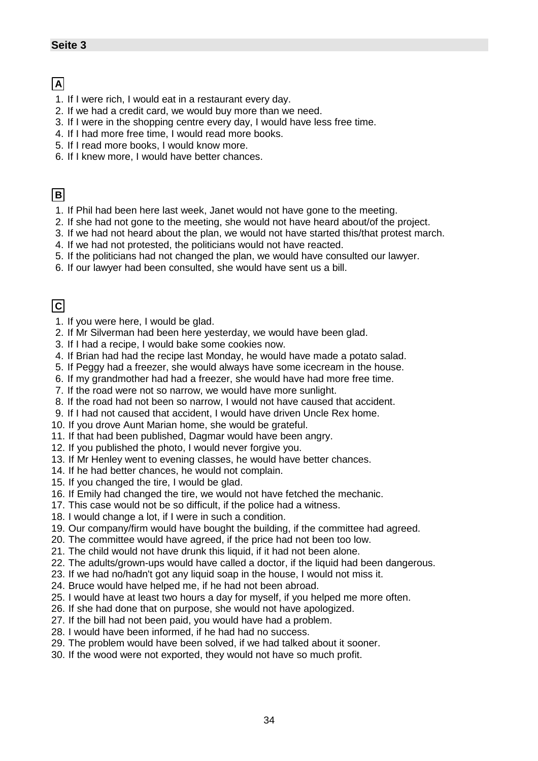# **A**

- 1. If I were rich, I would eat in a restaurant every day.
- 2. If we had a credit card, we would buy more than we need.
- 3. If I were in the shopping centre every day, I would have less free time.
- 4. If I had more free time, I would read more books.
- 5. If I read more books, I would know more.
- 6. If I knew more, I would have better chances.

# **B**

- 1. If Phil had been here last week, Janet would not have gone to the meeting.
- 2. If she had not gone to the meeting, she would not have heard about/of the project.
- 3. If we had not heard about the plan, we would not have started this/that protest march.
- 4. If we had not protested, the politicians would not have reacted.
- 5. If the politicians had not changed the plan, we would have consulted our lawyer.
- 6. If our lawyer had been consulted, she would have sent us a bill.

# **C**

- 1. If you were here, I would be glad.
- 2. If Mr Silverman had been here yesterday, we would have been glad.
- 3. If I had a recipe, I would bake some cookies now.
- 4. If Brian had had the recipe last Monday, he would have made a potato salad.
- 5. If Peggy had a freezer, she would always have some icecream in the house.
- 6. If my grandmother had had a freezer, she would have had more free time.
- 7. If the road were not so narrow, we would have more sunlight.
- 8. If the road had not been so narrow, I would not have caused that accident.
- 9. If I had not caused that accident, I would have driven Uncle Rex home.
- 10. If you drove Aunt Marian home, she would be grateful.
- 11. If that had been published, Dagmar would have been angry.
- 12. If you published the photo, I would never forgive you.
- 13. If Mr Henley went to evening classes, he would have better chances.
- 14. If he had better chances, he would not complain.
- 15. If you changed the tire, I would be glad.
- 16. If Emily had changed the tire, we would not have fetched the mechanic.
- 17. This case would not be so difficult, if the police had a witness.
- 18. I would change a lot, if I were in such a condition.
- 19. Our company/firm would have bought the building, if the committee had agreed.
- 20. The committee would have agreed, if the price had not been too low.
- 21. The child would not have drunk this liquid, if it had not been alone.
- 22. The adults/grown-ups would have called a doctor, if the liquid had been dangerous.
- 23. If we had no/hadn't got any liquid soap in the house, I would not miss it.
- 24. Bruce would have helped me, if he had not been abroad.
- 25. I would have at least two hours a day for myself, if you helped me more often.
- 26. If she had done that on purpose, she would not have apologized.
- 27. If the bill had not been paid, you would have had a problem.
- 28. I would have been informed, if he had had no success.
- 29. The problem would have been solved, if we had talked about it sooner.
- 30. If the wood were not exported, they would not have so much profit.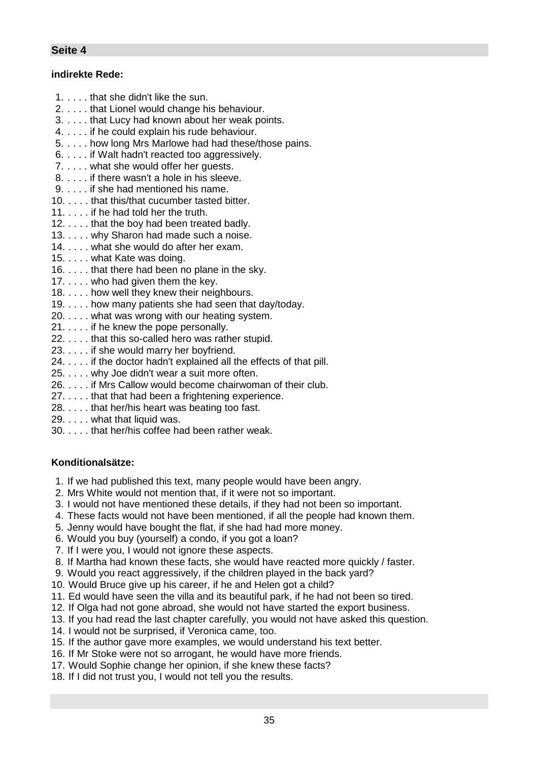# **indirekte Rede:**

- 1. . . . . that she didn't like the sun.
- 2. . . . . that Lionel would change his behaviour.
- 3. . . . . that Lucy had known about her weak points.
- 4. . . . . if he could explain his rude behaviour.
- 5. . . . . how long Mrs Marlowe had had these/those pains.
- 6. . . . . if Walt hadn't reacted too aggressively.
- 7. . . . . what she would offer her quests.
- 8. . . . . if there wasn't a hole in his sleeve.
- 9. . . . . if she had mentioned his name.
- 10. . . . . that this/that cucumber tasted bitter.
- 11. . . . . if he had told her the truth.
- 12. . . . . that the boy had been treated badly.
- 13. . . . . why Sharon had made such a noise.
- 14. . . . . what she would do after her exam.
- 15. . . . . what Kate was doing.
- 16. . . . . that there had been no plane in the sky.
- 17. . . . . who had given them the key.
- 18. . . . . how well they knew their neighbours.
- 19. . . . . how many patients she had seen that day/today.
- 20. . . . . what was wrong with our heating system.
- 21. . . . . if he knew the pope personally.
- 22. . . . . that this so-called hero was rather stupid.
- 23. . . . . if she would marry her boyfriend.
- 24. . . . . if the doctor hadn't explained all the effects of that pill.
- 25. . . . . why Joe didn't wear a suit more often.
- 26. . . . . if Mrs Callow would become chairwoman of their club.
- 27. . . . . that that had been a frightening experience.
- 28. . . . . that her/his heart was beating too fast.
- 29. . . . . what that liquid was.
- 30. . . . . that her/his coffee had been rather weak.

# **Konditionalsätze:**

- 1. If we had published this text, many people would have been angry.
- 2. Mrs White would not mention that, if it were not so important.
- 3. I would not have mentioned these details, if they had not been so important.
- 4. These facts would not have been mentioned, if all the people had known them.
- 5. Jenny would have bought the flat, if she had had more money.
- 6. Would you buy (yourself) a condo, if you got a loan?
- 7. If I were you, I would not ignore these aspects.
- 8. If Martha had known these facts, she would have reacted more quickly / faster.
- 9. Would you react aggressively, if the children played in the back yard?
- 10. Would Bruce give up his career, if he and Helen got a child?
- 11. Ed would have seen the villa and its beautiful park, if he had not been so tired.
- 12. If Olga had not gone abroad, she would not have started the export business.
- 13. If you had read the last chapter carefully, you would not have asked this question.
- 14. I would not be surprised, if Veronica came, too.
- 15. If the author gave more examples, we would understand his text better.
- 16. If Mr Stoke were not so arrogant, he would have more friends.
- 17. Would Sophie change her opinion, if she knew these facts?
- 18. If I did not trust you, I would not tell you the results.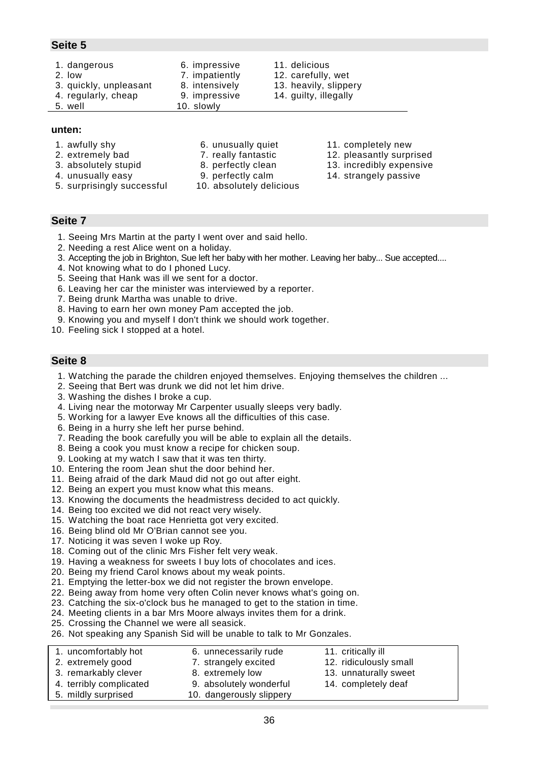1. dangerous 6. impressive 11. delicious 2. low 2. carefully, wet 3. quickly, unpleasant 8. intensively 13. heavily, slippery 4. regularly, cheap 9. impressive 14. guilty, illegally 5. well 10. slowly

#### **unten:**

- 
- 
- 
- 
- 
- 
- 
- 5. surprisingly successful 10. absolutely delicious
- 1. awfully shy 6. unusually quiet 11. completely new
- 2. extremely bad 7. really fantastic 12. pleasantly surprised
- 3. absolutely stupid 8. perfectly clean 13. incredibly expensive
- 4. unusually easy 9. perfectly calm 14. strangely passive

#### **Seite 7**

- 1. Seeing Mrs Martin at the party I went over and said hello.
- 2. Needing a rest Alice went on a holiday.
- 3. Accepting the job in Brighton, Sue left her baby with her mother. Leaving her baby... Sue accepted....
- 4. Not knowing what to do I phoned Lucy.
- 5. Seeing that Hank was ill we sent for a doctor.
- 6. Leaving her car the minister was interviewed by a reporter.
- 7. Being drunk Martha was unable to drive.
- 8. Having to earn her own money Pam accepted the job.
- 9. Knowing you and myself I don't think we should work together.
- 10. Feeling sick I stopped at a hotel.

- 1. Watching the parade the children enjoyed themselves. Enjoying themselves the children ...
- 2. Seeing that Bert was drunk we did not let him drive.
- 3. Washing the dishes I broke a cup.
- 4. Living near the motorway Mr Carpenter usually sleeps very badly.
- 5. Working for a lawyer Eve knows all the difficulties of this case.
- 6. Being in a hurry she left her purse behind.
- 7. Reading the book carefully you will be able to explain all the details.
- 8. Being a cook you must know a recipe for chicken soup.
- 9. Looking at my watch I saw that it was ten thirty.
- 10. Entering the room Jean shut the door behind her.
- 11. Being afraid of the dark Maud did not go out after eight.
- 12. Being an expert you must know what this means.
- 13. Knowing the documents the headmistress decided to act quickly.
- 14. Being too excited we did not react very wisely.
- 15. Watching the boat race Henrietta got very excited.
- 16. Being blind old Mr O'Brian cannot see you.
- 17. Noticing it was seven I woke up Roy.
- 18. Coming out of the clinic Mrs Fisher felt very weak.
- 19. Having a weakness for sweets I buy lots of chocolates and ices.
- 20. Being my friend Carol knows about my weak points.
- 21. Emptying the letter-box we did not register the brown envelope.
- 22. Being away from home very often Colin never knows what's going on.
- 23. Catching the six-o'clock bus he managed to get to the station in time.
- 24. Meeting clients in a bar Mrs Moore always invites them for a drink.
- 25. Crossing the Channel we were all seasick.
- 26. Not speaking any Spanish Sid will be unable to talk to Mr Gonzales.

| 1. uncomfortably hot    | 6. unnecessarily rude    | 11. critically ill     |
|-------------------------|--------------------------|------------------------|
| 2. extremely good       | 7. strangely excited     | 12. ridiculously small |
| 3. remarkably clever    | 8. extremely low         | 13. unnaturally sweet  |
| 4. terribly complicated | 9. absolutely wonderful  | 14. completely deaf    |
| 5. mildly surprised     | 10. dangerously slippery |                        |

- -
- 
-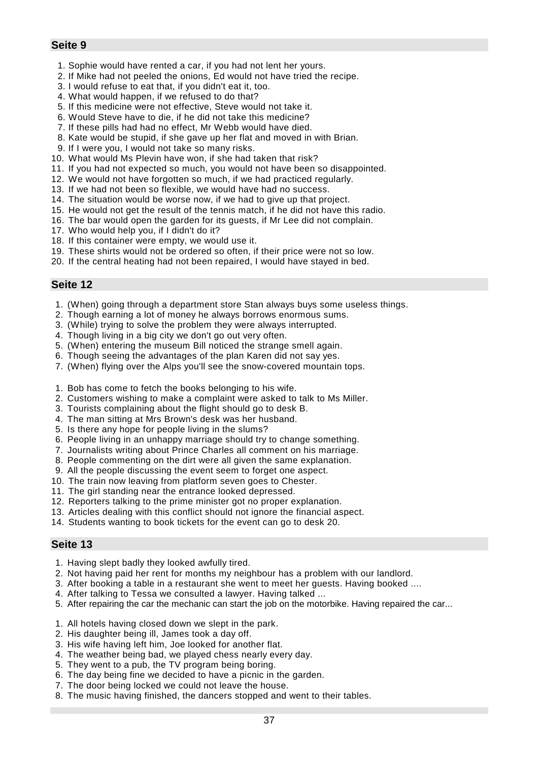- 1. Sophie would have rented a car, if you had not lent her yours.
- 2. If Mike had not peeled the onions, Ed would not have tried the recipe.
- 3. I would refuse to eat that, if you didn't eat it, too.
- 4. What would happen, if we refused to do that?
- 5. If this medicine were not effective, Steve would not take it.
- 6. Would Steve have to die, if he did not take this medicine?
- 7. If these pills had had no effect, Mr Webb would have died.
- 8. Kate would be stupid, if she gave up her flat and moved in with Brian.
- 9. If I were you, I would not take so many risks.
- 10. What would Ms Plevin have won, if she had taken that risk?
- 11. If you had not expected so much, you would not have been so disappointed.
- 12. We would not have forgotten so much, if we had practiced regularly.
- 13. If we had not been so flexible, we would have had no success.
- 14. The situation would be worse now, if we had to give up that project.
- 15. He would not get the result of the tennis match, if he did not have this radio.
- 16. The bar would open the garden for its guests, if Mr Lee did not complain.
- 17. Who would help you, if I didn't do it?
- 18. If this container were empty, we would use it.
- 19. These shirts would not be ordered so often, if their price were not so low.
- 20. If the central heating had not been repaired, I would have stayed in bed.

# **Seite 12**

- 1. (When) going through a department store Stan always buys some useless things.
- 2. Though earning a lot of money he always borrows enormous sums.
- 3. (While) trying to solve the problem they were always interrupted.
- 4. Though living in a big city we don't go out very often.
- 5. (When) entering the museum Bill noticed the strange smell again.
- 6. Though seeing the advantages of the plan Karen did not say yes.
- 7. (When) flying over the Alps you'll see the snow-covered mountain tops.
- 1. Bob has come to fetch the books belonging to his wife.
- 2. Customers wishing to make a complaint were asked to talk to Ms Miller.
- 3. Tourists complaining about the flight should go to desk B.
- 4. The man sitting at Mrs Brown's desk was her husband.
- 5. Is there any hope for people living in the slums?
- 6. People living in an unhappy marriage should try to change something.
- 7. Journalists writing about Prince Charles all comment on his marriage.
- 8. People commenting on the dirt were all given the same explanation.
- 9. All the people discussing the event seem to forget one aspect.
- 10. The train now leaving from platform seven goes to Chester.
- 11. The girl standing near the entrance looked depressed.
- 12. Reporters talking to the prime minister got no proper explanation.
- 13. Articles dealing with this conflict should not ignore the financial aspect.
- 14. Students wanting to book tickets for the event can go to desk 20.

- 1. Having slept badly they looked awfully tired.
- 2. Not having paid her rent for months my neighbour has a problem with our landlord.
- 3. After booking a table in a restaurant she went to meet her guests. Having booked ....
- 4. After talking to Tessa we consulted a lawyer. Having talked ...
- 5. After repairing the car the mechanic can start the job on the motorbike. Having repaired the car...
- 1. All hotels having closed down we slept in the park.
- 2. His daughter being ill, James took a day off.
- 3. His wife having left him, Joe looked for another flat.
- 4. The weather being bad, we played chess nearly every day.
- 5. They went to a pub, the TV program being boring.
- 6. The day being fine we decided to have a picnic in the garden.
- 7. The door being locked we could not leave the house.
- 8. The music having finished, the dancers stopped and went to their tables.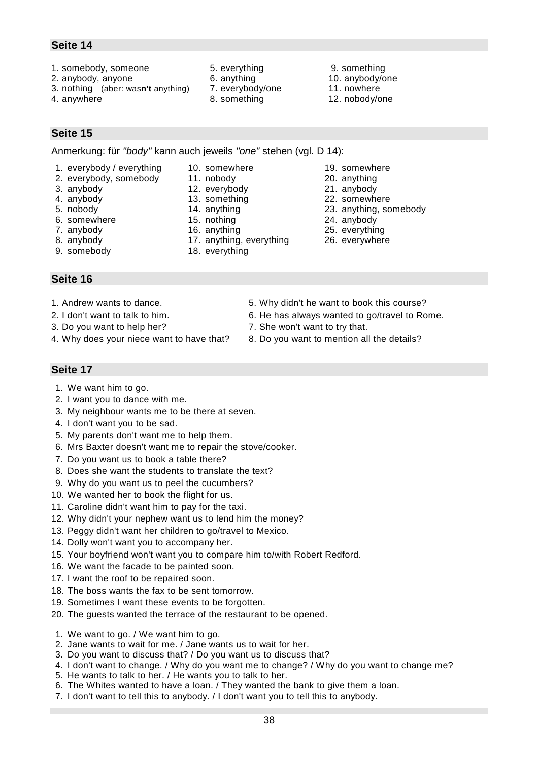- 1. somebody, someone 5. everything 9. something
- 2. anybody, anyone 6. anything 10. anybody/one
- 3. nothing (aber: was**n't** anything) 7. everybody/one 11. nowhere
- 
- 
- 
- 
- 4. anywhere 12. nobody/one 8. something 12. nobody/one
- 
- 
- 

**Seite 15**

Anmerkung: für *"body"* kann auch jeweils *"one"* stehen (vgl. D 14):

- 1. everybody / everything 10. somewhere 19. somewhere
- 2. everybody, somebody 11. nobody 20. anything
- 3. anybody 12. everybody 21. anybody
- 
- 
- 6. somewhere 15. nothing 24. anybody
- 7. anybody 16. anything 25. everything
- 
- 9. somebody 18. everything

# **Seite 16**

- 1. Andrew wants to dance.
- 2. I don't want to talk to him.
- 3. Do you want to help her?
- 4. Why does your niece want to have that?
- 5. Why didn't he want to book this course?
- 6. He has always wanted to go/travel to Rome.
- 7. She won't want to try that.
- 8. Do you want to mention all the details?

- 1. We want him to go.
- 2. I want you to dance with me.
- 3. My neighbour wants me to be there at seven.
- 4. I don't want you to be sad.
- 5. My parents don't want me to help them.
- 6. Mrs Baxter doesn't want me to repair the stove/cooker.
- 7. Do you want us to book a table there?
- 8. Does she want the students to translate the text?
- 9. Why do you want us to peel the cucumbers?
- 10. We wanted her to book the flight for us.
- 11. Caroline didn't want him to pay for the taxi.
- 12. Why didn't your nephew want us to lend him the money?
- 13. Peggy didn't want her children to go/travel to Mexico.
- 14. Dolly won't want you to accompany her.
- 15. Your boyfriend won't want you to compare him to/with Robert Redford.
- 16. We want the facade to be painted soon.
- 17. I want the roof to be repaired soon.
- 18. The boss wants the fax to be sent tomorrow.
- 19. Sometimes I want these events to be forgotten.
- 20. The guests wanted the terrace of the restaurant to be opened.
- 1. We want to go. / We want him to go.
- 2. Jane wants to wait for me. / Jane wants us to wait for her.
- 3. Do you want to discuss that? / Do you want us to discuss that?
- 4. I don't want to change. / Why do you want me to change? / Why do you want to change me?
- 5. He wants to talk to her. / He wants you to talk to her.
- 6. The Whites wanted to have a loan. / They wanted the bank to give them a loan.
- 7. I don't want to tell this to anybody. / I don't want you to tell this to anybody.
- 
- 
- 
- 4. anybody 13. something 22. somewhere
- 5. nobody 14. anything 23. anything, somebody
	-
	-
- 8. anybody 17. anything, everything 26. everywhere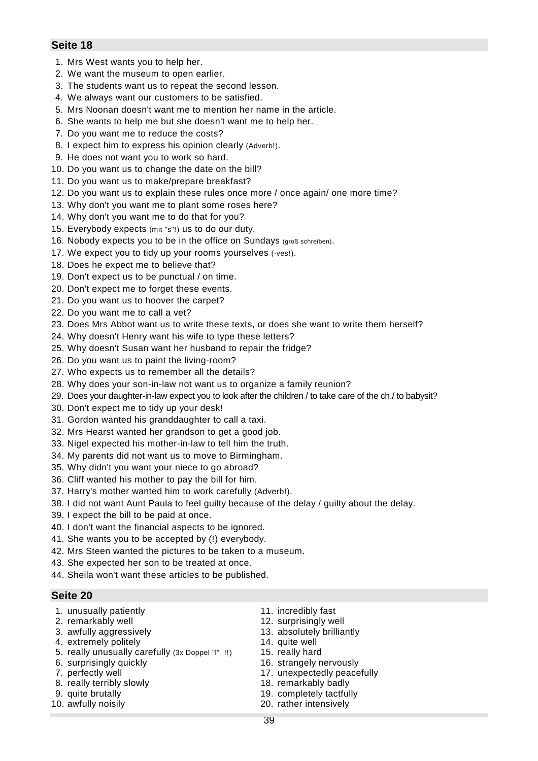- 1. Mrs West wants you to help her.
- 2. We want the museum to open earlier.
- 3. The students want us to repeat the second lesson.
- 4. We always want our customers to be satisfied.
- 5. Mrs Noonan doesn't want me to mention her name in the article.
- 6. She wants to help me but she doesn't want me to help her.
- 7. Do you want me to reduce the costs?
- 8. I expect him to express his opinion clearly (Adverb!).
- 9. He does not want you to work so hard.
- 10. Do you want us to change the date on the bill?
- 11. Do you want us to make/prepare breakfast?
- 12. Do you want us to explain these rules once more / once again/ one more time?
- 13. Why don't you want me to plant some roses here?
- 14. Why don't you want me to do that for you?
- 15. Everybody expects (mit "s"!) us to do our duty.
- 16. Nobody expects you to be in the office on Sundays (groß schreiben).
- 17. We expect you to tidy up your rooms yourselves (-ves!).
- 18. Does he expect me to believe that?
- 19. Don't expect us to be punctual / on time.
- 20. Don't expect me to forget these events.
- 21. Do you want us to hoover the carpet?
- 22. Do you want me to call a vet?
- 23. Does Mrs Abbot want us to write these texts, or does she want to write them herself?
- 24. Why doesn't Henry want his wife to type these letters?
- 25. Why doesn't Susan want her husband to repair the fridge?
- 26. Do you want us to paint the living-room?
- 27. Who expects us to remember all the details?
- 28. Why does your son-in-law not want us to organize a family reunion?
- 29. Does your daughter-in-law expect you to look after the children / to take care of the ch./ to babysit?
- 30. Don't expect me to tidy up your desk!
- 31. Gordon wanted his granddaughter to call a taxi.
- 32. Mrs Hearst wanted her grandson to get a good job.
- 33. Nigel expected his mother-in-law to tell him the truth.
- 34. My parents did not want us to move to Birmingham.
- 35. Why didn't you want your niece to go abroad?
- 36. Cliff wanted his mother to pay the bill for him.
- 37. Harry's mother wanted him to work carefully (Adverb!).
- 38. I did not want Aunt Paula to feel guilty because of the delay / guilty about the delay.
- 39. I expect the bill to be paid at once.
- 40. I don't want the financial aspects to be ignored.
- 41. She wants you to be accepted by (!) everybody.
- 42. Mrs Steen wanted the pictures to be taken to a museum.
- 43. She expected her son to be treated at once.
- 44. Sheila won't want these articles to be published.

- 1. unusually patiently 11. incredibly fast
- 
- 
- 4. extremely politely 14. quite well
- 5. really unusually carefully (3x Doppel "l" !!) 15. really hard
- 
- 
- 8. really terribly slowly example that the 18. remarkably badly
- 
- 
- 
- 2. remarkably well 12. surprisingly well
- 3. awfully aggressively 13. absolutely brilliantly
	-
	-
- 6. surprisingly quickly 16. strangely nervously
- 7. perfectly well 17. unexpectedly peacefully
	-
- 9. quite brutally 19. completely tactfully
- 10. awfully noisily 20. rather intensively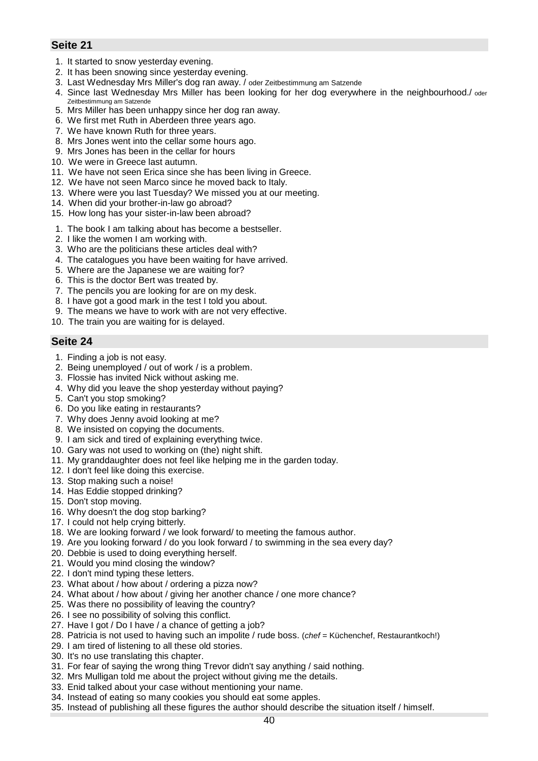- 1. It started to snow yesterday evening.
- 2. It has been snowing since yesterday evening.
- 3. Last Wednesday Mrs Miller's dog ran away. / oder Zeitbestimmung am Satzende
- 4. Since last Wednesday Mrs Miller has been looking for her dog everywhere in the neighbourhood./ oder Zeitbestimmung am Satzende
- 5. Mrs Miller has been unhappy since her dog ran away.
- 6. We first met Ruth in Aberdeen three years ago.
- 7. We have known Ruth for three years.
- 8. Mrs Jones went into the cellar some hours ago.
- 9. Mrs Jones has been in the cellar for hours
- 10. We were in Greece last autumn.
- 11. We have not seen Erica since she has been living in Greece.
- 12. We have not seen Marco since he moved back to Italy.
- 13. Where were you last Tuesday? We missed you at our meeting.
- 14. When did your brother-in-law go abroad?
- 15. How long has your sister-in-law been abroad?
- 1. The book I am talking about has become a bestseller.
- 2. I like the women I am working with.
- 3. Who are the politicians these articles deal with?
- 4. The catalogues you have been waiting for have arrived.
- 5. Where are the Japanese we are waiting for?
- 6. This is the doctor Bert was treated by.
- 7. The pencils you are looking for are on my desk.
- 8. I have got a good mark in the test I told you about.
- 9. The means we have to work with are not very effective.
- 10. The train you are waiting for is delayed.

- 1. Finding a job is not easy.
- 2. Being unemployed / out of work / is a problem.
- 3. Flossie has invited Nick without asking me.
- 4. Why did you leave the shop yesterday without paying?
- 5. Can't you stop smoking?
- 6. Do you like eating in restaurants?
- 7. Why does Jenny avoid looking at me?
- 8. We insisted on copying the documents.
- 9. I am sick and tired of explaining everything twice.
- 10. Gary was not used to working on (the) night shift.
- 11. My granddaughter does not feel like helping me in the garden today.
- 12. I don't feel like doing this exercise.
- 13. Stop making such a noise!
- 14. Has Eddie stopped drinking?
- 15. Don't stop moving.
- 16. Why doesn't the dog stop barking?
- 17. I could not help crying bitterly.
- 18. We are looking forward / we look forward/ to meeting the famous author.
- 19. Are you looking forward / do you look forward / to swimming in the sea every day?
- 20. Debbie is used to doing everything herself.
- 21. Would you mind closing the window?
- 22. I don't mind typing these letters.
- 23. What about / how about / ordering a pizza now?
- 24. What about / how about / giving her another chance / one more chance?
- 25. Was there no possibility of leaving the country?
- 26. I see no possibility of solving this conflict.
- 27. Have I got / Do I have / a chance of getting a job?
- 28. Patricia is not used to having such an impolite / rude boss. (*chef* = Küchenchef, Restaurantkoch!)
- 29. I am tired of listening to all these old stories.
- 30. It's no use translating this chapter.
- 31. For fear of saying the wrong thing Trevor didn't say anything / said nothing.
- 32. Mrs Mulligan told me about the project without giving me the details.
- 33. Enid talked about your case without mentioning your name.
- 34. Instead of eating so many cookies you should eat some apples.
- 35. Instead of publishing all these figures the author should describe the situation itself / himself.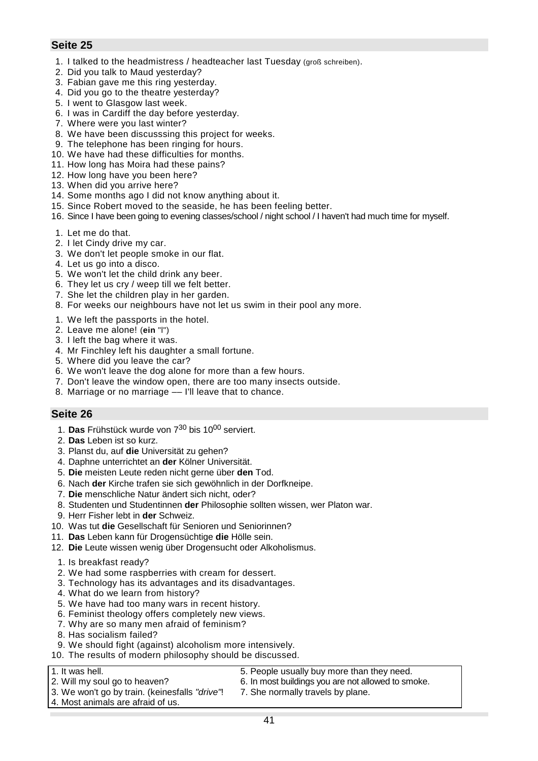- 1. I talked to the headmistress / headteacher last Tuesday (groß schreiben).
- 2. Did you talk to Maud yesterday?
- 3. Fabian gave me this ring yesterday.
- 4. Did you go to the theatre yesterday?
- 5. I went to Glasgow last week.
- 6. I was in Cardiff the day before yesterday.
- 7. Where were you last winter?
- 8. We have been discusssing this project for weeks.
- 9. The telephone has been ringing for hours.
- 10. We have had these difficulties for months.
- 11. How long has Moira had these pains?
- 12. How long have you been here?
- 13. When did you arrive here?
- 14. Some months ago I did not know anything about it.
- 15. Since Robert moved to the seaside, he has been feeling better.
- 16. Since I have been going to evening classes/school / night school / I haven't had much time for myself.
- 1. Let me do that.
- 2. I let Cindy drive my car.
- 3. We don't let people smoke in our flat.
- 4. Let us go into a disco.
- 5. We won't let the child drink any beer.
- 6. They let us cry / weep till we felt better.
- 7. She let the children play in her garden.
- 8. For weeks our neighbours have not let us swim in their pool any more.
- 1. We left the passports in the hotel.
- 2. Leave me alone! (**ein** "l")
- 3. I left the bag where it was.
- 4. Mr Finchley left his daughter a small fortune.
- 5. Where did you leave the car?
- 6. We won't leave the dog alone for more than a few hours.
- 7. Don't leave the window open, there are too many insects outside.
- 8. Marriage or no marriage –– I'll leave that to chance.

### **Seite 26**

- 1. **Das** Frühstück wurde von 730 bis 1000 serviert.
- 2. **Das** Leben ist so kurz.
- 3. Planst du, auf **die** Universität zu gehen?
- 4. Daphne unterrichtet an **der** Kölner Universität.
- 5. **Die** meisten Leute reden nicht gerne über **den** Tod.
- 6. Nach **der** Kirche trafen sie sich gewöhnlich in der Dorfkneipe.
- 7. **Die** menschliche Natur ändert sich nicht, oder?
- 8. Studenten und Studentinnen **der** Philosophie sollten wissen, wer Platon war.
- 9. Herr Fisher lebt in **der** Schweiz.
- 10. Was tut **die** Gesellschaft für Senioren und Seniorinnen?
- 11. **Das** Leben kann für Drogensüchtige **die** Hölle sein.
- 12. **Die** Leute wissen wenig über Drogensucht oder Alkoholismus.
- 1. Is breakfast ready?
- 2. We had some raspberries with cream for dessert.
- 3. Technology has its advantages and its disadvantages.
- 4. What do we learn from history?
- 5. We have had too many wars in recent history.
- 6. Feminist theology offers completely new views.
- 7. Why are so many men afraid of feminism?
- 8. Has socialism failed?
- 9. We should fight (against) alcoholism more intensively.
- 10. The results of modern philosophy should be discussed.
- 
- 2. Will my soul go to heaven? 6. In most buildings you are not allowed to smoke.
- 3. We won't go by train. (keinesfalls *"drive"*! 7. She normally travels by plane.
- 1. It was hell. **1.** It was hell. **5.** People usually buy more than they need.
	-
- 4. Most animals are afraid of us.

41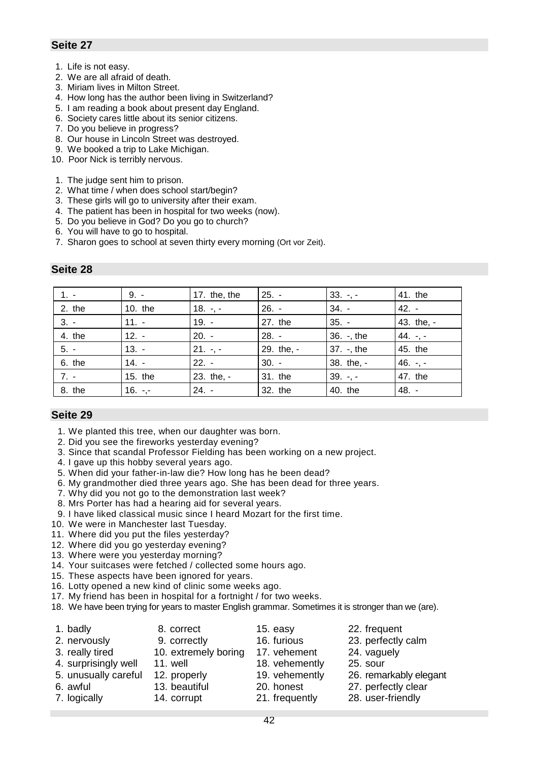- 1. Life is not easy.
- 2. We are all afraid of death.
- 3. Miriam lives in Milton Street.
- 4. How long has the author been living in Switzerland?
- 5. I am reading a book about present day England.
- 6. Society cares little about its senior citizens.
- 7. Do you believe in progress?
- 8. Our house in Lincoln Street was destroyed.
- 9. We booked a trip to Lake Michigan.
- 10. Poor Nick is terribly nervous.

#### 1. The judge sent him to prison.

- 2. What time / when does school start/begin?
- 3. These girls will go to university after their exam.
- 4. The patient has been in hospital for two weeks (now).
- 5. Do you believe in God? Do you go to church?
- 6. You will have to go to hospital.
- 7. Sharon goes to school at seven thirty every morning (Ort vor Zeit).

| $1. -$   | $9. -$    | 17. the, the | $25. -$    | $33. - -$  | 41. the       |
|----------|-----------|--------------|------------|------------|---------------|
| $2.$ the | 10. the   | $18. -, -$   | $26. -$    | $34. -$    | $42. -$       |
| $3. -$   | $11. -$   | $19. -$      | 27. the    | $35. -$    | 43. the, -    |
| 4. the   | $12. -$   | $20. -$      | $28. -$    | 36. -, the | 44. $-$ , $-$ |
| $5. -$   | $13. -$   | $21. -7 -$   | 29. the, - | 37. -, the | 45. the       |
| 6. the   | $14. -$   | $22. -$      | $30. -$    | 38. the, - | 46. $-$ , $-$ |
| $7. -$   | 15. the   | 23. the, -   | 31. the    | $39. - -$  | 47. the       |
| 8. the   | $16. - -$ | $24. -$      | 32. the    | 40. the    | $48. -$       |

# **Seite 28**

- 1. We planted this tree, when our daughter was born.
- 2. Did you see the fireworks yesterday evening?
- 3. Since that scandal Professor Fielding has been working on a new project.
- 4. I gave up this hobby several years ago.
- 5. When did your father-in-law die? How long has he been dead?
- 6. My grandmother died three years ago. She has been dead for three years.
- 7. Why did you not go to the demonstration last week?
- 8. Mrs Porter has had a hearing aid for several years.
- 9. I have liked classical music since I heard Mozart for the first time.
- 10. We were in Manchester last Tuesday.
- 11. Where did you put the files yesterday?
- 12. Where did you go yesterday evening?
- 13. Where were you yesterday morning?
- 14. Your suitcases were fetched / collected some hours ago.
- 15. These aspects have been ignored for years.
- 16. Lotty opened a new kind of clinic some weeks ago.
- 17. My friend has been in hospital for a fortnight / for two weeks.
- 18. We have been trying for years to master English grammar. Sometimes it is stronger than we (are).

| 1. badly             | 8. correct           | 15. easy       | 22. frequent           |
|----------------------|----------------------|----------------|------------------------|
| 2. nervously         | 9. correctly         | 16. furious    | 23. perfectly calm     |
| 3. really tired      | 10. extremely boring | 17. vehement   | 24. vaguely            |
| 4. surprisingly well | 11. well             | 18. vehemently | 25. sour               |
| 5. unusually careful | 12. properly         | 19. vehemently | 26. remarkably elegant |
| 6. awful             | 13. beautiful        | 20. honest     | 27. perfectly clear    |
| 7. logically         | 14. corrupt          | 21. frequently | 28. user-friendly      |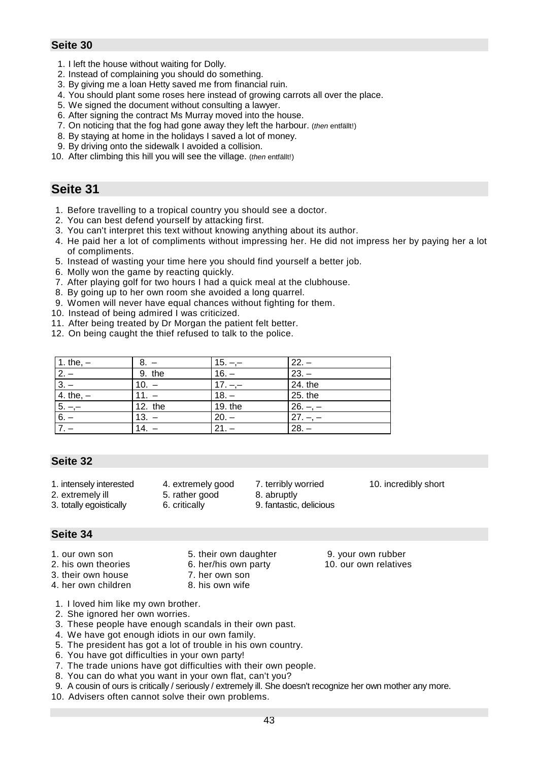- 1. I left the house without waiting for Dolly.
- 2. Instead of complaining you should do something.
- 3. By giving me a loan Hetty saved me from financial ruin.
- 4. You should plant some roses here instead of growing carrots all over the place.
- 5. We signed the document without consulting a lawyer.
- 6. After signing the contract Ms Murray moved into the house.
- 7. On noticing that the fog had gone away they left the harbour. (*then* entfällt!)
- 8. By staying at home in the holidays I saved a lot of money.
- 9. By driving onto the sidewalk I avoided a collision.
- 10. After climbing this hill you will see the village. (*then* entfällt!)

# **Seite 31**

- 1. Before travelling to a tropical country you should see a doctor.
- 2. You can best defend yourself by attacking first.
- 3. You can't interpret this text without knowing anything about its author.
- 4. He paid her a lot of compliments without impressing her. He did not impress her by paying her a lot of compliments.
- 5. Instead of wasting your time here you should find yourself a better job.
- 6. Molly won the game by reacting quickly.
- 7. After playing golf for two hours I had a quick meal at the clubhouse.
- 8. By going up to her own room she avoided a long quarrel.
- 9. Women will never have equal chances without fighting for them.
- 10. Instead of being admired I was criticized.
- 11. After being treated by Dr Morgan the patient felt better.
- 12. On being caught the thief refused to talk to the police.

| 1. the, $-$ |                   | $15. -$   | $22. -$   |
|-------------|-------------------|-----------|-----------|
| $2. -$      | 9. the            | $16. -$   | $23. -$   |
| $3 -$       | $10. -$           | $17. - -$ | 24. the   |
| 4. the, $-$ | $11. -$           | $18. -$   | 25. the   |
| $5. -$      | 12. the           | 19. the   | $26. - -$ |
| $6. -$      | $13. -$           | $20. -$   | $27. -$   |
|             | $\overline{14}$ . | $21. -$   | $28. -$   |

# **Seite 32**

- 1. intensely interested 4. extremely good 7. terribly worried 10. incredibly short
- 2. extremely ill 5. rather good 8. abruptly
- 3. totally egoistically 6. critically 9. fantastic, delicious

### **Seite 34**

- 
- 
- 
- 3. their own house 7. her own son
- 4. her own children 8. his own wife
- 1. I loved him like my own brother.
- 2. She ignored her own worries.
- 3. These people have enough scandals in their own past.
- 4. We have got enough idiots in our own family.
- 5. The president has got a lot of trouble in his own country.
- 6. You have got difficulties in your own party!
- 7. The trade unions have got difficulties with their own people.
- 8. You can do what you want in your own flat, can't you?
- 9. A cousin of ours is critically / seriously / extremely ill. She doesn't recognize her own mother any more.
- 10. Advisers often cannot solve their own problems.

1. our own son 5. their own daughter 9. your own rubber

2. his own theories 6. her/his own party 10. our own relatives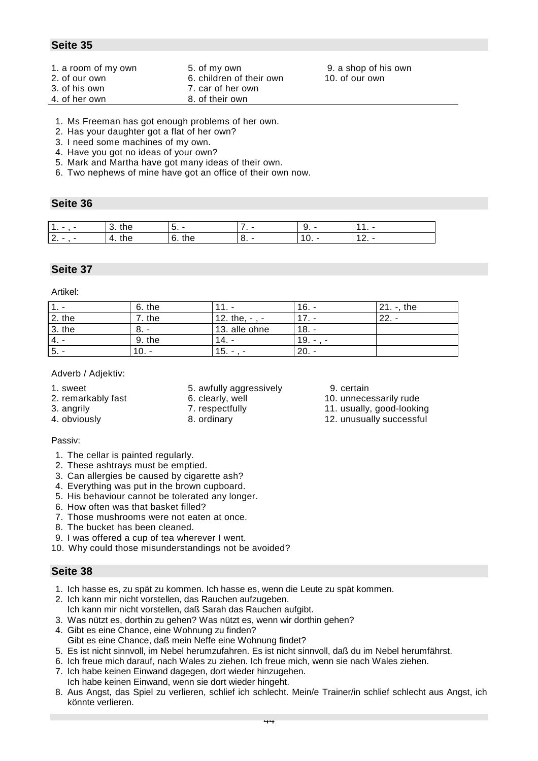- 1. a room of my own 5. of my own 9. a shop of his own
- 
- 
- 3. of his own 7. car of her own
- 4. of her own 8. of their own

2. of our own 6. children of their own 10. of our own

- 1. Ms Freeman has got enough problems of her own.
- 2. Has your daughter got a flat of her own?
- 3. I need some machines of my own.
- 4. Have you got no ideas of your own?
- 5. Mark and Martha have got many ideas of their own.
- 6. Two nephews of mine have got an office of their own now.

# **Seite 36**

| $\overline{\phantom{a}}$<br>ъ. | ີ⊓∟<br>11 I C    | -<br>J.          | <u>.</u> |  |
|--------------------------------|------------------|------------------|----------|--|
| $\sim$<br><u>z.</u>            | the<br>$\Lambda$ | c.<br>÷h∟.<br>J. |          |  |

# **Seite 37**

Artikel:

|          | 6. the   |               | l 6.    | 21<br>the<br>$\overline{\phantom{a}}$ |
|----------|----------|---------------|---------|---------------------------------------|
| $2.$ the | $.$ the  | $12.$ the,    |         | ററ                                    |
| $3.$ the | o.       | 13. alle ohne | $18. -$ |                                       |
| $4. -$   | 9. the   | 14.           | ۱9.     |                                       |
| . 5. -   | 10.<br>- | 15.<br>-      | $20. -$ |                                       |

#### Adverb / Adjektiv:

- 
- 
- 1. sweet 5. awfully aggressively 9. certain
	-
	-
	-

#### Passiv:

- 1. The cellar is painted regularly.
- 2. These ashtrays must be emptied.
- 3. Can allergies be caused by cigarette ash?
- 4. Everything was put in the brown cupboard.
- 5. His behaviour cannot be tolerated any longer.
- 6. How often was that basket filled?
- 7. Those mushrooms were not eaten at once.
- 8. The bucket has been cleaned.
- 9. I was offered a cup of tea wherever I went.
- 10. Why could those misunderstandings not be avoided?

- 1. Ich hasse es, zu spät zu kommen. Ich hasse es, wenn die Leute zu spät kommen.
- 2. Ich kann mir nicht vorstellen, das Rauchen aufzugeben. Ich kann mir nicht vorstellen, daß Sarah das Rauchen aufgibt.
- 3. Was nützt es, dorthin zu gehen? Was nützt es, wenn wir dorthin gehen?
- 4. Gibt es eine Chance, eine Wohnung zu finden? Gibt es eine Chance, daß mein Neffe eine Wohnung findet?
- 5. Es ist nicht sinnvoll, im Nebel herumzufahren. Es ist nicht sinnvoll, daß du im Nebel herumfährst.
- 6. Ich freue mich darauf, nach Wales zu ziehen. Ich freue mich, wenn sie nach Wales ziehen.
- 7. Ich habe keinen Einwand dagegen, dort wieder hinzugehen. Ich habe keinen Einwand, wenn sie dort wieder hingeht.
- 8. Aus Angst, das Spiel zu verlieren, schlief ich schlecht. Mein/e Trainer/in schlief schlecht aus Angst, ich könnte verlieren.
- 
- 2. remarkably fast 6. clearly, well 10. unnecessarily rude
- 3. angrily 7. respectfully 11. usually, good-looking
- 4. obviously 8. ordinary 12. unusually successful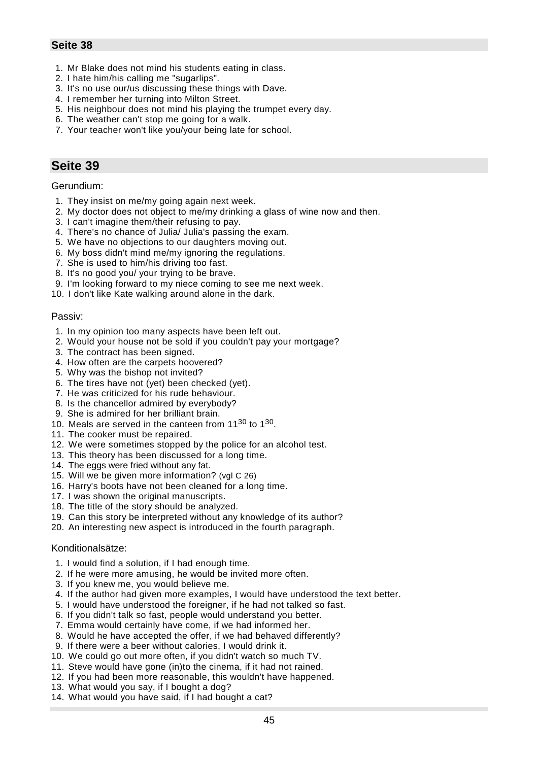- 1. Mr Blake does not mind his students eating in class.
- 2. I hate him/his calling me "sugarlips".
- 3. It's no use our/us discussing these things with Dave.
- 4. I remember her turning into Milton Street.
- 5. His neighbour does not mind his playing the trumpet every day.
- 6. The weather can't stop me going for a walk.
- 7. Your teacher won't like you/your being late for school.

# **Seite 39**

#### Gerundium:

- 1. They insist on me/my going again next week.
- 2. My doctor does not object to me/my drinking a glass of wine now and then.
- 3. I can't imagine them/their refusing to pay.
- 4. There's no chance of Julia/ Julia's passing the exam.
- 5. We have no objections to our daughters moving out.
- 6. My boss didn't mind me/my ignoring the regulations.
- 7. She is used to him/his driving too fast.
- 8. It's no good you/ your trying to be brave.
- 9. I'm looking forward to my niece coming to see me next week.
- 10. I don't like Kate walking around alone in the dark.

#### Passiv:

- 1. In my opinion too many aspects have been left out.
- 2. Would your house not be sold if you couldn't pay your mortgage?
- 3. The contract has been signed.
- 4. How often are the carpets hoovered?
- 5. Why was the bishop not invited?
- 6. The tires have not (yet) been checked (yet).
- 7. He was criticized for his rude behaviour.
- 8. Is the chancellor admired by everybody?
- 9. She is admired for her brilliant brain.
- 10. Meals are served in the canteen from  $11^{30}$  to  $1^{30}$ .
- 11. The cooker must be repaired.
- 12. We were sometimes stopped by the police for an alcohol test.
- 13. This theory has been discussed for a long time.
- 14. The eggs were fried without any fat.
- 15. Will we be given more information? (vgl C 26)
- 16. Harry's boots have not been cleaned for a long time.
- 17. I was shown the original manuscripts.
- 18. The title of the story should be analyzed.
- 19. Can this story be interpreted without any knowledge of its author?
- 20. An interesting new aspect is introduced in the fourth paragraph.

#### Konditionalsätze:

- 1. I would find a solution, if I had enough time.
- 2. If he were more amusing, he would be invited more often.
- 3. If you knew me, you would believe me.
- 4. If the author had given more examples, I would have understood the text better.
- 5. I would have understood the foreigner, if he had not talked so fast.
- 6. If you didn't talk so fast, people would understand you better.
- 7. Emma would certainly have come, if we had informed her.
- 8. Would he have accepted the offer, if we had behaved differently?
- 9. If there were a beer without calories, I would drink it.
- 10. We could go out more often, if you didn't watch so much TV.
- 11. Steve would have gone (in)to the cinema, if it had not rained.
- 12. If you had been more reasonable, this wouldn't have happened.
- 13. What would you say, if I bought a dog?
- 14. What would you have said, if I had bought a cat?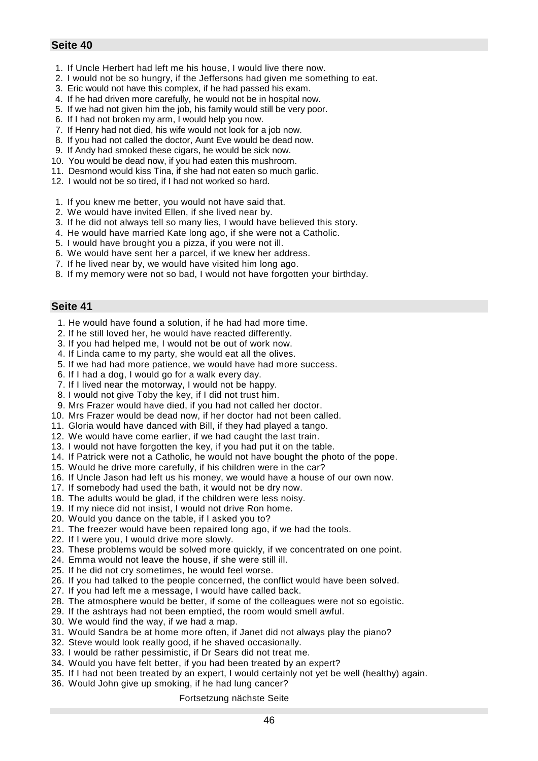- 1. If Uncle Herbert had left me his house, I would live there now.
- 2. I would not be so hungry, if the Jeffersons had given me something to eat.
- 3. Eric would not have this complex, if he had passed his exam.
- 4. If he had driven more carefully, he would not be in hospital now.
- 5. If we had not given him the job, his family would still be very poor.
- 6. If I had not broken my arm, I would help you now.
- 7. If Henry had not died, his wife would not look for a job now.
- 8. If you had not called the doctor, Aunt Eve would be dead now.
- 9. If Andy had smoked these cigars, he would be sick now.
- 10. You would be dead now, if you had eaten this mushroom.
- 11. Desmond would kiss Tina, if she had not eaten so much garlic.
- 12. I would not be so tired, if I had not worked so hard.
- 1. If you knew me better, you would not have said that.
- 2. We would have invited Ellen, if she lived near by.
- 3. If he did not always tell so many lies, I would have believed this story.
- 4. He would have married Kate long ago, if she were not a Catholic.
- 5. I would have brought you a pizza, if you were not ill.
- 6. We would have sent her a parcel, if we knew her address.
- 7. If he lived near by, we would have visited him long ago.
- 8. If my memory were not so bad, I would not have forgotten your birthday.

#### **Seite 41**

- 1. He would have found a solution, if he had had more time.
- 2. If he still loved her, he would have reacted differently.
- 3. If you had helped me, I would not be out of work now.
- 4. If Linda came to my party, she would eat all the olives.
- 5. If we had had more patience, we would have had more success.
- 6. If I had a dog, I would go for a walk every day.
- 7. If I lived near the motorway, I would not be happy.
- 8. I would not give Toby the key, if I did not trust him.
- 9. Mrs Frazer would have died, if you had not called her doctor.
- 10. Mrs Frazer would be dead now, if her doctor had not been called.
- 11. Gloria would have danced with Bill, if they had played a tango.
- 12. We would have come earlier, if we had caught the last train.
- 13. I would not have forgotten the key, if you had put it on the table.
- 14. If Patrick were not a Catholic, he would not have bought the photo of the pope.
- 15. Would he drive more carefully, if his children were in the car?
- 16. If Uncle Jason had left us his money, we would have a house of our own now.
- 17. If somebody had used the bath, it would not be dry now.
- 18. The adults would be glad, if the children were less noisy.
- 19. If my niece did not insist, I would not drive Ron home.
- 20. Would you dance on the table, if I asked you to?
- 21. The freezer would have been repaired long ago, if we had the tools.
- 22. If I were you, I would drive more slowly.
- 23. These problems would be solved more quickly, if we concentrated on one point.
- 24. Emma would not leave the house, if she were still ill.
- 25. If he did not cry sometimes, he would feel worse.
- 26. If you had talked to the people concerned, the conflict would have been solved.
- 27. If you had left me a message, I would have called back.
- 28. The atmosphere would be better, if some of the colleagues were not so egoistic.
- 29. If the ashtrays had not been emptied, the room would smell awful.
- 30. We would find the way, if we had a map.
- 31. Would Sandra be at home more often, if Janet did not always play the piano?
- 32. Steve would look really good, if he shaved occasionally.
- 33. I would be rather pessimistic, if Dr Sears did not treat me.
- 34. Would you have felt better, if you had been treated by an expert?
- 35. If I had not been treated by an expert, I would certainly not yet be well (healthy) again.
- 36. Would John give up smoking, if he had lung cancer?

#### Fortsetzung nächste Seite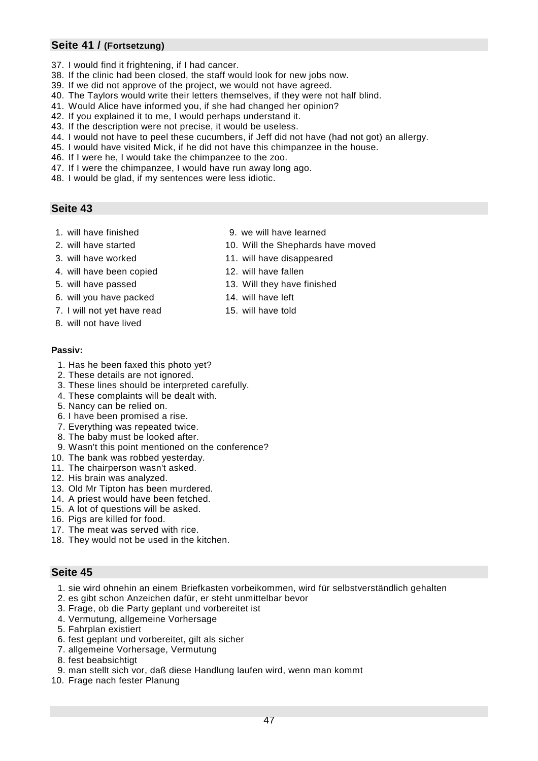# **Seite 41 / (Fortsetzung)**

- 37. I would find it frightening, if I had cancer.
- 38. If the clinic had been closed, the staff would look for new jobs now.
- 39. If we did not approve of the project, we would not have agreed.
- 40. The Taylors would write their letters themselves, if they were not half blind.
- 41. Would Alice have informed you, if she had changed her opinion?
- 42. If you explained it to me, I would perhaps understand it.
- 43. If the description were not precise, it would be useless.
- 44. I would not have to peel these cucumbers, if Jeff did not have (had not got) an allergy.
- 45. I would have visited Mick, if he did not have this chimpanzee in the house.
- 46. If I were he, I would take the chimpanzee to the zoo.
- 47. If I were the chimpanzee, I would have run away long ago.
- 48. I would be glad, if my sentences were less idiotic.

# **Seite 43**

- 1. will have finished 9. we will have learned
- 
- 
- 4. will have been copied 12. will have fallen
- 
- 6. will you have packed 14. will have left
- 7. I will not yet have read 15. will have told
- 8. will not have lived

#### **Passiv:**

- 1. Has he been faxed this photo yet?
- 2. These details are not ignored.
- 3. These lines should be interpreted carefully.
- 4. These complaints will be dealt with.
- 5. Nancy can be relied on.
- 6. I have been promised a rise.
- 7. Everything was repeated twice.
- 8. The baby must be looked after.
- 9. Wasn't this point mentioned on the conference?
- 10. The bank was robbed yesterday.
- 11. The chairperson wasn't asked.
- 12. His brain was analyzed.
- 13. Old Mr Tipton has been murdered.
- 14. A priest would have been fetched.
- 15. A lot of questions will be asked.
- 16. Pigs are killed for food.
- 17. The meat was served with rice.
- 18. They would not be used in the kitchen.

- 1. sie wird ohnehin an einem Briefkasten vorbeikommen, wird für selbstverständlich gehalten
- 2. es gibt schon Anzeichen dafür, er steht unmittelbar bevor
- 3. Frage, ob die Party geplant und vorbereitet ist
- 4. Vermutung, allgemeine Vorhersage
- 5. Fahrplan existiert
- 6. fest geplant und vorbereitet, gilt als sicher
- 7. allgemeine Vorhersage, Vermutung
- 8. fest beabsichtigt
- 9. man stellt sich vor, daß diese Handlung laufen wird, wenn man kommt
- 10. Frage nach fester Planung
- 
- 2. will have started 10. Will the Shephards have moved
- 3. will have worked 11. will have disappeared
	-
- 5. will have passed 13. Will they have finished
	-
- 
-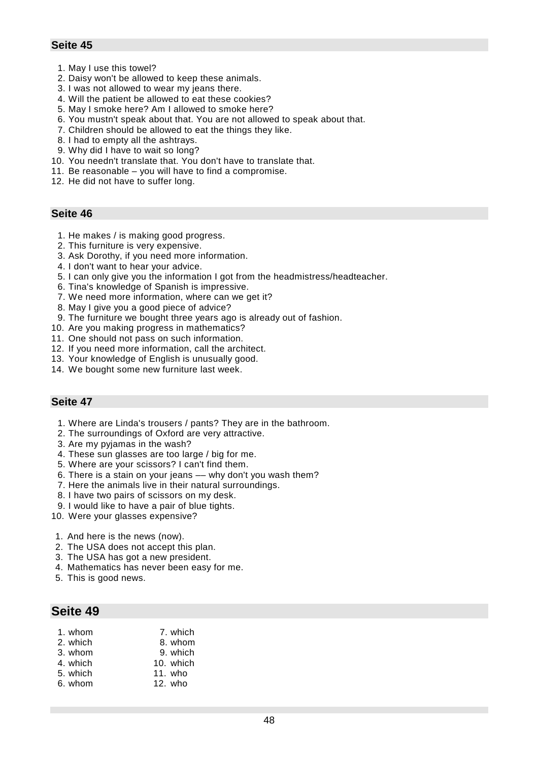- 1. May I use this towel?
- 2. Daisy won't be allowed to keep these animals.
- 3. I was not allowed to wear my jeans there.
- 4. Will the patient be allowed to eat these cookies?
- 5. May I smoke here? Am I allowed to smoke here?
- 6. You mustn't speak about that. You are not allowed to speak about that.
- 7. Children should be allowed to eat the things they like.
- 8. I had to empty all the ashtrays.
- 9. Why did I have to wait so long?
- 10. You needn't translate that. You don't have to translate that.
- 11. Be reasonable you will have to find a compromise.
- 12. He did not have to suffer long.

### **Seite 46**

- 1. He makes / is making good progress.
- 2. This furniture is very expensive.
- 3. Ask Dorothy, if you need more information.
- 4. I don't want to hear your advice.
- 5. I can only give you the information I got from the headmistress/headteacher.
- 6. Tina's knowledge of Spanish is impressive.
- 7. We need more information, where can we get it?
- 8. May I give you a good piece of advice?
- 9. The furniture we bought three years ago is already out of fashion.
- 10. Are you making progress in mathematics?
- 11. One should not pass on such information.
- 12. If you need more information, call the architect.
- 13. Your knowledge of English is unusually good.
- 14. We bought some new furniture last week.

### **Seite 47**

- 1. Where are Linda's trousers / pants? They are in the bathroom.
- 2. The surroundings of Oxford are very attractive.
- 3. Are my pyjamas in the wash?
- 4. These sun glasses are too large / big for me.
- 5. Where are your scissors? I can't find them.
- 6. There is a stain on your jeans –– why don't you wash them?
- 7. Here the animals live in their natural surroundings.
- 8. I have two pairs of scissors on my desk.
- 9. I would like to have a pair of blue tights.
- 10. Were your glasses expensive?
- 1. And here is the news (now).
- 2. The USA does not accept this plan.
- 3. The USA has got a new president.
- 4. Mathematics has never been easy for me.
- 5. This is good news.

| 1. whom  | 7. which  |
|----------|-----------|
| 2. which | 8. whom   |
| 3. whom  | 9. which  |
| 4. which | 10. which |
| 5. which | 11. who   |
| 6. whom  | $12.$ who |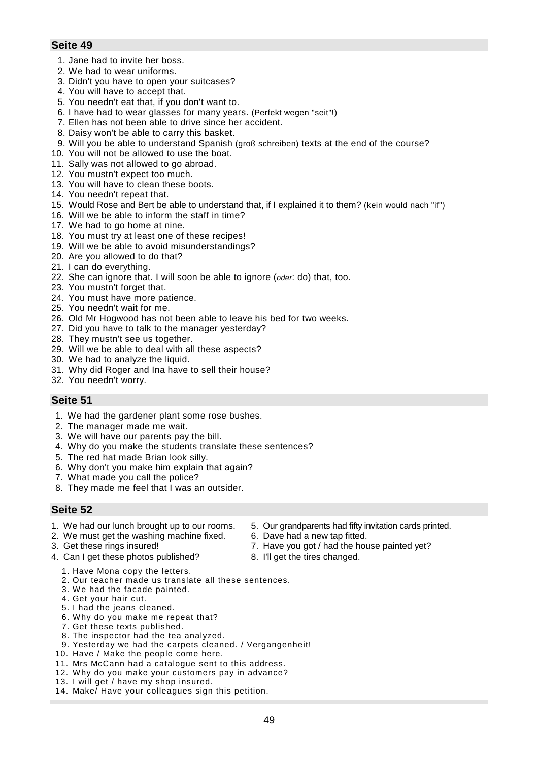- 1. Jane had to invite her boss.
- 2. We had to wear uniforms.
- 3. Didn't you have to open your suitcases?
- 4. You will have to accept that.
- 5. You needn't eat that, if you don't want to.
- 6. I have had to wear glasses for many years. (Perfekt wegen "seit"!)
- 7. Ellen has not been able to drive since her accident.
- 8. Daisy won't be able to carry this basket.
- 9. Will you be able to understand Spanish (groß schreiben) texts at the end of the course?
- 10. You will not be allowed to use the boat.
- 11. Sally was not allowed to go abroad.
- 12. You mustn't expect too much.
- 13. You will have to clean these boots.
- 14. You needn't repeat that.
- 15. Would Rose and Bert be able to understand that, if I explained it to them? (kein would nach "if")
- 16. Will we be able to inform the staff in time?
- 17. We had to go home at nine.
- 18. You must try at least one of these recipes!
- 19. Will we be able to avoid misunderstandings?
- 20. Are you allowed to do that?
- 21. I can do everything.
- 22. She can ignore that. I will soon be able to ignore (*oder*: do) that, too.
- 23. You mustn't forget that.
- 24. You must have more patience.
- 25. You needn't wait for me.
- 26. Old Mr Hogwood has not been able to leave his bed for two weeks.
- 27. Did you have to talk to the manager yesterday?
- 28. They mustn't see us together.
- 29. Will we be able to deal with all these aspects?
- 30. We had to analyze the liquid.
- 31. Why did Roger and Ina have to sell their house?
- 32. You needn't worry.

### **Seite 51**

- 1. We had the gardener plant some rose bushes.
- 2. The manager made me wait.
- 3. We will have our parents pay the bill.
- 4. Why do you make the students translate these sentences?
- 5. The red hat made Brian look silly.
- 6. Why don't you make him explain that again?
- 7. What made you call the police?
- 8. They made me feel that I was an outsider.

#### **Seite 52**

1. We had our lunch brought up to our rooms. 2. We must get the washing machine fixed. 3. Get these rings insured! 5. Our grandparents had fifty invitation cards printed. 6. Dave had a new tap fitted. 7. Have you got / had the house painted yet?

8. I'll get the tires changed.

- 4. Can I get these photos published?
	- 1. Have Mona copy the letters.
	- 2. Our teacher made us translate all these sentences.
	- 3. We had the facade painted.
	- 4. Get your hair cut.
	- 5. I had the jeans cleaned.
	- 6. Why do you make me repeat that?
	- 7. Get these texts published.
	- 8. The inspector had the tea analyzed.
	- 9. Yesterday we had the carpets cleaned. / Vergangenheit!
	- 10. Have / Make the people come here.
	- 11. Mrs McCann had a catalogue sent to this address.
	- 12. Why do you make your customers pay in advance?
	- 13. I will get / have my shop insured.
	- 14. Make/ Have your colleagues sign this petition.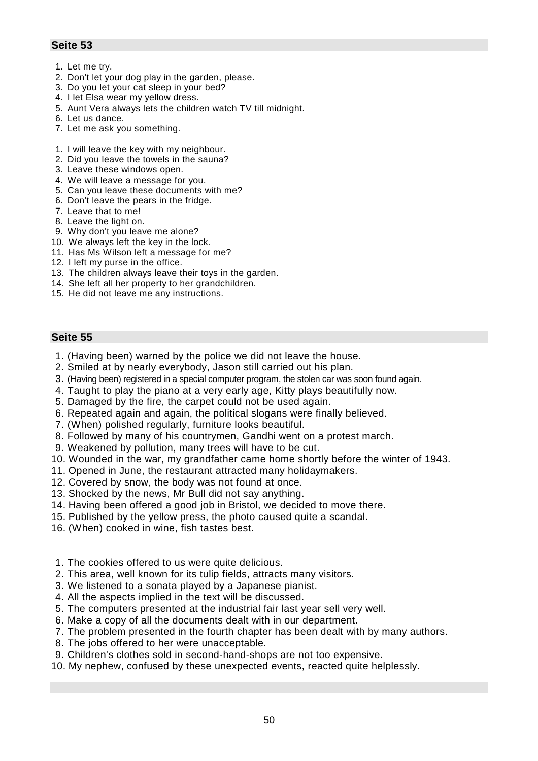- 1. Let me try.
- 2. Don't let your dog play in the garden, please.
- 3. Do you let your cat sleep in your bed?
- 4. I let Elsa wear my yellow dress.
- 5. Aunt Vera always lets the children watch TV till midnight.
- 6. Let us dance.
- 7. Let me ask you something.
- 1. I will leave the key with my neighbour.
- 2. Did you leave the towels in the sauna?
- 3. Leave these windows open.
- 4. We will leave a message for you.
- 5. Can you leave these documents with me?
- 6. Don't leave the pears in the fridge.
- 7. Leave that to me!
- 8. Leave the light on.
- 9. Why don't you leave me alone?
- 10. We always left the key in the lock.
- 11. Has Ms Wilson left a message for me?
- 12. I left my purse in the office.
- 13. The children always leave their toys in the garden.
- 14. She left all her property to her grandchildren.
- 15. He did not leave me any instructions.

- 1. (Having been) warned by the police we did not leave the house.
- 2. Smiled at by nearly everybody, Jason still carried out his plan.
- 3. (Having been) registered in a special computer program, the stolen car was soon found again.
- 4. Taught to play the piano at a very early age, Kitty plays beautifully now.
- 5. Damaged by the fire, the carpet could not be used again.
- 6. Repeated again and again, the political slogans were finally believed.
- 7. (When) polished regularly, furniture looks beautiful.
- 8. Followed by many of his countrymen, Gandhi went on a protest march.
- 9. Weakened by pollution, many trees will have to be cut.
- 10. Wounded in the war, my grandfather came home shortly before the winter of 1943.
- 11. Opened in June, the restaurant attracted many holidaymakers.
- 12. Covered by snow, the body was not found at once.
- 13. Shocked by the news, Mr Bull did not say anything.
- 14. Having been offered a good job in Bristol, we decided to move there.
- 15. Published by the yellow press, the photo caused quite a scandal.
- 16. (When) cooked in wine, fish tastes best.
- 1. The cookies offered to us were quite delicious.
- 2. This area, well known for its tulip fields, attracts many visitors.
- 3. We listened to a sonata played by a Japanese pianist.
- 4. All the aspects implied in the text will be discussed.
- 5. The computers presented at the industrial fair last year sell very well.
- 6. Make a copy of all the documents dealt with in our department.
- 7. The problem presented in the fourth chapter has been dealt with by many authors.
- 8. The jobs offered to her were unacceptable.
- 9. Children's clothes sold in second-hand-shops are not too expensive.
- 10. My nephew, confused by these unexpected events, reacted quite helplessly.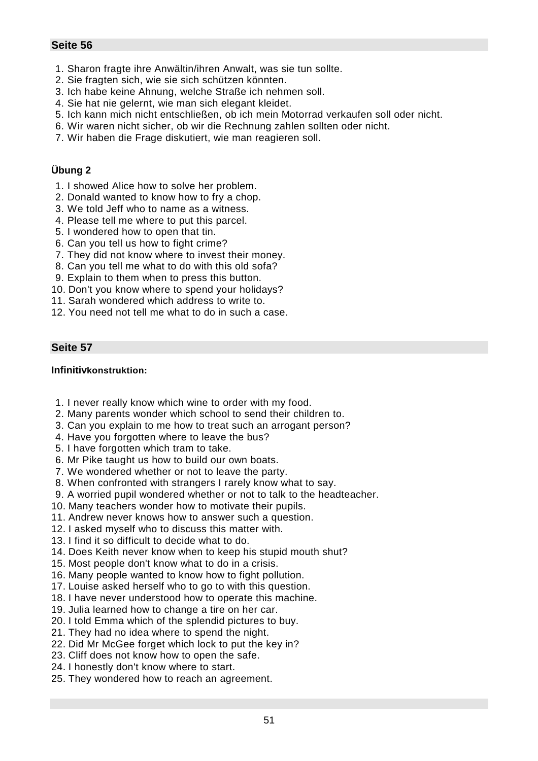- 1. Sharon fragte ihre Anwältin/ihren Anwalt, was sie tun sollte.
- 2. Sie fragten sich, wie sie sich schützen könnten.
- 3. Ich habe keine Ahnung, welche Straße ich nehmen soll.
- 4. Sie hat nie gelernt, wie man sich elegant kleidet.
- 5. Ich kann mich nicht entschließen, ob ich mein Motorrad verkaufen soll oder nicht.
- 6. Wir waren nicht sicher, ob wir die Rechnung zahlen sollten oder nicht.
- 7. Wir haben die Frage diskutiert, wie man reagieren soll.

# **Übung 2**

- 1. I showed Alice how to solve her problem.
- 2. Donald wanted to know how to fry a chop.
- 3. We told Jeff who to name as a witness.
- 4. Please tell me where to put this parcel.
- 5. I wondered how to open that tin.
- 6. Can you tell us how to fight crime?
- 7. They did not know where to invest their money.
- 8. Can you tell me what to do with this old sofa?
- 9. Explain to them when to press this button.
- 10. Don't you know where to spend your holidays?
- 11. Sarah wondered which address to write to.
- 12. You need not tell me what to do in such a case.

# **Seite 57**

# **Infinitivkonstruktion:**

- 1. I never really know which wine to order with my food.
- 2. Many parents wonder which school to send their children to.
- 3. Can you explain to me how to treat such an arrogant person?
- 4. Have you forgotten where to leave the bus?
- 5. I have forgotten which tram to take.
- 6. Mr Pike taught us how to build our own boats.
- 7. We wondered whether or not to leave the party.
- 8. When confronted with strangers I rarely know what to say.
- 9. A worried pupil wondered whether or not to talk to the headteacher.
- 10. Many teachers wonder how to motivate their pupils.
- 11. Andrew never knows how to answer such a question.
- 12. I asked myself who to discuss this matter with.
- 13. I find it so difficult to decide what to do.
- 14. Does Keith never know when to keep his stupid mouth shut?
- 15. Most people don't know what to do in a crisis.
- 16. Many people wanted to know how to fight pollution.
- 17. Louise asked herself who to go to with this question.
- 18. I have never understood how to operate this machine.
- 19. Julia learned how to change a tire on her car.
- 20. I told Emma which of the splendid pictures to buy.
- 21. They had no idea where to spend the night.
- 22. Did Mr McGee forget which lock to put the key in?
- 23. Cliff does not know how to open the safe.
- 24. I honestly don't know where to start.
- 25. They wondered how to reach an agreement.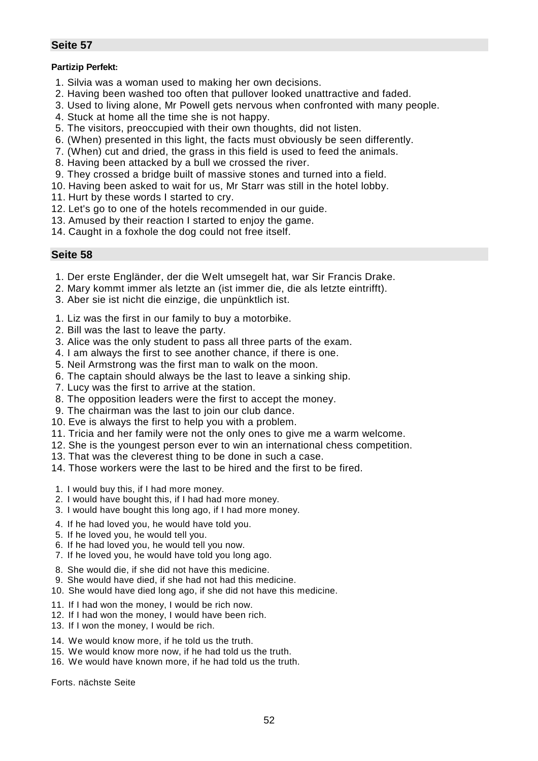#### **Partizip Perfekt:**

- 1. Silvia was a woman used to making her own decisions.
- 2. Having been washed too often that pullover looked unattractive and faded.
- 3. Used to living alone, Mr Powell gets nervous when confronted with many people.
- 4. Stuck at home all the time she is not happy.
- 5. The visitors, preoccupied with their own thoughts, did not listen.
- 6. (When) presented in this light, the facts must obviously be seen differently.
- 7. (When) cut and dried, the grass in this field is used to feed the animals.
- 8. Having been attacked by a bull we crossed the river.
- 9. They crossed a bridge built of massive stones and turned into a field.
- 10. Having been asked to wait for us, Mr Starr was still in the hotel lobby.
- 11. Hurt by these words I started to cry.
- 12. Let's go to one of the hotels recommended in our guide.
- 13. Amused by their reaction I started to enjoy the game.
- 14. Caught in a foxhole the dog could not free itself.

#### **Seite 58**

- 1. Der erste Engländer, der die Welt umsegelt hat, war Sir Francis Drake.
- 2. Mary kommt immer als letzte an (ist immer die, die als letzte eintrifft).
- 3. Aber sie ist nicht die einzige, die unpünktlich ist.
- 1. Liz was the first in our family to buy a motorbike.
- 2. Bill was the last to leave the party.
- 3. Alice was the only student to pass all three parts of the exam.
- 4. I am always the first to see another chance, if there is one.
- 5. Neil Armstrong was the first man to walk on the moon.
- 6. The captain should always be the last to leave a sinking ship.
- 7. Lucy was the first to arrive at the station.
- 8. The opposition leaders were the first to accept the money.
- 9. The chairman was the last to join our club dance.
- 10. Eve is always the first to help you with a problem.
- 11. Tricia and her family were not the only ones to give me a warm welcome.
- 12. She is the youngest person ever to win an international chess competition.
- 13. That was the cleverest thing to be done in such a case.
- 14. Those workers were the last to be hired and the first to be fired.
- 1. I would buy this, if I had more money.
- 2. I would have bought this, if I had had more money.
- 3. I would have bought this long ago, if I had more money.
- 4. If he had loved you, he would have told you.
- 5. If he loved you, he would tell you.
- 6. If he had loved you, he would tell you now.
- 7. If he loved you, he would have told you long ago.
- 8. She would die, if she did not have this medicine.
- 9. She would have died, if she had not had this medicine.
- 10. She would have died long ago, if she did not have this medicine.
- 11. If I had won the money, I would be rich now.
- 12. If I had won the money, I would have been rich.
- 13. If I won the money, I would be rich.
- 14. We would know more, if he told us the truth.
- 15. We would know more now, if he had told us the truth.
- 16. We would have known more, if he had told us the truth.

Forts. nächste Seite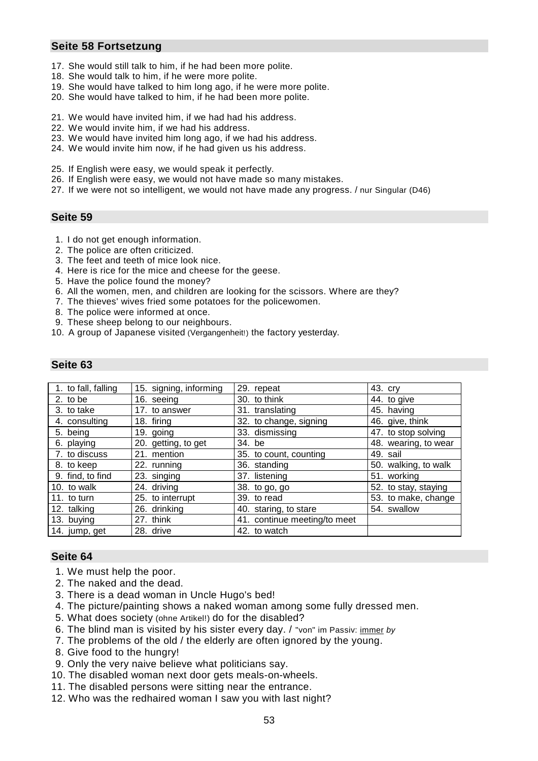### **Seite 58 Fortsetzung**

- 17. She would still talk to him, if he had been more polite.
- 18. She would talk to him, if he were more polite.
- 19. She would have talked to him long ago, if he were more polite.
- 20. She would have talked to him, if he had been more polite.
- 21. We would have invited him, if we had had his address.
- 22. We would invite him, if we had his address.
- 23. We would have invited him long ago, if we had his address.
- 24. We would invite him now, if he had given us his address.
- 25. If English were easy, we would speak it perfectly.
- 26. If English were easy, we would not have made so many mistakes.
- 27. If we were not so intelligent, we would not have made any progress. / nur Singular (D46)

### **Seite 59**

- 1. I do not get enough information.
- 2. The police are often criticized.
- 3. The feet and teeth of mice look nice.
- 4. Here is rice for the mice and cheese for the geese.
- 5. Have the police found the money?
- 6. All the women, men, and children are looking for the scissors. Where are they?
- 7. The thieves' wives fried some potatoes for the policewomen.
- 8. The police were informed at once.
- 9. These sheep belong to our neighbours.
- 10. A group of Japanese visited (Vergangenheit!) the factory yesterday.

# **Seite 63**

| 1. to fall, falling | 15. signing, informing | 29. repeat                   | 43. cry              |
|---------------------|------------------------|------------------------------|----------------------|
| 2. to be            | 16. seeing             | 30. to think                 | 44. to give          |
| 3. to take          | 17. to answer          | 31. translating              | 45. having           |
| 4. consulting       | 18. firing             | 32. to change, signing       | 46. give, think      |
| 5. being            | 19. going              | 33. dismissing               | 47. to stop solving  |
| 6. playing          | 20. getting, to get    | 34. be                       | 48. wearing, to wear |
| 7. to discuss       | 21. mention            | 35. to count, counting       | 49. sail             |
| 8. to keep          | 22. running            | 36. standing                 | 50. walking, to walk |
| 9. find, to find    | 23. singing            | 37. listening                | 51. working          |
| 10. to walk         | 24. driving            | 38. to go, go                | 52. to stay, staying |
| 11. to turn         | 25. to interrupt       | 39. to read                  | 53. to make, change  |
| 12. talking         | 26. drinking           | 40. staring, to stare        | 54. swallow          |
| 13. buying          | 27. think              | 41. continue meeting/to meet |                      |
| 14. jump, get       | 28. drive              | 42. to watch                 |                      |

- 1. We must help the poor.
- 2. The naked and the dead.
- 3. There is a dead woman in Uncle Hugo's bed!
- 4. The picture/painting shows a naked woman among some fully dressed men.
- 5. What does society (ohne Artikel!) do for the disabled?
- 6. The blind man is visited by his sister every day. / "von" im Passiv: immer *by*
- 7. The problems of the old / the elderly are often ignored by the young.
- 8. Give food to the hungry!
- 9. Only the very naive believe what politicians say.
- 10. The disabled woman next door gets meals-on-wheels.
- 11. The disabled persons were sitting near the entrance.
- 12. Who was the redhaired woman I saw you with last night?